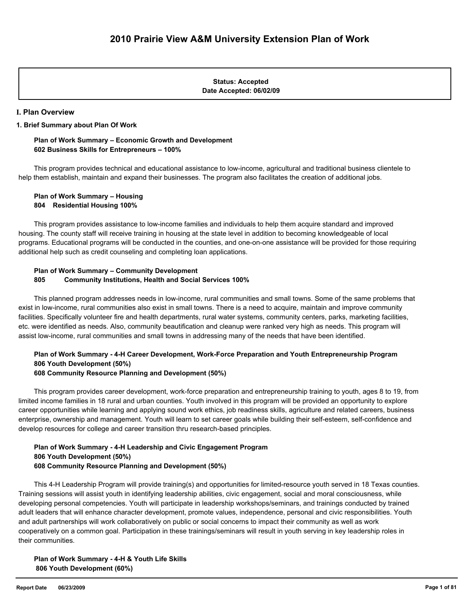**Date Accepted: 06/02/09 Status: Accepted**

#### **I. Plan Overview**

#### **1. Brief Summary about Plan Of Work**

### **Plan of Work Summary – Economic Growth and Development 602 Business Skills for Entrepreneurs – 100%**

 This program provides technical and educational assistance to low-income, agricultural and traditional business clientele to help them establish, maintain and expand their businesses. The program also facilitates the creation of additional jobs.

 **Plan of Work Summary – Housing 804 Residential Housing 100%**

 This program provides assistance to low-income families and individuals to help them acquire standard and improved housing. The county staff will receive training in housing at the state level in addition to becoming knowledgeable of local programs. Educational programs will be conducted in the counties, and one-on-one assistance will be provided for those requiring additional help such as credit counseling and completing loan applications.

### **Plan of Work Summary – Community Development 805 Community Institutions, Health and Social Services 100%**

 This planned program addresses needs in low-income, rural communities and small towns. Some of the same problems that exist in low-income, rural communities also exist in small towns. There is a need to acquire, maintain and improve community facilities. Specifically volunteer fire and health departments, rural water systems, community centers, parks, marketing facilities, etc. were identified as needs. Also, community beautification and cleanup were ranked very high as needs. This program will assist low-income, rural communities and small towns in addressing many of the needs that have been identified.

## **Plan of Work Summary - 4-H Career Development, Work-Force Preparation and Youth Entrepreneurship Program 806 Youth Development (50%)**

### **608 Community Resource Planning and Development (50%)**

 This program provides career development, work-force preparation and entrepreneurship training to youth, ages 8 to 19, from limited income families in 18 rural and urban counties. Youth involved in this program will be provided an opportunity to explore career opportunities while learning and applying sound work ethics, job readiness skills, agriculture and related careers, business enterprise, ownership and management. Youth will learn to set career goals while building their self-esteem, self-confidence and develop resources for college and career transition thru research-based principles.

### **Plan of Work Summary - 4-H Leadership and Civic Engagement Program 806 Youth Development (50%) 608 Community Resource Planning and Development (50%)**

 This 4-H Leadership Program will provide training(s) and opportunities for limited-resource youth served in 18 Texas counties. Training sessions will assist youth in identifying leadership abilities, civic engagement, social and moral consciousness, while developing personal competencies. Youth will participate in leadership workshops/seminars, and trainings conducted by trained adult leaders that will enhance character development, promote values, independence, personal and civic responsibilities. Youth and adult partnerships will work collaboratively on public or social concerns to impact their community as well as work cooperatively on a common goal. Participation in these trainings/seminars will result in youth serving in key leadership roles in their communities.

 **Plan of Work Summary - 4-H & Youth Life Skills 806 Youth Development (60%)**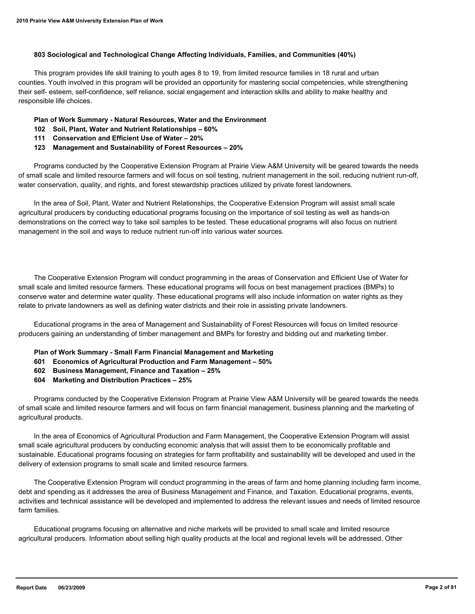#### **803 Sociological and Technological Change Affecting Individuals, Families, and Communities (40%)**

 This program provides life skill training to youth ages 8 to 19, from limited resource families in 18 rural and urban counties. Youth involved in this program will be provided an opportunity for mastering social competencies, while strengthening their self- esteem, self-confidence, self reliance, social engagement and interaction skills and ability to make healthy and responsible life choices.

### **Plan of Work Summary - Natural Resources, Water and the Environment**

- **102 Soil, Plant, Water and Nutrient Relationships 60%**
- **111 Conservation and Efficient Use of Water 20%**
- **123 Management and Sustainability of Forest Resources 20%**

 Programs conducted by the Cooperative Extension Program at Prairie View A&M University will be geared towards the needs of small scale and limited resource farmers and will focus on soil testing, nutrient management in the soil, reducing nutrient run-off, water conservation, quality, and rights, and forest stewardship practices utilized by private forest landowners.

 In the area of Soil, Plant, Water and Nutrient Relationships, the Cooperative Extension Program will assist small scale agricultural producers by conducting educational programs focusing on the importance of soil testing as well as hands-on demonstrations on the correct way to take soil samples to be tested. These educational programs will also focus on nutrient management in the soil and ways to reduce nutrient run-off into various water sources.

 The Cooperative Extension Program will conduct programming in the areas of Conservation and Efficient Use of Water for small scale and limited resource farmers. These educational programs will focus on best management practices (BMPs) to conserve water and determine water quality. These educational programs will also include information on water rights as they relate to private landowners as well as defining water districts and their role in assisting private landowners.

 Educational programs in the area of Management and Sustainability of Forest Resources will focus on limited resource producers gaining an understanding of timber management and BMPs for forestry and bidding out and marketing timber.

- **Plan of Work Summary Small Farm Financial Management and Marketing**
- **601 Economics of Agricultural Production and Farm Management 50%**
- **602 Business Management, Finance and Taxation 25%**
- **604 Marketing and Distribution Practices 25%**

 Programs conducted by the Cooperative Extension Program at Prairie View A&M University will be geared towards the needs of small scale and limited resource farmers and will focus on farm financial management, business planning and the marketing of agricultural products.

 In the area of Economics of Agricultural Production and Farm Management, the Cooperative Extension Program will assist small scale agricultural producers by conducting economic analysis that will assist them to be economically profitable and sustainable. Educational programs focusing on strategies for farm profitability and sustainability will be developed and used in the delivery of extension programs to small scale and limited resource farmers.

 The Cooperative Extension Program will conduct programming in the areas of farm and home planning including farm income, debt and spending as it addresses the area of Business Management and Finance, and Taxation. Educational programs, events, activities and technical assistance will be developed and implemented to address the relevant issues and needs of limited resource farm families.

 Educational programs focusing on alternative and niche markets will be provided to small scale and limited resource agricultural producers. Information about selling high quality products at the local and regional levels will be addressed. Other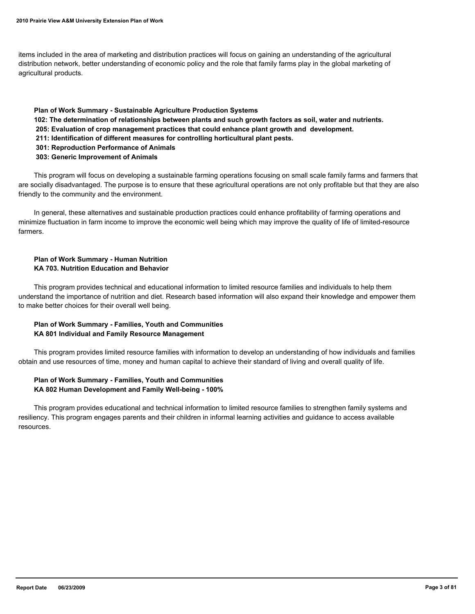items included in the area of marketing and distribution practices will focus on gaining an understanding of the agricultural distribution network, better understanding of economic policy and the role that family farms play in the global marketing of agricultural products.

#### **Plan of Work Summary - Sustainable Agriculture Production Systems**

- **102: The determination of relationships between plants and such growth factors as soil, water and nutrients.**
- **205: Evaluation of crop management practices that could enhance plant growth and development.**
- **211: Identification of different measures for controlling horticultural plant pests.**
- **301: Reproduction Performance of Animals**
- **303: Generic Improvement of Animals**

 This program will focus on developing a sustainable farming operations focusing on small scale family farms and farmers that are socially disadvantaged. The purpose is to ensure that these agricultural operations are not only profitable but that they are also friendly to the community and the environment.

 In general, these alternatives and sustainable production practices could enhance profitability of farming operations and minimize fluctuation in farm income to improve the economic well being which may improve the quality of life of limited-resource farmers.

### **Plan of Work Summary - Human Nutrition KA 703. Nutrition Education and Behavior**

 This program provides technical and educational information to limited resource families and individuals to help them understand the importance of nutrition and diet. Research based information will also expand their knowledge and empower them to make better choices for their overall well being.

### **Plan of Work Summary - Families, Youth and Communities KA 801 Individual and Family Resource Management**

 This program provides limited resource families with information to develop an understanding of how individuals and families obtain and use resources of time, money and human capital to achieve their standard of living and overall quality of life.

### **Plan of Work Summary - Families, Youth and Communities KA 802 Human Development and Family Well-being - 100%**

 This program provides educational and technical information to limited resource families to strengthen family systems and resiliency. This program engages parents and their children in informal learning activities and guidance to access available resources.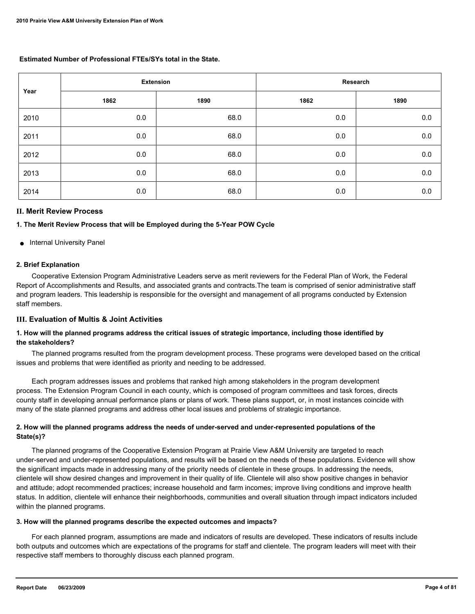### **Estimated Number of Professional FTEs/SYs total in the State.**

| Year | <b>Extension</b> |      | Research |         |
|------|------------------|------|----------|---------|
|      | 1862             | 1890 | 1862     | 1890    |
| 2010 | 0.0              | 68.0 | 0.0      | 0.0     |
| 2011 | 0.0              | 68.0 | 0.0      | 0.0     |
| 2012 | $0.0\,$          | 68.0 | 0.0      | 0.0     |
| 2013 | 0.0              | 68.0 | 0.0      | 0.0     |
| 2014 | 0.0              | 68.0 | 0.0      | $0.0\,$ |

### **II. Merit Review Process**

#### **1. The Merit Review Process that will be Employed during the 5-Year POW Cycle**

● Internal University Panel

### **2. Brief Explanation**

 Cooperative Extension Program Administrative Leaders serve as merit reviewers for the Federal Plan of Work, the Federal Report of Accomplishments and Results, and associated grants and contracts.The team is comprised of senior administrative staff and program leaders. This leadership is responsible for the oversight and management of all programs conducted by Extension staff members.

### **III. Evaluation of Multis & Joint Activities**

### **1. How will the planned programs address the critical issues of strategic importance, including those identified by the stakeholders?**

 The planned programs resulted from the program development process. These programs were developed based on the critical issues and problems that were identified as priority and needing to be addressed.

 Each program addresses issues and problems that ranked high among stakeholders in the program development process. The Extension Program Council in each county, which is composed of program committees and task forces, directs county staff in developing annual performance plans or plans of work. These plans support, or, in most instances coincide with many of the state planned programs and address other local issues and problems of strategic importance.

### **2. How will the planned programs address the needs of under-served and under-represented populations of the State(s)?**

 The planned programs of the Cooperative Extension Program at Prairie View A&M University are targeted to reach under-served and under-represented populations, and results will be based on the needs of these populations. Evidence will show the significant impacts made in addressing many of the priority needs of clientele in these groups. In addressing the needs, clientele will show desired changes and improvement in their quality of life. Clientele will also show positive changes in behavior and attitude; adopt recommended practices; increase household and farm incomes; improve living conditions and improve health status. In addition, clientele will enhance their neighborhoods, communities and overall situation through impact indicators included within the planned programs.

#### **3. How will the planned programs describe the expected outcomes and impacts?**

 For each planned program, assumptions are made and indicators of results are developed. These indicators of results include both outputs and outcomes which are expectations of the programs for staff and clientele. The program leaders will meet with their respective staff members to thoroughly discuss each planned program.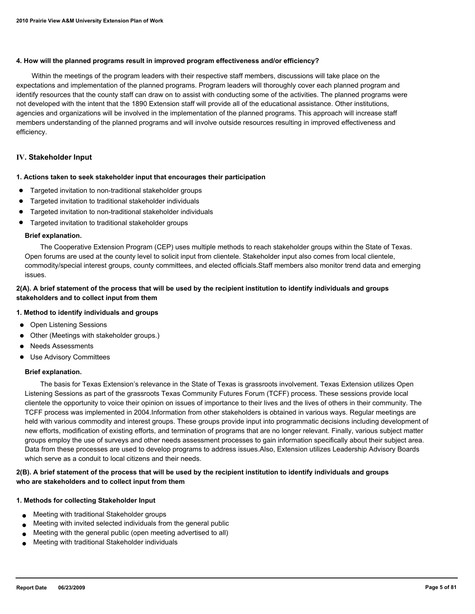#### **4. How will the planned programs result in improved program effectiveness and/or efficiency?**

 Within the meetings of the program leaders with their respective staff members, discussions will take place on the expectations and implementation of the planned programs. Program leaders will thoroughly cover each planned program and identify resources that the county staff can draw on to assist with conducting some of the activities. The planned programs were not developed with the intent that the 1890 Extension staff will provide all of the educational assistance. Other institutions, agencies and organizations will be involved in the implementation of the planned programs. This approach will increase staff members understanding of the planned programs and will involve outside resources resulting in improved effectiveness and efficiency.

### **IV. Stakeholder Input**

#### **1. Actions taken to seek stakeholder input that encourages their participation**

- Targeted invitation to non-traditional stakeholder groups
- Targeted invitation to traditional stakeholder individuals
- Targeted invitation to non-traditional stakeholder individuals
- Targeted invitation to traditional stakeholder groups

#### **Brief explanation.**

 The Cooperative Extension Program (CEP) uses multiple methods to reach stakeholder groups within the State of Texas. Open forums are used at the county level to solicit input from clientele. Stakeholder input also comes from local clientele, commodity/special interest groups, county committees, and elected officials.Staff members also monitor trend data and emerging issues.

### **2(A). A brief statement of the process that will be used by the recipient institution to identify individuals and groups stakeholders and to collect input from them**

### **1. Method to identify individuals and groups**

- Open Listening Sessions
- Other (Meetings with stakeholder groups.)
- **Needs Assessments**
- Use Advisory Committees

### **Brief explanation.**

 The basis for Texas Extension's relevance in the State of Texas is grassroots involvement. Texas Extension utilizes Open Listening Sessions as part of the grassroots Texas Community Futures Forum (TCFF) process. These sessions provide local clientele the opportunity to voice their opinion on issues of importance to their lives and the lives of others in their community. The TCFF process was implemented in 2004.Information from other stakeholders is obtained in various ways. Regular meetings are held with various commodity and interest groups. These groups provide input into programmatic decisions including development of new efforts, modification of existing efforts, and termination of programs that are no longer relevant. Finally, various subject matter groups employ the use of surveys and other needs assessment processes to gain information specifically about their subject area. Data from these processes are used to develop programs to address issues.Also, Extension utilizes Leadership Advisory Boards which serve as a conduit to local citizens and their needs.

### **2(B). A brief statement of the process that will be used by the recipient institution to identify individuals and groups who are stakeholders and to collect input from them**

### **1. Methods for collecting Stakeholder Input**

- Meeting with traditional Stakeholder groups
- Meeting with invited selected individuals from the general public
- Meeting with the general public (open meeting advertised to all)
- Meeting with traditional Stakeholder individuals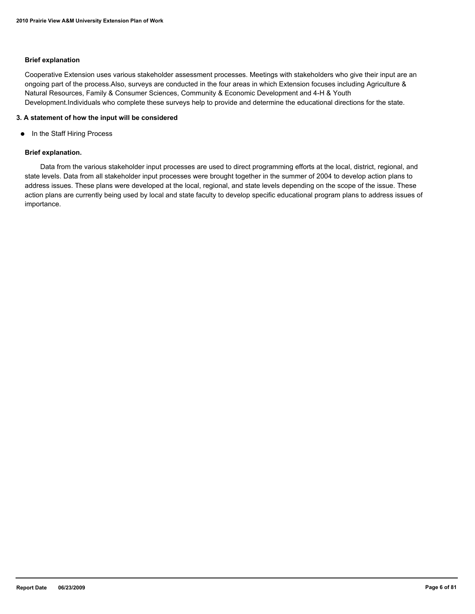### **Brief explanation**

Cooperative Extension uses various stakeholder assessment processes. Meetings with stakeholders who give their input are an ongoing part of the process.Also, surveys are conducted in the four areas in which Extension focuses including Agriculture & Natural Resources, Family & Consumer Sciences, Community & Economic Development and 4-H & Youth Development.Individuals who complete these surveys help to provide and determine the educational directions for the state.

#### **3. A statement of how the input will be considered**

● In the Staff Hiring Process

#### **Brief explanation.**

 Data from the various stakeholder input processes are used to direct programming efforts at the local, district, regional, and state levels. Data from all stakeholder input processes were brought together in the summer of 2004 to develop action plans to address issues. These plans were developed at the local, regional, and state levels depending on the scope of the issue. These action plans are currently being used by local and state faculty to develop specific educational program plans to address issues of importance.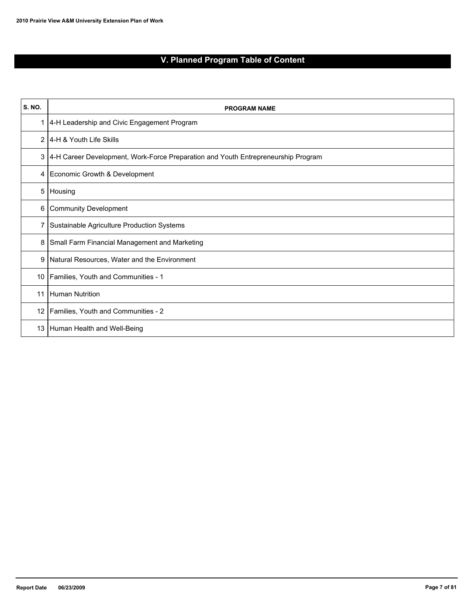# **V. Planned Program Table of Content**

| S. NO.          | <b>PROGRAM NAME</b>                                                               |
|-----------------|-----------------------------------------------------------------------------------|
| 1               | 4-H Leadership and Civic Engagement Program                                       |
|                 | 2 4-H & Youth Life Skills                                                         |
| 3               | 4-H Career Development, Work-Force Preparation and Youth Entrepreneurship Program |
| 4               | Economic Growth & Development                                                     |
| 5               | Housing                                                                           |
| 6               | <b>Community Development</b>                                                      |
| 7               | Sustainable Agriculture Production Systems                                        |
| 8               | Small Farm Financial Management and Marketing                                     |
| 9               | Natural Resources, Water and the Environment                                      |
| 10              | Families, Youth and Communities - 1                                               |
| 11              | Human Nutrition                                                                   |
| 12 <sup>2</sup> | Families, Youth and Communities - 2                                               |
| 13              | Human Health and Well-Being                                                       |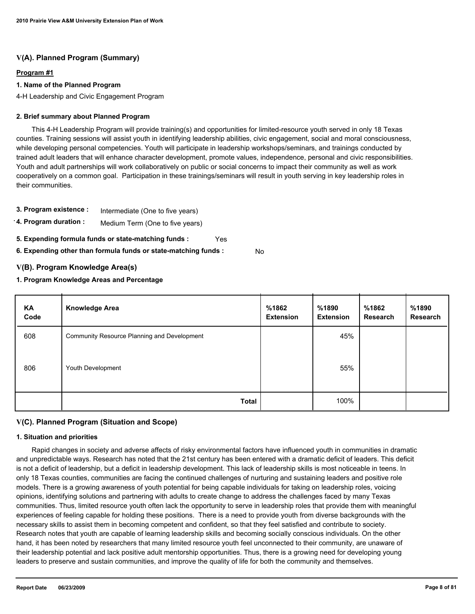### **V(A). Planned Program (Summary)**

### **Program #1**

### **1. Name of the Planned Program**

4-H Leadership and Civic Engagement Program

### **2. Brief summary about Planned Program**

 This 4-H Leadership Program will provide training(s) and opportunities for limited-resource youth served in only 18 Texas counties. Training sessions will assist youth in identifying leadership abilities, civic engagement, social and moral consciousness, while developing personal competencies. Youth will participate in leadership workshops/seminars, and trainings conducted by trained adult leaders that will enhance character development, promote values, independence, personal and civic responsibilities. Youth and adult partnerships will work collaboratively on public or social concerns to impact their community as well as work cooperatively on a common goal. Participation in these trainings/seminars will result in youth serving in key leadership roles in their communities.

- **3. Program existence :** Intermediate (One to five years)
- **4. Program duration :** Medium Term (One to five years)
- **5. Expending formula funds or state-matching funds :** Yes
- **6. Expending other than formula funds or state-matching funds :** No

### **V(B). Program Knowledge Area(s)**

### **1. Program Knowledge Areas and Percentage**

| KA<br>Code | <b>Knowledge Area</b>                       | %1862<br><b>Extension</b> | %1890<br><b>Extension</b> | %1862<br>Research | %1890<br>Research |
|------------|---------------------------------------------|---------------------------|---------------------------|-------------------|-------------------|
| 608        | Community Resource Planning and Development |                           | 45%                       |                   |                   |
| 806        | Youth Development                           |                           | 55%                       |                   |                   |
|            | <b>Total</b>                                |                           | 100%                      |                   |                   |

## **V(C). Planned Program (Situation and Scope)**

### **1. Situation and priorities**

 Rapid changes in society and adverse affects of risky environmental factors have influenced youth in communities in dramatic and unpredictable ways. Research has noted that the 21st century has been entered with a dramatic deficit of leaders. This deficit is not a deficit of leadership, but a deficit in leadership development. This lack of leadership skills is most noticeable in teens. In only 18 Texas counties, communities are facing the continued challenges of nurturing and sustaining leaders and positive role models. There is a growing awareness of youth potential for being capable individuals for taking on leadership roles, voicing opinions, identifying solutions and partnering with adults to create change to address the challenges faced by many Texas communities. Thus, limited resource youth often lack the opportunity to serve in leadership roles that provide them with meaningful experiences of feeling capable for holding these positions. There is a need to provide youth from diverse backgrounds with the necessary skills to assist them in becoming competent and confident, so that they feel satisfied and contribute to society. Research notes that youth are capable of learning leadership skills and becoming socially conscious individuals. On the other hand, it has been noted by researchers that many limited resource youth feel unconnected to their community, are unaware of their leadership potential and lack positive adult mentorship opportunities. Thus, there is a growing need for developing young leaders to preserve and sustain communities, and improve the quality of life for both the community and themselves.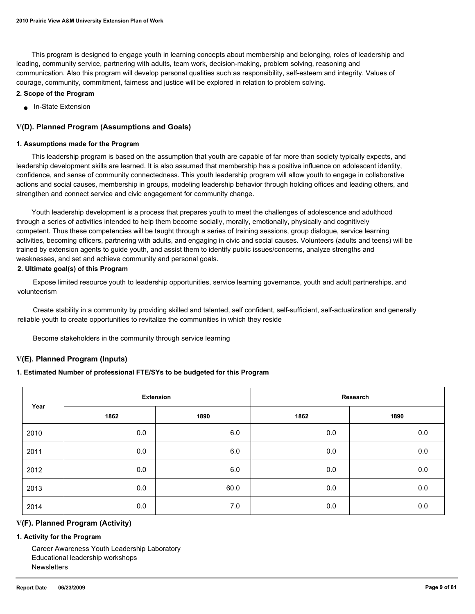This program is designed to engage youth in learning concepts about membership and belonging, roles of leadership and leading, community service, partnering with adults, team work, decision-making, problem solving, reasoning and communication. Also this program will develop personal qualities such as responsibility, self-esteem and integrity. Values of courage, community, commitment, fairness and justice will be explored in relation to problem solving.

#### **2. Scope of the Program**

● In-State Extension

### **V(D). Planned Program (Assumptions and Goals)**

#### **1. Assumptions made for the Program**

 This leadership program is based on the assumption that youth are capable of far more than society typically expects, and leadership development skills are learned. It is also assumed that membership has a positive influence on adolescent identity, confidence, and sense of community connectedness. This youth leadership program will allow youth to engage in collaborative actions and social causes, membership in groups, modeling leadership behavior through holding offices and leading others, and strengthen and connect service and civic engagement for community change.

 Youth leadership development is a process that prepares youth to meet the challenges of adolescence and adulthood through a series of activities intended to help them become socially, morally, emotionally, physically and cognitively competent. Thus these competencies will be taught through a series of training sessions, group dialogue, service learning activities, becoming officers, partnering with adults, and engaging in civic and social causes. Volunteers (adults and teens) will be trained by extension agents to guide youth, and assist them to identify public issues/concerns, analyze strengths and weaknesses, and set and achieve community and personal goals.

### **2. Ultimate goal(s) of this Program**

 Expose limited resource youth to leadership opportunities, service learning governance, youth and adult partnerships, and volunteerism

 Create stability in a community by providing skilled and talented, self confident, self-sufficient, self-actualization and generally reliable youth to create opportunities to revitalize the communities in which they reside

Become stakeholders in the community through service learning

### **V(E). Planned Program (Inputs)**

### **1. Estimated Number of professional FTE/SYs to be budgeted for this Program**

| Year |      | <b>Extension</b> |      | Research |
|------|------|------------------|------|----------|
|      | 1862 | 1890             | 1862 | 1890     |
| 2010 | 0.0  | 6.0              | 0.0  | 0.0      |
| 2011 | 0.0  | 6.0              | 0.0  | 0.0      |
| 2012 | 0.0  | 6.0              | 0.0  | 0.0      |
| 2013 | 0.0  | 60.0             | 0.0  | 0.0      |
| 2014 | 0.0  | 7.0              | 0.0  | 0.0      |

### **V(F). Planned Program (Activity)**

#### **1. Activity for the Program**

 Career Awareness Youth Leadership Laboratory Educational leadership workshops **Newsletters**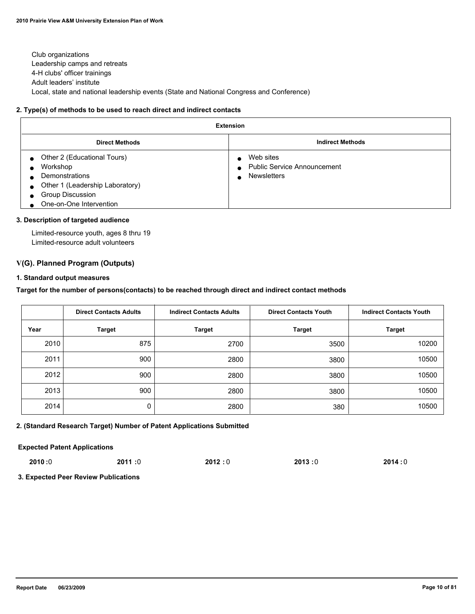Club organizations Leadership camps and retreats 4-H clubs' officer trainings Adult leaders' institute Local, state and national leadership events (State and National Congress and Conference)

#### **2. Type(s) of methods to be used to reach direct and indirect contacts**

| <b>Extension</b>                                                                                                                                                                                                                 |                                                                                    |  |  |  |
|----------------------------------------------------------------------------------------------------------------------------------------------------------------------------------------------------------------------------------|------------------------------------------------------------------------------------|--|--|--|
| <b>Direct Methods</b>                                                                                                                                                                                                            | <b>Indirect Methods</b>                                                            |  |  |  |
| Other 2 (Educational Tours)<br>$\bullet$<br>Workshop<br>$\bullet$<br>Demonstrations<br>$\bullet$<br>Other 1 (Leadership Laboratory)<br>$\bullet$<br><b>Group Discussion</b><br>$\bullet$<br>One-on-One Intervention<br>$\bullet$ | Web sites<br><b>Public Service Announcement</b><br>$\bullet$<br><b>Newsletters</b> |  |  |  |

#### **3. Description of targeted audience**

 Limited-resource youth, ages 8 thru 19 Limited-resource adult volunteers

### **V(G). Planned Program (Outputs)**

#### **1. Standard output measures**

**Target for the number of persons(contacts) to be reached through direct and indirect contact methods**

|      | <b>Direct Contacts Adults</b> | <b>Indirect Contacts Adults</b> | <b>Direct Contacts Youth</b> | <b>Indirect Contacts Youth</b> |
|------|-------------------------------|---------------------------------|------------------------------|--------------------------------|
| Year | <b>Target</b>                 | <b>Target</b>                   | <b>Target</b>                | <b>Target</b>                  |
| 2010 | 875                           | 2700                            | 3500                         | 10200                          |
| 2011 | 900                           | 2800                            | 3800                         | 10500                          |
| 2012 | 900                           | 2800                            | 3800                         | 10500                          |
| 2013 | 900                           | 2800                            | 3800                         | 10500                          |
| 2014 | 0                             | 2800                            | 380                          | 10500                          |

### **2. (Standard Research Target) Number of Patent Applications Submitted**

**Expected Patent Applications**

| 2010:0 | 2011:0 | 2012:0 | 2013:0 | 2014:0 |
|--------|--------|--------|--------|--------|
|        |        |        |        |        |

**3. Expected Peer Review Publications**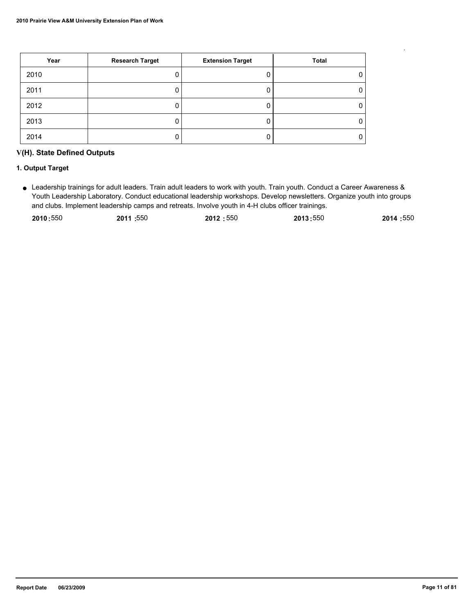| Year | <b>Research Target</b> | <b>Extension Target</b> | Total |
|------|------------------------|-------------------------|-------|
| 2010 |                        |                         | 0     |
| 2011 |                        |                         | 0     |
| 2012 |                        |                         | 0     |
| 2013 |                        |                         | 0     |
| 2014 |                        |                         | 0     |

## **V(H). State Defined Outputs**

### **1. Output Target**

Leadership trainings for adult leaders. Train adult leaders to work with youth. Train youth. Conduct a Career Awareness & ● Youth Leadership Laboratory. Conduct educational leadership workshops. Develop newsletters. Organize youth into groups and clubs. Implement leadership camps and retreats. Involve youth in 4-H clubs officer trainings.

| 2010:550 | 2011 :550 | 2012:550 | 2013:550 | 2014:550 |
|----------|-----------|----------|----------|----------|
|          |           |          |          |          |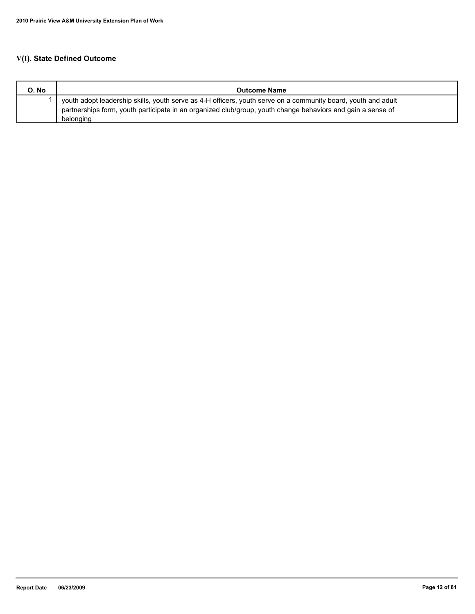## **V(I). State Defined Outcome**

| O. No | <b>Outcome Name</b>                                                                                                                                                                                                          |
|-------|------------------------------------------------------------------------------------------------------------------------------------------------------------------------------------------------------------------------------|
|       | youth adopt leadership skills, youth serve as 4-H officers, youth serve on a community board, youth and adult<br>partnerships form, youth participate in an organized club/group, youth change behaviors and gain a sense of |
|       | belonging                                                                                                                                                                                                                    |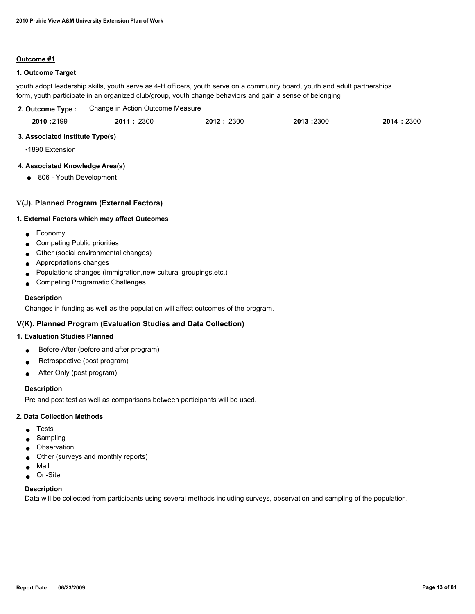### **Outcome #1**

### **1. Outcome Target**

youth adopt leadership skills, youth serve as 4-H officers, youth serve on a community board, youth and adult partnerships form, youth participate in an organized club/group, youth change behaviors and gain a sense of belonging

| 2. Outcome Type : | Change in Action Outcome Measure |           |           |           |
|-------------------|----------------------------------|-----------|-----------|-----------|
| 2010:2199         | 2011:2300                        | 2012:2300 | 2013:2300 | 2014:2300 |

### **3. Associated Institute Type(s)**

•1890 Extension

### **4. Associated Knowledge Area(s)**

● 806 - Youth Development

### **V(J). Planned Program (External Factors)**

### **1. External Factors which may affect Outcomes**

- Economy
- Competing Public priorities
- Other (social environmental changes)
- Appropriations changes
- Populations changes (immigration,new cultural groupings,etc.)
- Competing Programatic Challenges

### **Description**

Changes in funding as well as the population will affect outcomes of the program.

### **V(K). Planned Program (Evaluation Studies and Data Collection)**

### **1. Evaluation Studies Planned**

- Before-After (before and after program)
- Retrospective (post program)
- After Only (post program)

### **Description**

Pre and post test as well as comparisons between participants will be used.

### **2. Data Collection Methods**

- **Tests**
- Sampling
- Observation
- Other (surveys and monthly reports)
- Mail
- On-Site

### **Description**

Data will be collected from participants using several methods including surveys, observation and sampling of the population.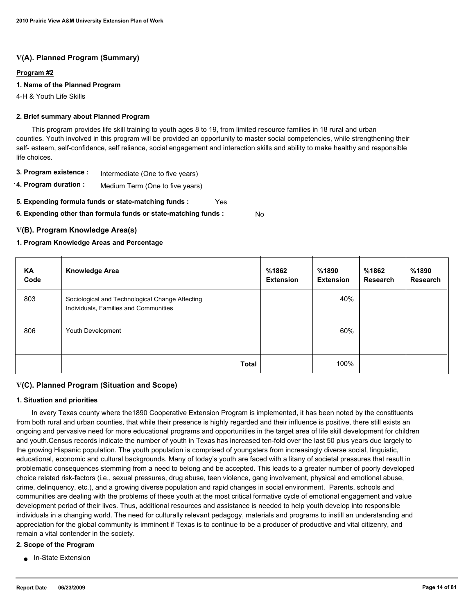### **V(A). Planned Program (Summary)**

### **Program #2**

### **1. Name of the Planned Program**

4-H & Youth Life Skills

### **2. Brief summary about Planned Program**

 This program provides life skill training to youth ages 8 to 19, from limited resource families in 18 rural and urban counties. Youth involved in this program will be provided an opportunity to master social competencies, while strengthening their self- esteem, self-confidence, self reliance, social engagement and interaction skills and ability to make healthy and responsible life choices.

- **3. Program existence :** Intermediate (One to five years)
- **4. Program duration :** Medium Term (One to five years)
- **5. Expending formula funds or state-matching funds :** Yes

**6. Expending other than formula funds or state-matching funds :** No

### **V(B). Program Knowledge Area(s)**

### **1. Program Knowledge Areas and Percentage**

| ΚA<br>Code | <b>Knowledge Area</b>                                                                    | %1862<br><b>Extension</b> | %1890<br><b>Extension</b> | %1862<br><b>Research</b> | %1890<br>Research |
|------------|------------------------------------------------------------------------------------------|---------------------------|---------------------------|--------------------------|-------------------|
| 803        | Sociological and Technological Change Affecting<br>Individuals, Families and Communities |                           | 40%                       |                          |                   |
| 806        | Youth Development                                                                        |                           | 60%                       |                          |                   |
|            | <b>Total</b>                                                                             |                           | 100%                      |                          |                   |

### **V(C). Planned Program (Situation and Scope)**

### **1. Situation and priorities**

 In every Texas county where the1890 Cooperative Extension Program is implemented, it has been noted by the constituents from both rural and urban counties, that while their presence is highly regarded and their influence is positive, there still exists an ongoing and pervasive need for more educational programs and opportunities in the target area of life skill development for children and youth.Census records indicate the number of youth in Texas has increased ten-fold over the last 50 plus years due largely to the growing Hispanic population. The youth population is comprised of youngsters from increasingly diverse social, linguistic, educational, economic and cultural backgrounds. Many of today's youth are faced with a litany of societal pressures that result in problematic consequences stemming from a need to belong and be accepted. This leads to a greater number of poorly developed choice related risk-factors (i.e., sexual pressures, drug abuse, teen violence, gang involvement, physical and emotional abuse, crime, delinquency, etc.), and a growing diverse population and rapid changes in social environment. Parents, schools and communities are dealing with the problems of these youth at the most critical formative cycle of emotional engagement and value development period of their lives. Thus, additional resources and assistance is needed to help youth develop into responsible individuals in a changing world. The need for culturally relevant pedagogy, materials and programs to instill an understanding and appreciation for the global community is imminent if Texas is to continue to be a producer of productive and vital citizenry, and remain a vital contender in the society.

### **2. Scope of the Program**

■ In-State Extension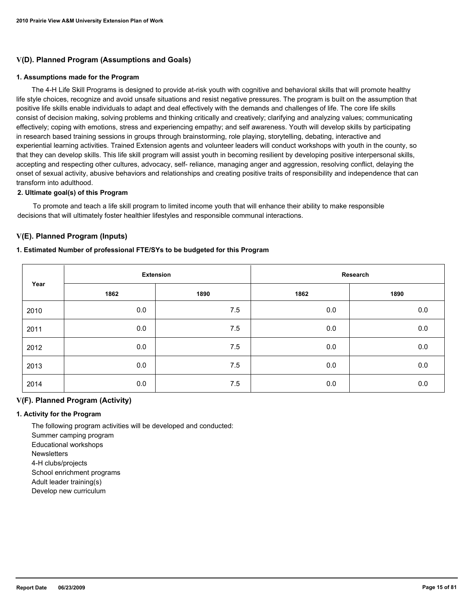### **V(D). Planned Program (Assumptions and Goals)**

#### **1. Assumptions made for the Program**

 The 4-H Life Skill Programs is designed to provide at-risk youth with cognitive and behavioral skills that will promote healthy life style choices, recognize and avoid unsafe situations and resist negative pressures. The program is built on the assumption that positive life skills enable individuals to adapt and deal effectively with the demands and challenges of life. The core life skills consist of decision making, solving problems and thinking critically and creatively; clarifying and analyzing values; communicating effectively; coping with emotions, stress and experiencing empathy; and self awareness. Youth will develop skills by participating in research based training sessions in groups through brainstorming, role playing, storytelling, debating, interactive and experiential learning activities. Trained Extension agents and volunteer leaders will conduct workshops with youth in the county, so that they can develop skills. This life skill program will assist youth in becoming resilient by developing positive interpersonal skills, accepting and respecting other cultures, advocacy, self- reliance, managing anger and aggression, resolving conflict, delaying the onset of sexual activity, abusive behaviors and relationships and creating positive traits of responsibility and independence that can transform into adulthood.

#### **2. Ultimate goal(s) of this Program**

 To promote and teach a life skill program to limited income youth that will enhance their ability to make responsible decisions that will ultimately foster healthier lifestyles and responsible communal interactions.

### **V(E). Planned Program (Inputs)**

#### **1. Estimated Number of professional FTE/SYs to be budgeted for this Program**

| Year | <b>Extension</b> |      | Research |         |
|------|------------------|------|----------|---------|
|      | 1862             | 1890 | 1862     | 1890    |
| 2010 | 0.0              | 7.5  | 0.0      | 0.0     |
| 2011 | 0.0              | 7.5  | 0.0      | $0.0\,$ |
| 2012 | 0.0              | 7.5  | 0.0      | $0.0\,$ |
| 2013 | 0.0              | 7.5  | 0.0      | 0.0     |
| 2014 | 0.0              | 7.5  | 0.0      | 0.0     |

### **V(F). Planned Program (Activity)**

### **1. Activity for the Program**

 The following program activities will be developed and conducted: Summer camping program Educational workshops **Newsletters**  4-H clubs/projects School enrichment programs Adult leader training(s) Develop new curriculum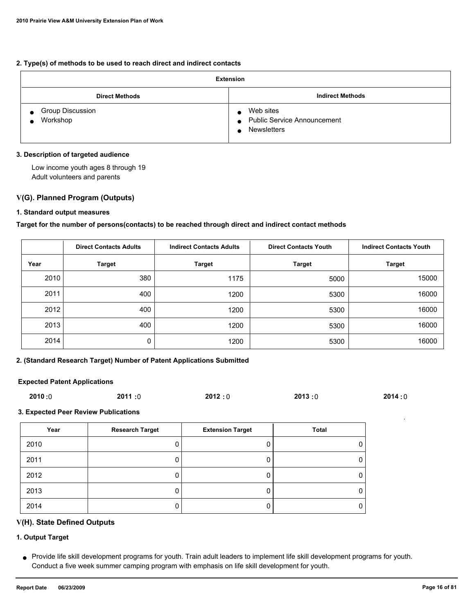### **2. Type(s) of methods to be used to reach direct and indirect contacts**

| <b>Extension</b>                                 |                                                                                    |  |  |  |
|--------------------------------------------------|------------------------------------------------------------------------------------|--|--|--|
| <b>Direct Methods</b>                            | <b>Indirect Methods</b>                                                            |  |  |  |
| <b>Group Discussion</b><br>Workshop<br>$\bullet$ | Web sites<br><b>Public Service Announcement</b><br>$\bullet$<br><b>Newsletters</b> |  |  |  |

### **3. Description of targeted audience**

 Low income youth ages 8 through 19 Adult volunteers and parents

### **V(G). Planned Program (Outputs)**

### **1. Standard output measures**

### **Target for the number of persons(contacts) to be reached through direct and indirect contact methods**

|      | <b>Direct Contacts Adults</b> | <b>Indirect Contacts Adults</b><br><b>Direct Contacts Youth</b> |               | <b>Indirect Contacts Youth</b> |
|------|-------------------------------|-----------------------------------------------------------------|---------------|--------------------------------|
| Year | <b>Target</b>                 | <b>Target</b>                                                   | <b>Target</b> | <b>Target</b>                  |
| 2010 | 380                           | 1175                                                            | 5000          | 15000                          |
| 2011 | 400                           | 1200                                                            | 5300          | 16000                          |
| 2012 | 400                           | 1200                                                            | 5300          | 16000                          |
| 2013 | 400                           | 1200                                                            | 5300          | 16000                          |
| 2014 | 0                             | 1200                                                            | 5300          | 16000                          |

### **2. (Standard Research Target) Number of Patent Applications Submitted**

#### **Expected Patent Applications**

| 2010:0 | 2011:0 | 2012:0 | 2013:0 | 2014:0 |
|--------|--------|--------|--------|--------|
|        |        |        |        |        |

### **3. Expected Peer Review Publications**

| Year | <b>Research Target</b> | <b>Extension Target</b> | Total |
|------|------------------------|-------------------------|-------|
| 2010 |                        |                         |       |
| 2011 |                        |                         |       |
| 2012 |                        |                         |       |
| 2013 |                        |                         |       |
| 2014 |                        |                         |       |

### **V(H). State Defined Outputs**

### **1. Output Target**

Provide life skill development programs for youth. Train adult leaders to implement life skill development programs for youth. ● Conduct a five week summer camping program with emphasis on life skill development for youth.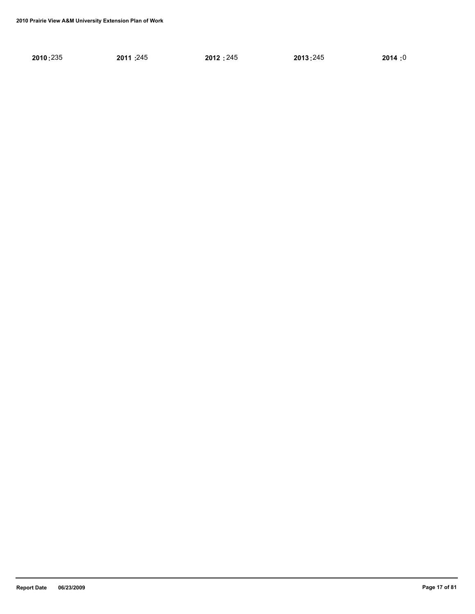| 2010:235 | 2011:245 | 2012:245 | 2013:245 | 2014:0 |
|----------|----------|----------|----------|--------|
|----------|----------|----------|----------|--------|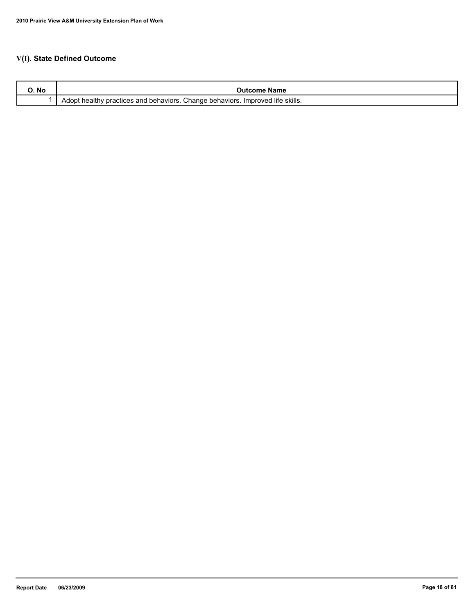## **V(I). State Defined Outcome**

| IVU | Name<br>- 1117                                                                                                                              |
|-----|---------------------------------------------------------------------------------------------------------------------------------------------|
|     | <sup>→</sup> skills.<br><br>Change<br>. life<br><sup>1</sup> behaviors.<br>behaviors.<br><i>I</i> mproved<br>actices and<br>Adopt<br>าeaitr |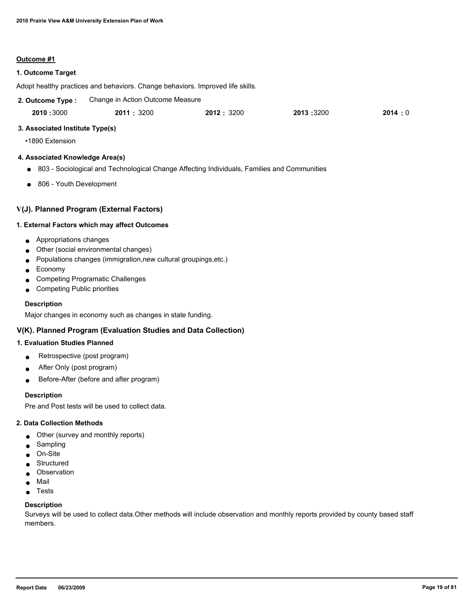#### **Outcome #1**

### **1. Outcome Target**

Adopt healthy practices and behaviors. Change behaviors. Improved life skills.

| 2. Outcome Type: | Change in Action Outcome Measure |            |           |        |
|------------------|----------------------------------|------------|-----------|--------|
| 2010:3000        | 2011:3200                        | 2012: 3200 | 2013:3200 | 2014:0 |

#### **3. Associated Institute Type(s)**

•1890 Extension

#### **4. Associated Knowledge Area(s)**

- 803 Sociological and Technological Change Affecting Individuals, Families and Communities
- 806 Youth Development

### **V(J). Planned Program (External Factors)**

#### **1. External Factors which may affect Outcomes**

- Appropriations changes
- Other (social environmental changes)
- Populations changes (immigration,new cultural groupings,etc.)
- Economy
- Competing Programatic Challenges
- Competing Public priorities

#### **Description**

Major changes in economy such as changes in state funding.

### **V(K). Planned Program (Evaluation Studies and Data Collection)**

### **1. Evaluation Studies Planned**

- $\bullet$  Retrospective (post program)
- After Only (post program)
- Before-After (before and after program)

#### **Description**

Pre and Post tests will be used to collect data.

#### **2. Data Collection Methods**

- Other (survey and monthly reports)
- Sampling
- On-Site
- Structured
- Observation
- Mail
- Tests

### **Description**

Surveys will be used to collect data.Other methods will include observation and monthly reports provided by county based staff members.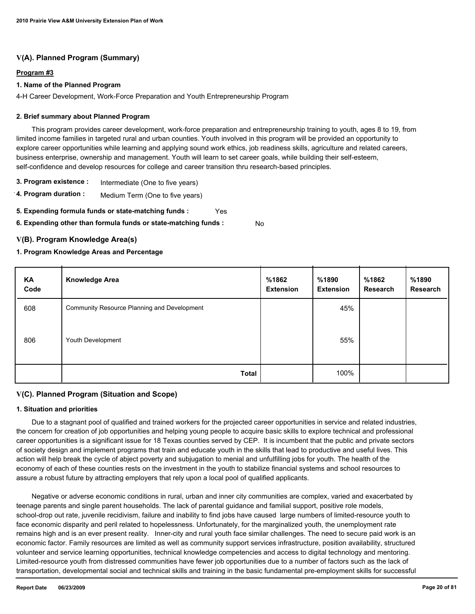## **V(A). Planned Program (Summary)**

### **Program #3**

### **1. Name of the Planned Program**

4-H Career Development, Work-Force Preparation and Youth Entrepreneurship Program

### **2. Brief summary about Planned Program**

 This program provides career development, work-force preparation and entrepreneurship training to youth, ages 8 to 19, from limited income families in targeted rural and urban counties. Youth involved in this program will be provided an opportunity to explore career opportunities while learning and applying sound work ethics, job readiness skills, agriculture and related careers, business enterprise, ownership and management. Youth will learn to set career goals, while building their self-esteem, self-confidence and develop resources for college and career transition thru research-based principles.

- **3. Program existence :** Intermediate (One to five years)
- **4. Program duration :** Medium Term (One to five years)
- **5. Expending formula funds or state-matching funds :** Yes
- **6. Expending other than formula funds or state-matching funds :** No

### **V(B). Program Knowledge Area(s)**

### **1. Program Knowledge Areas and Percentage**

| KA<br>Code | <b>Knowledge Area</b>                       | %1862<br><b>Extension</b> | %1890<br><b>Extension</b> | %1862<br><b>Research</b> | %1890<br><b>Research</b> |
|------------|---------------------------------------------|---------------------------|---------------------------|--------------------------|--------------------------|
| 608        | Community Resource Planning and Development |                           | 45%                       |                          |                          |
| 806        | Youth Development                           |                           | 55%                       |                          |                          |
|            | Total                                       |                           | 100%                      |                          |                          |

## **V(C). Planned Program (Situation and Scope)**

### **1. Situation and priorities**

 Due to a stagnant pool of qualified and trained workers for the projected career opportunities in service and related industries, the concern for creation of job opportunities and helping young people to acquire basic skills to explore technical and professional career opportunities is a significant issue for 18 Texas counties served by CEP. It is incumbent that the public and private sectors of society design and implement programs that train and educate youth in the skills that lead to productive and useful lives. This action will help break the cycle of abject poverty and subjugation to menial and unfulfilling jobs for youth. The health of the economy of each of these counties rests on the investment in the youth to stabilize financial systems and school resources to assure a robust future by attracting employers that rely upon a local pool of qualified applicants.

 Negative or adverse economic conditions in rural, urban and inner city communities are complex, varied and exacerbated by teenage parents and single parent households. The lack of parental guidance and familial support, positive role models, school-drop out rate, juvenile recidivism, failure and inability to find jobs have caused large numbers of limited-resource youth to face economic disparity and peril related to hopelessness. Unfortunately, for the marginalized youth, the unemployment rate remains high and is an ever present reality. Inner-city and rural youth face similar challenges. The need to secure paid work is an economic factor. Family resources are limited as well as community support services infrastructure, position availability, structured volunteer and service learning opportunities, technical knowledge competencies and access to digital technology and mentoring. Limited-resource youth from distressed communities have fewer job opportunities due to a number of factors such as the lack of transportation, developmental social and technical skills and training in the basic fundamental pre-employment skills for successful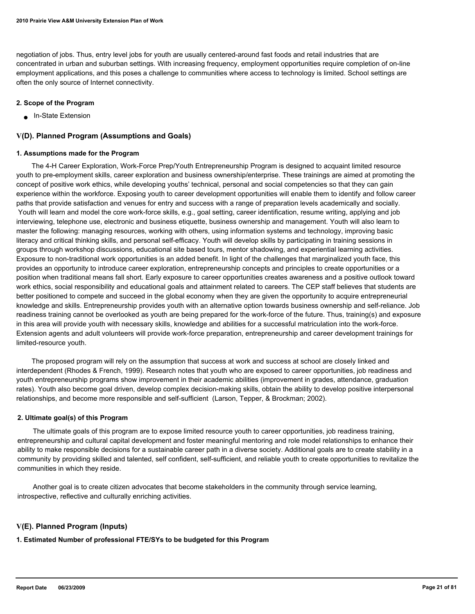negotiation of jobs. Thus, entry level jobs for youth are usually centered-around fast foods and retail industries that are concentrated in urban and suburban settings. With increasing frequency, employment opportunities require completion of on-line employment applications, and this poses a challenge to communities where access to technology is limited. School settings are often the only source of Internet connectivity.

### **2. Scope of the Program**

■ In-State Extension

### **V(D). Planned Program (Assumptions and Goals)**

### **1. Assumptions made for the Program**

 The 4-H Career Exploration, Work-Force Prep/Youth Entrepreneurship Program is designed to acquaint limited resource youth to pre-employment skills, career exploration and business ownership/enterprise. These trainings are aimed at promoting the concept of positive work ethics, while developing youths' technical, personal and social competencies so that they can gain experience within the workforce. Exposing youth to career development opportunities will enable them to identify and follow career paths that provide satisfaction and venues for entry and success with a range of preparation levels academically and socially. Youth will learn and model the core work-force skills, e.g., goal setting, career identification, resume writing, applying and job interviewing, telephone use, electronic and business etiquette, business ownership and management. Youth will also learn to master the following: managing resources, working with others, using information systems and technology, improving basic literacy and critical thinking skills, and personal self-efficacy. Youth will develop skills by participating in training sessions in groups through workshop discussions, educational site based tours, mentor shadowing, and experiential learning activities. Exposure to non-traditional work opportunities is an added benefit. In light of the challenges that marginalized youth face, this provides an opportunity to introduce career exploration, entrepreneurship concepts and principles to create opportunities or a position when traditional means fall short. Early exposure to career opportunities creates awareness and a positive outlook toward work ethics, social responsibility and educational goals and attainment related to careers. The CEP staff believes that students are better positioned to compete and succeed in the global economy when they are given the opportunity to acquire entrepreneurial knowledge and skills. Entrepreneurship provides youth with an alternative option towards business ownership and self-reliance. Job readiness training cannot be overlooked as youth are being prepared for the work-force of the future. Thus, training(s) and exposure in this area will provide youth with necessary skills, knowledge and abilities for a successful matriculation into the work-force. Extension agents and adult volunteers will provide work-force preparation, entrepreneurship and career development trainings for limited-resource youth.

 The proposed program will rely on the assumption that success at work and success at school are closely linked and interdependent (Rhodes & French, 1999). Research notes that youth who are exposed to career opportunities, job readiness and youth entrepreneurship programs show improvement in their academic abilities (improvement in grades, attendance, graduation rates). Youth also become goal driven, develop complex decision-making skills, obtain the ability to develop positive interpersonal relationships, and become more responsible and self-sufficient (Larson, Tepper, & Brockman; 2002).

### **2. Ultimate goal(s) of this Program**

 The ultimate goals of this program are to expose limited resource youth to career opportunities, job readiness training, entrepreneurship and cultural capital development and foster meaningful mentoring and role model relationships to enhance their ability to make responsible decisions for a sustainable career path in a diverse society. Additional goals are to create stability in a community by providing skilled and talented, self confident, self-sufficient, and reliable youth to create opportunities to revitalize the communities in which they reside.

 Another goal is to create citizen advocates that become stakeholders in the community through service learning, introspective, reflective and culturally enriching activities.

### **V(E). Planned Program (Inputs)**

**1. Estimated Number of professional FTE/SYs to be budgeted for this Program**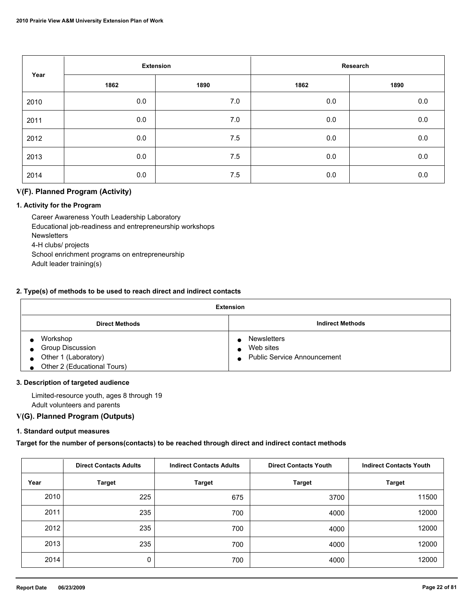| Year | <b>Extension</b> |      | Research |         |
|------|------------------|------|----------|---------|
|      | 1862             | 1890 | 1862     | 1890    |
| 2010 | 0.0              | 7.0  | $0.0\,$  | $0.0\,$ |
| 2011 | 0.0              | 7.0  | 0.0      | $0.0\,$ |
| 2012 | 0.0              | 7.5  | 0.0      | $0.0\,$ |
| 2013 | 0.0              | 7.5  | 0.0      | $0.0\,$ |
| 2014 | 0.0              | 7.5  | 0.0      | 0.0     |

## **V(F). Planned Program (Activity)**

### **1. Activity for the Program**

 Career Awareness Youth Leadership Laboratory Educational job-readiness and entrepreneurship workshops **Newsletters**  4-H clubs/ projects School enrichment programs on entrepreneurship Adult leader training(s)

### **2. Type(s) of methods to be used to reach direct and indirect contacts**

| <b>Extension</b>                     |                               |  |  |  |  |
|--------------------------------------|-------------------------------|--|--|--|--|
| <b>Direct Methods</b>                | <b>Indirect Methods</b>       |  |  |  |  |
| Workshop                             | Newsletters                   |  |  |  |  |
| <b>Group Discussion</b><br>$\bullet$ | Web sites<br>$\bullet$        |  |  |  |  |
| $\bullet$ Other 1 (Laboratory)       | • Public Service Announcement |  |  |  |  |
| Other 2 (Educational Tours)          |                               |  |  |  |  |

### **3. Description of targeted audience**

 Limited-resource youth, ages 8 through 19 Adult volunteers and parents

### **V(G). Planned Program (Outputs)**

### **1. Standard output measures**

**Target for the number of persons(contacts) to be reached through direct and indirect contact methods**

|      | <b>Direct Contacts Adults</b> | <b>Indirect Contacts Adults</b> | <b>Direct Contacts Youth</b> | <b>Indirect Contacts Youth</b> |
|------|-------------------------------|---------------------------------|------------------------------|--------------------------------|
| Year | <b>Target</b>                 | <b>Target</b>                   | <b>Target</b>                | <b>Target</b>                  |
| 2010 | 225                           | 675                             | 3700                         | 11500                          |
| 2011 | 235                           | 700                             | 4000                         | 12000                          |
| 2012 | 235                           | 700                             | 4000                         | 12000                          |
| 2013 | 235                           | 700                             | 4000                         | 12000                          |
| 2014 | 0                             | 700                             | 4000                         | 12000                          |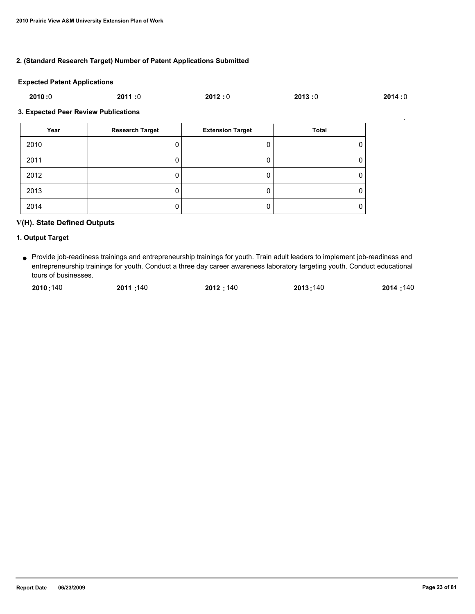### **2. (Standard Research Target) Number of Patent Applications Submitted**

#### **Expected Patent Applications**

| 2010:0 | 2011:0 | 2012:0 | 2013:0 | 2014:0 |
|--------|--------|--------|--------|--------|
|        |        |        |        |        |

### **3. Expected Peer Review Publications**

| Year | <b>Research Target</b> | <b>Extension Target</b> | <b>Total</b> |
|------|------------------------|-------------------------|--------------|
| 2010 |                        |                         | 0            |
| 2011 | υ                      |                         | 0            |
| 2012 |                        |                         | 0            |
| 2013 | U                      |                         | 0            |
| 2014 |                        |                         | 0            |

### **V(H). State Defined Outputs**

### **1. Output Target**

Provide job-readiness trainings and entrepreneurship trainings for youth. Train adult leaders to implement job-readiness and ● entrepreneurship trainings for youth. Conduct a three day career awareness laboratory targeting youth. Conduct educational tours of businesses.

| 2010:140 | 2011: 140 | 2012:140 | 2013:140 | 2014:140 |
|----------|-----------|----------|----------|----------|
|          |           |          |          |          |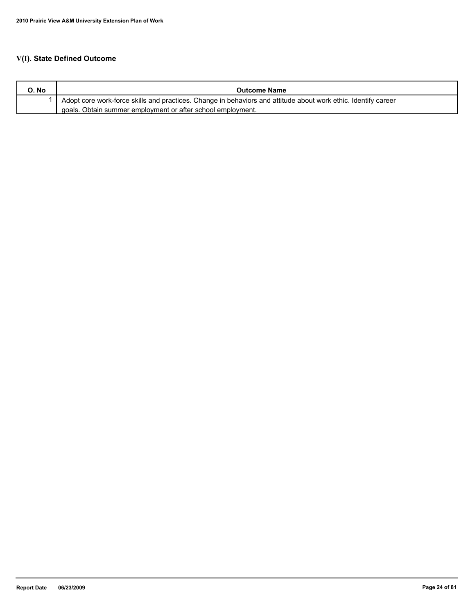## **V(I). State Defined Outcome**

| O. No | <b>Outcome Name</b>                                                                                            |
|-------|----------------------------------------------------------------------------------------------------------------|
|       | Adopt core work-force skills and practices. Change in behaviors and attitude about work ethic. Identify career |
|       | goals. Obtain summer employment or after school employment.                                                    |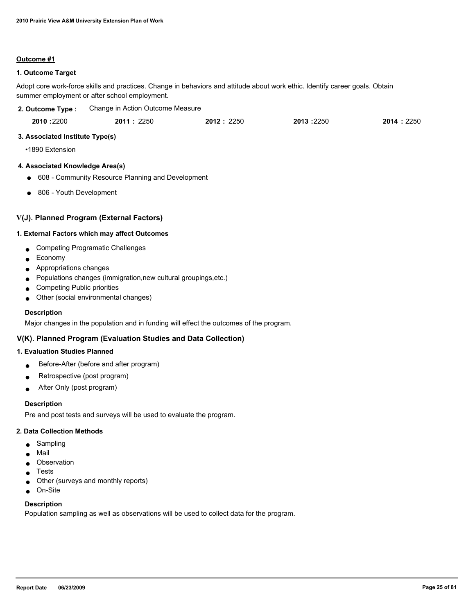### **Outcome #1**

### **1. Outcome Target**

Adopt core work-force skills and practices. Change in behaviors and attitude about work ethic. Identify career goals. Obtain summer employment or after school employment.

| 2. Outcome Type:                     | Change in Action Outcome Measure                  |            |           |           |
|--------------------------------------|---------------------------------------------------|------------|-----------|-----------|
| 2010 : 2200                          | 2011:2250                                         | 2012: 2250 | 2013:2250 | 2014:2250 |
| 3. Associated Institute Type(s)      |                                                   |            |           |           |
| •1890 Extension                      |                                                   |            |           |           |
| 4. Associated Knowledge Area(s)      |                                                   |            |           |           |
| $\bullet$                            | 608 - Community Resource Planning and Development |            |           |           |
| 806 - Youth Development<br>$\bullet$ |                                                   |            |           |           |
|                                      |                                                   |            |           |           |
|                                      | V(J). Planned Program (External Factors)          |            |           |           |

## **1. External Factors which may affect Outcomes**

- Competing Programatic Challenges
- Economy
- Appropriations changes
- Populations changes (immigration, new cultural groupings, etc.)
- Competing Public priorities
- Other (social environmental changes)

### **Description**

Major changes in the population and in funding will effect the outcomes of the program.

### **V(K). Planned Program (Evaluation Studies and Data Collection)**

### **1. Evaluation Studies Planned**

- Before-After (before and after program)
- Retrospective (post program)
- After Only (post program)

### **Description**

Pre and post tests and surveys will be used to evaluate the program.

### **2. Data Collection Methods**

- Sampling
- Mail
- Observation
- **Tests**
- Other (surveys and monthly reports)
- On-Site

### **Description**

Population sampling as well as observations will be used to collect data for the program.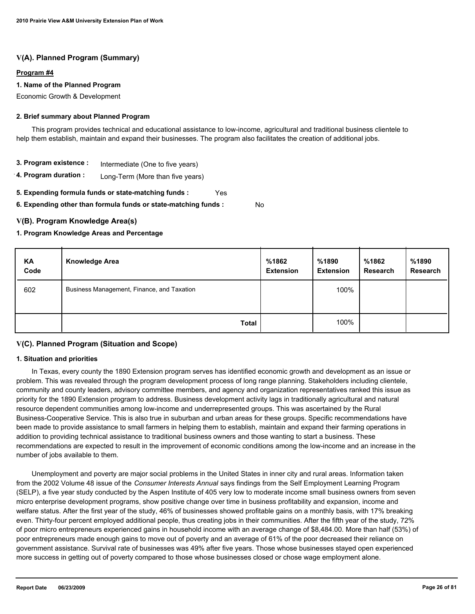### **V(A). Planned Program (Summary)**

### **Program #4**

### **1. Name of the Planned Program**

Economic Growth & Development

### **2. Brief summary about Planned Program**

 This program provides technical and educational assistance to low-income, agricultural and traditional business clientele to help them establish, maintain and expand their businesses. The program also facilitates the creation of additional jobs.

- **3. Program existence :** Intermediate (One to five years)
- **4. Program duration :** Long-Term (More than five years)
- **5. Expending formula funds or state-matching funds :** Yes

**6. Expending other than formula funds or state-matching funds :**

### **V(B). Program Knowledge Area(s)**

### **1. Program Knowledge Areas and Percentage**

| KA<br>Code | <b>Knowledge Area</b>                      | %1862<br><b>Extension</b> | %1890<br><b>Extension</b> | %1862<br><b>Research</b> | %1890<br><b>Research</b> |
|------------|--------------------------------------------|---------------------------|---------------------------|--------------------------|--------------------------|
| 602        | Business Management, Finance, and Taxation |                           | 100%                      |                          |                          |
|            | <b>Total</b>                               |                           | 100%                      |                          |                          |

No

### **V(C). Planned Program (Situation and Scope)**

### **1. Situation and priorities**

 In Texas, every county the 1890 Extension program serves has identified economic growth and development as an issue or problem. This was revealed through the program development process of long range planning. Stakeholders including clientele, community and county leaders, advisory committee members, and agency and organization representatives ranked this issue as priority for the 1890 Extension program to address. Business development activity lags in traditionally agricultural and natural resource dependent communities among low-income and underrepresented groups. This was ascertained by the Rural Business-Cooperative Service. This is also true in suburban and urban areas for these groups. Specific recommendations have been made to provide assistance to small farmers in helping them to establish, maintain and expand their farming operations in addition to providing technical assistance to traditional business owners and those wanting to start a business. These recommendations are expected to result in the improvement of economic conditions among the low-income and an increase in the number of jobs available to them.

 Unemployment and poverty are major social problems in the United States in inner city and rural areas. Information taken from the 2002 Volume 48 issue of the *Consumer Interests Annual* says findings from the Self Employment Learning Program (SELP), a five year study conducted by the Aspen Institute of 405 very low to moderate income small business owners from seven micro enterprise development programs, show positive change over time in business profitability and expansion, income and welfare status. After the first year of the study, 46% of businesses showed profitable gains on a monthly basis, with 17% breaking even. Thirty-four percent employed additional people, thus creating jobs in their communities. After the fifth year of the study, 72% of poor micro entrepreneurs experienced gains in household income with an average change of \$8,484.00. More than half (53%) of poor entrepreneurs made enough gains to move out of poverty and an average of 61% of the poor decreased their reliance on government assistance. Survival rate of businesses was 49% after five years. Those whose businesses stayed open experienced more success in getting out of poverty compared to those whose businesses closed or chose wage employment alone.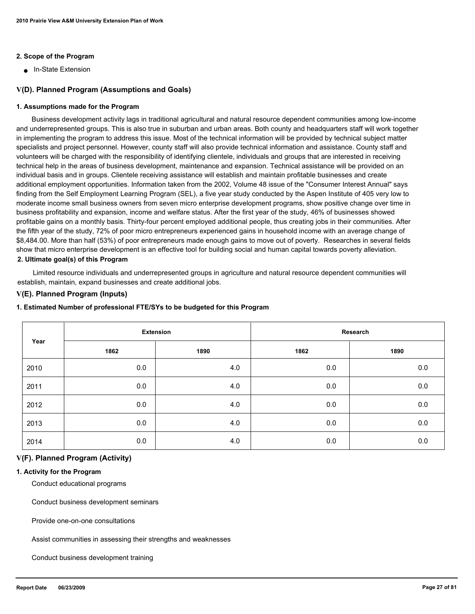### **2. Scope of the Program**

■ In-State Extension

### **V(D). Planned Program (Assumptions and Goals)**

#### **1. Assumptions made for the Program**

 Business development activity lags in traditional agricultural and natural resource dependent communities among low-income and underrepresented groups. This is also true in suburban and urban areas. Both county and headquarters staff will work together in implementing the program to address this issue. Most of the technical information will be provided by technical subject matter specialists and project personnel. However, county staff will also provide technical information and assistance. County staff and volunteers will be charged with the responsibility of identifying clientele, individuals and groups that are interested in receiving technical help in the areas of business development, maintenance and expansion. Technical assistance will be provided on an individual basis and in groups. Clientele receiving assistance will establish and maintain profitable businesses and create additional employment opportunities. Information taken from the 2002, Volume 48 issue of the "Consumer Interest Annual" says finding from the Self Employment Learning Program (SEL), a five year study conducted by the Aspen Institute of 405 very low to moderate income small business owners from seven micro enterprise development programs, show positive change over time in business profitability and expansion, income and welfare status. After the first year of the study, 46% of businesses showed profitable gains on a monthly basis. Thirty-four percent employed additional people, thus creating jobs in their communities. After the fifth year of the study, 72% of poor micro entrepreneurs experienced gains in household income with an average change of \$8,484.00. More than half (53%) of poor entrepreneurs made enough gains to move out of poverty. Researches in several fields show that micro enterprise development is an effective tool for building social and human capital towards poverty alleviation. **2. Ultimate goal(s) of this Program**

 Limited resource individuals and underrepresented groups in agriculture and natural resource dependent communities will establish, maintain, expand businesses and create additional jobs.

### **V(E). Planned Program (Inputs)**

#### **1. Estimated Number of professional FTE/SYs to be budgeted for this Program**

| Year |      | <b>Extension</b> |      | Research |
|------|------|------------------|------|----------|
|      | 1862 | 1890             | 1862 | 1890     |
| 2010 | 0.0  | 4.0              | 0.0  | 0.0      |
| 2011 | 0.0  | 4.0              | 0.0  | 0.0      |
| 2012 | 0.0  | 4.0              | 0.0  | 0.0      |
| 2013 | 0.0  | 4.0              | 0.0  | 0.0      |
| 2014 | 0.0  | 4.0              | 0.0  | 0.0      |

#### **V(F). Planned Program (Activity)**

#### **1. Activity for the Program**

Conduct educational programs

Conduct business development seminars

Provide one-on-one consultations

Assist communities in assessing their strengths and weaknesses

Conduct business development training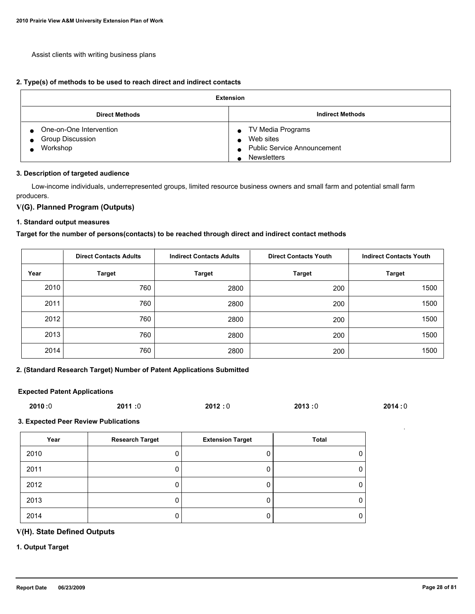Assist clients with writing business plans

#### **2. Type(s) of methods to be used to reach direct and indirect contacts**

| <b>Extension</b>                                                                         |                                                                                            |  |  |  |
|------------------------------------------------------------------------------------------|--------------------------------------------------------------------------------------------|--|--|--|
| <b>Direct Methods</b>                                                                    | <b>Indirect Methods</b>                                                                    |  |  |  |
| One-on-One Intervention<br>$\bullet$<br><b>Group Discussion</b><br>$\bullet$<br>Workshop | TV Media Programs<br>Web sites<br><b>Public Service Announcement</b><br><b>Newsletters</b> |  |  |  |

#### **3. Description of targeted audience**

 Low-income individuals, underrepresented groups, limited resource business owners and small farm and potential small farm producers.

### **V(G). Planned Program (Outputs)**

#### **1. Standard output measures**

### **Target for the number of persons(contacts) to be reached through direct and indirect contact methods**

|      | <b>Direct Contacts Adults</b> | <b>Indirect Contacts Adults</b> | <b>Direct Contacts Youth</b> | <b>Indirect Contacts Youth</b> |
|------|-------------------------------|---------------------------------|------------------------------|--------------------------------|
| Year | <b>Target</b>                 | <b>Target</b>                   | <b>Target</b>                | <b>Target</b>                  |
| 2010 | 760                           | 2800                            | 200                          | 1500                           |
| 2011 | 760                           | 2800                            | 200                          | 1500                           |
| 2012 | 760                           | 2800                            | 200                          | 1500                           |
| 2013 | 760                           | 2800                            | 200                          | 1500                           |
| 2014 | 760                           | 2800                            | 200                          | 1500                           |

### **2. (Standard Research Target) Number of Patent Applications Submitted**

#### **Expected Patent Applications**

| 2010:0 | 2011:0 | 2012:0 | 2013:0 | 2014:0 |
|--------|--------|--------|--------|--------|
|        |        |        |        |        |

#### **3. Expected Peer Review Publications**

| Year | <b>Research Target</b> | <b>Extension Target</b> | Total |
|------|------------------------|-------------------------|-------|
| 2010 |                        |                         |       |
| 2011 |                        |                         |       |
| 2012 |                        |                         | 0     |
| 2013 |                        |                         |       |
| 2014 |                        |                         |       |

## **V(H). State Defined Outputs**

### **1. Output Target**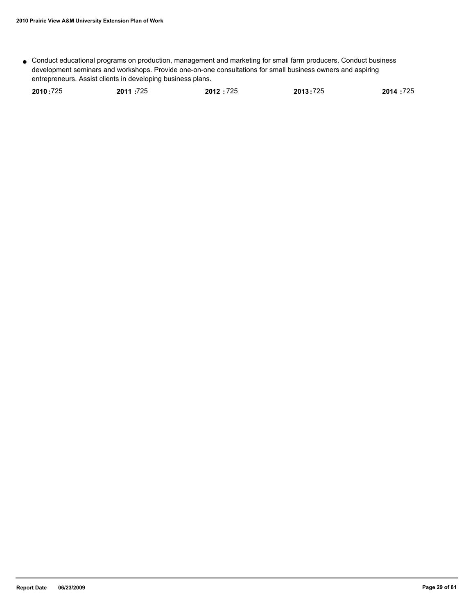Conduct educational programs on production, management and marketing for small farm producers. Conduct business ● development seminars and workshops. Provide one-on-one consultations for small business owners and aspiring entrepreneurs. Assist clients in developing business plans.

| 2010:725 | 2011:725 | 2012:725 | 2013:725 | 2014 :725 |
|----------|----------|----------|----------|-----------|
|          |          |          |          |           |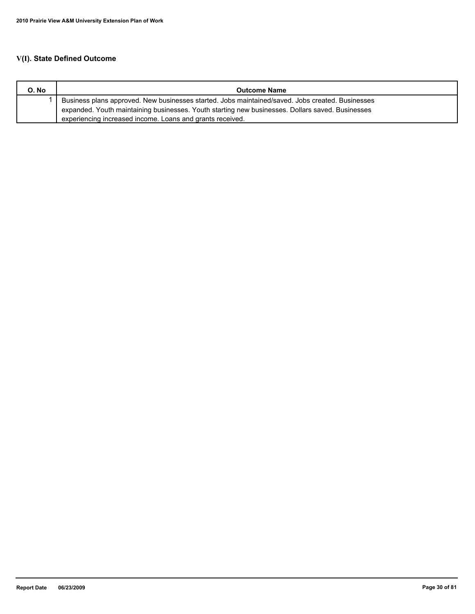## **V(I). State Defined Outcome**

| O. No | <b>Outcome Name</b>                                                                              |
|-------|--------------------------------------------------------------------------------------------------|
|       | Business plans approved. New businesses started. Jobs maintained/saved. Jobs created. Businesses |
|       | expanded. Youth maintaining businesses. Youth starting new businesses. Dollars saved. Businesses |
|       | experiencing increased income. Loans and grants received.                                        |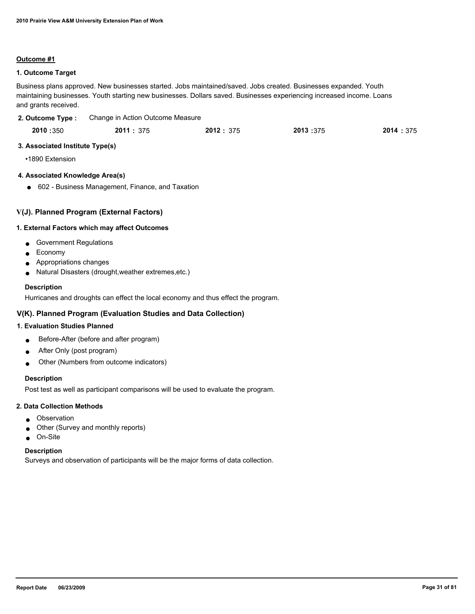### **Outcome #1**

### **1. Outcome Target**

Business plans approved. New businesses started. Jobs maintained/saved. Jobs created. Businesses expanded. Youth maintaining businesses. Youth starting new businesses. Dollars saved. Businesses experiencing increased income. Loans and grants received.

| 2. Outcome Type: | Change in Action Outcome Measure |
|------------------|----------------------------------|
|                  |                                  |

| 2010:350 | 2011:375 | 2012: 375 | 2013:375 | 2014: 375 |
|----------|----------|-----------|----------|-----------|
|          |          |           |          |           |

### **3. Associated Institute Type(s)**

•1890 Extension

### **4. Associated Knowledge Area(s)**

● 602 - Business Management, Finance, and Taxation

### **V(J). Planned Program (External Factors)**

### **1. External Factors which may affect Outcomes**

- Government Regulations
- Economy
- Appropriations changes
- Natural Disasters (drought,weather extremes,etc.)

### **Description**

Hurricanes and droughts can effect the local economy and thus effect the program.

### **V(K). Planned Program (Evaluation Studies and Data Collection)**

### **1. Evaluation Studies Planned**

- Before-After (before and after program)
- After Only (post program)
- Other (Numbers from outcome indicators)

### **Description**

Post test as well as participant comparisons will be used to evaluate the program.

### **2. Data Collection Methods**

- Observation
- Other (Survey and monthly reports)
- On-Site

### **Description**

Surveys and observation of participants will be the major forms of data collection.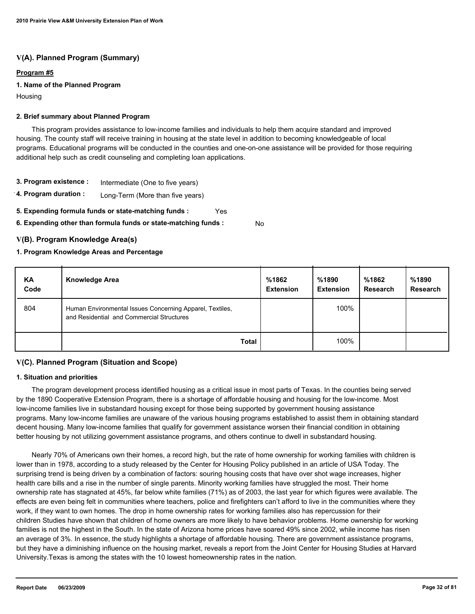### **V(A). Planned Program (Summary)**

### **Program #5**

### **1. Name of the Planned Program**

**Housing** 

### **2. Brief summary about Planned Program**

 This program provides assistance to low-income families and individuals to help them acquire standard and improved housing. The county staff will receive training in housing at the state level in addition to becoming knowledgeable of local programs. Educational programs will be conducted in the counties and one-on-one assistance will be provided for those requiring additional help such as credit counseling and completing loan applications.

- **3. Program existence :** Intermediate (One to five years)
- **4. Program duration :** Long-Term (More than five years)
- **5. Expending formula funds or state-matching funds :** Yes
- **6. Expending other than formula funds or state-matching funds :** No

### **V(B). Program Knowledge Area(s)**

### **1. Program Knowledge Areas and Percentage**

| KA<br>Code | <b>Knowledge Area</b>                                                                                 | %1862<br><b>Extension</b> | %1890<br><b>Extension</b> | %1862<br><b>Research</b> | %1890<br><b>Research</b> |
|------------|-------------------------------------------------------------------------------------------------------|---------------------------|---------------------------|--------------------------|--------------------------|
| 804        | Human Environmental Issues Concerning Apparel, Textiles,<br>and Residential and Commercial Structures |                           | 100%                      |                          |                          |
|            | <b>Total</b>                                                                                          |                           | 100%                      |                          |                          |

### **V(C). Planned Program (Situation and Scope)**

### **1. Situation and priorities**

 The program development process identified housing as a critical issue in most parts of Texas. In the counties being served by the 1890 Cooperative Extension Program, there is a shortage of affordable housing and housing for the low-income. Most low-income families live in substandard housing except for those being supported by government housing assistance programs. Many low-income families are unaware of the various housing programs established to assist them in obtaining standard decent housing. Many low-income families that qualify for government assistance worsen their financial condition in obtaining better housing by not utilizing government assistance programs, and others continue to dwell in substandard housing.

 Nearly 70% of Americans own their homes, a record high, but the rate of home ownership for working families with children is lower than in 1978, according to a study released by the Center for Housing Policy published in an article of USA Today. The surprising trend is being driven by a combination of factors: souring housing costs that have over shot wage increases, higher health care bills and a rise in the number of single parents. Minority working families have struggled the most. Their home ownership rate has stagnated at 45%, far below white families (71%) as of 2003, the last year for which figures were available. The effects are even being felt in communities where teachers, police and firefighters can't afford to live in the communities where they work, if they want to own homes. The drop in home ownership rates for working families also has repercussion for their children Studies have shown that children of home owners are more likely to have behavior problems. Home ownership for working families is not the highest in the South. In the state of Arizona home prices have soared 49% since 2002, while income has risen an average of 3%. In essence, the study highlights a shortage of affordable housing. There are government assistance programs, but they have a diminishing influence on the housing market, reveals a report from the Joint Center for Housing Studies at Harvard University.Texas is among the states with the 10 lowest homeownership rates in the nation.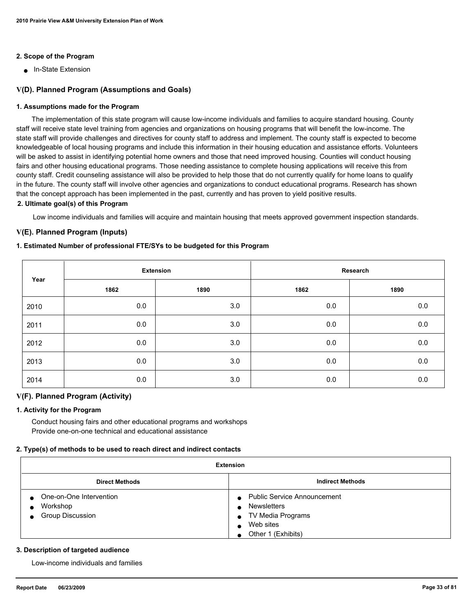### **2. Scope of the Program**

■ In-State Extension

### **V(D). Planned Program (Assumptions and Goals)**

### **1. Assumptions made for the Program**

 The implementation of this state program will cause low-income individuals and families to acquire standard housing. County staff will receive state level training from agencies and organizations on housing programs that will benefit the low-income. The state staff will provide challenges and directives for county staff to address and implement. The county staff is expected to become knowledgeable of local housing programs and include this information in their housing education and assistance efforts. Volunteers will be asked to assist in identifying potential home owners and those that need improved housing. Counties will conduct housing fairs and other housing educational programs. Those needing assistance to complete housing applications will receive this from county staff. Credit counseling assistance will also be provided to help those that do not currently qualify for home loans to qualify in the future. The county staff will involve other agencies and organizations to conduct educational programs. Research has shown that the concept approach has been implemented in the past, currently and has proven to yield positive results.

### **2. Ultimate goal(s) of this Program**

Low income individuals and families will acquire and maintain housing that meets approved government inspection standards.

### **V(E). Planned Program (Inputs)**

### **1. Estimated Number of professional FTE/SYs to be budgeted for this Program**

| Year | <b>Extension</b> |      | Research |         |
|------|------------------|------|----------|---------|
|      | 1862             | 1890 | 1862     | 1890    |
| 2010 | 0.0              | 3.0  | 0.0      | 0.0     |
| 2011 | 0.0              | 3.0  | 0.0      | $0.0\,$ |
| 2012 | 0.0              | 3.0  | 0.0      | $0.0\,$ |
| 2013 | 0.0              | 3.0  | 0.0      | 0.0     |
| 2014 | 0.0              | 3.0  | 0.0      | 0.0     |

### **V(F). Planned Program (Activity)**

### **1. Activity for the Program**

 Conduct housing fairs and other educational programs and workshops Provide one-on-one technical and educational assistance

### **2. Type(s) of methods to be used to reach direct and indirect contacts**

| <b>Extension</b>                                               |                                                                                                                                                           |  |  |
|----------------------------------------------------------------|-----------------------------------------------------------------------------------------------------------------------------------------------------------|--|--|
| <b>Indirect Methods</b><br><b>Direct Methods</b>               |                                                                                                                                                           |  |  |
| One-on-One Intervention<br>Workshop<br><b>Group Discussion</b> | <b>Public Service Announcement</b><br>$\bullet$<br><b>Newsletters</b><br>$\bullet$<br>• TV Media Programs<br>Web sites<br>Other 1 (Exhibits)<br>$\bullet$ |  |  |

### **3. Description of targeted audience**

Low-income individuals and families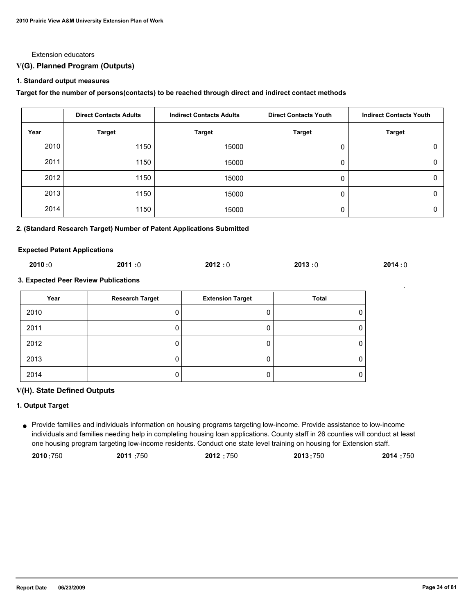#### Extension educators

### **V(G). Planned Program (Outputs)**

#### **1. Standard output measures**

### **Target for the number of persons(contacts) to be reached through direct and indirect contact methods**

|      | <b>Direct Contacts Adults</b> | <b>Indirect Contacts Adults</b> | <b>Direct Contacts Youth</b> | <b>Indirect Contacts Youth</b> |
|------|-------------------------------|---------------------------------|------------------------------|--------------------------------|
| Year | <b>Target</b>                 | <b>Target</b>                   | <b>Target</b>                | <b>Target</b>                  |
| 2010 | 1150                          | 15000                           | 0                            | 0                              |
| 2011 | 1150                          | 15000                           | 0                            | 0                              |
| 2012 | 1150                          | 15000                           | 0                            | 0                              |
| 2013 | 1150                          | 15000                           | 0                            | 0                              |
| 2014 | 1150                          | 15000                           | 0                            | 0                              |

#### **2. (Standard Research Target) Number of Patent Applications Submitted**

#### **Expected Patent Applications**

| 2010 :0<br>2013:0<br>2011:0<br>2012:0<br>2014:0 |
|-------------------------------------------------|
|-------------------------------------------------|

### **3. Expected Peer Review Publications**

| Year | <b>Research Target</b> | <b>Extension Target</b> | Total |
|------|------------------------|-------------------------|-------|
| 2010 |                        |                         |       |
| 2011 |                        |                         |       |
| 2012 |                        |                         |       |
| 2013 |                        |                         |       |
| 2014 |                        |                         |       |

### **V(H). State Defined Outputs**

### **1. Output Target**

Provide families and individuals information on housing programs targeting low-income. Provide assistance to low-income ● individuals and families needing help in completing housing loan applications. County staff in 26 counties will conduct at least one housing program targeting low-income residents. Conduct one state level training on housing for Extension staff.

| 2010:750 | 2011:750 | 2012:750 | 2013:750 | 2014 :750 |
|----------|----------|----------|----------|-----------|
|----------|----------|----------|----------|-----------|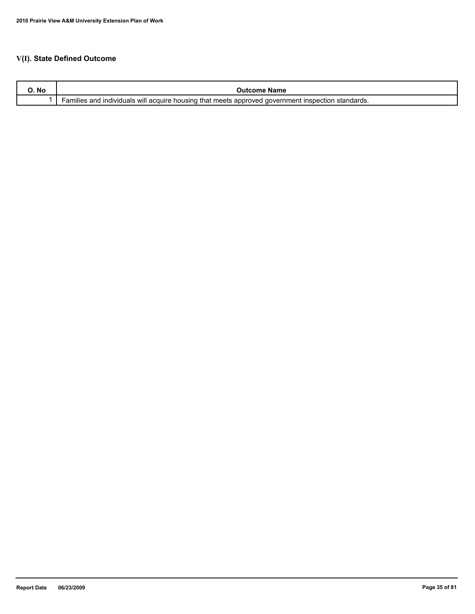## **V(I). State Defined Outcome**

| O. No | name<br>:ome                                                                                                                                            |
|-------|---------------------------------------------------------------------------------------------------------------------------------------------------------|
|       | ⊧that meets<br>individuals will acquire<br>, housino<br>approved<br>$\sim$<br>ano<br>aovernment<br><b>INS</b><br>າເແes<br>standards.<br>าspection<br>aı |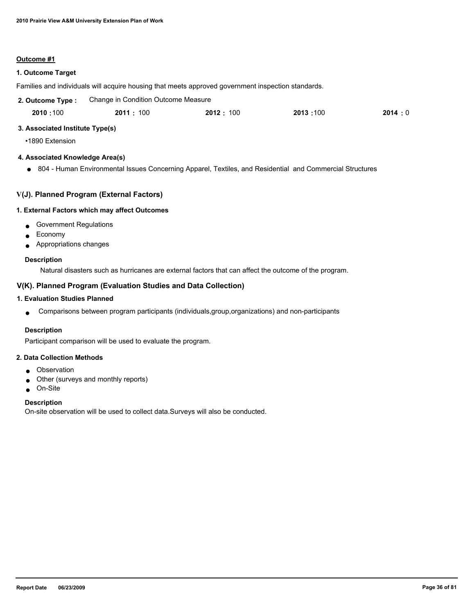### **Outcome #1**

### **1. Outcome Target**

Families and individuals will acquire housing that meets approved government inspection standards.

| 2. Outcome Type: | Change in Condition Outcome Measure |          |          |        |
|------------------|-------------------------------------|----------|----------|--------|
| 2010:100         | 2011:100                            | 2012:100 | 2013:100 | 2014:0 |

### **3. Associated Institute Type(s)**

•1890 Extension

### **4. Associated Knowledge Area(s)**

● 804 - Human Environmental Issues Concerning Apparel, Textiles, and Residential and Commercial Structures

### **V(J). Planned Program (External Factors)**

### **1. External Factors which may affect Outcomes**

- Government Regulations
- Economy
- Appropriations changes

### **Description**

Natural disasters such as hurricanes are external factors that can affect the outcome of the program.

### **V(K). Planned Program (Evaluation Studies and Data Collection)**

### **1. Evaluation Studies Planned**

● Comparisons between program participants (individuals,group,organizations) and non-participants

### **Description**

Participant comparison will be used to evaluate the program.

### **2. Data Collection Methods**

- Observation
- Other (surveys and monthly reports)
- On-Site

### **Description**

On-site observation will be used to collect data.Surveys will also be conducted.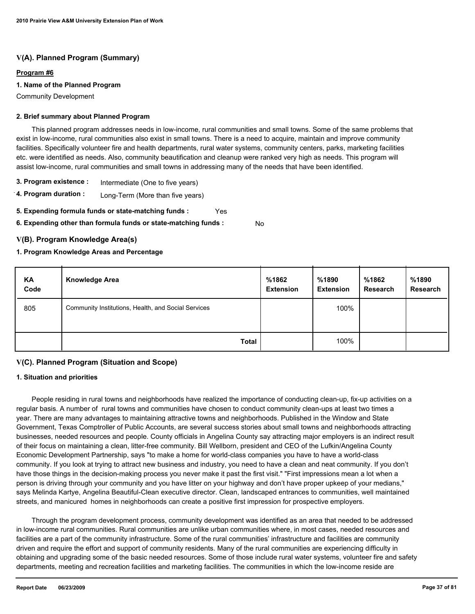### **Program #6**

### **1. Name of the Planned Program**

Community Development

#### **2. Brief summary about Planned Program**

 This planned program addresses needs in low-income, rural communities and small towns. Some of the same problems that exist in low-income, rural communities also exist in small towns. There is a need to acquire, maintain and improve community facilities. Specifically volunteer fire and health departments, rural water systems, community centers, parks, marketing facilities etc. were identified as needs. Also, community beautification and cleanup were ranked very high as needs. This program will assist low-income, rural communities and small towns in addressing many of the needs that have been identified.

- **3. Program existence :** Intermediate (One to five years)
- **4. Program duration :** Long-Term (More than five years)
- **5. Expending formula funds or state-matching funds :** Yes
- **6. Expending other than formula funds or state-matching funds :** No

### **V(B). Program Knowledge Area(s)**

### **1. Program Knowledge Areas and Percentage**

| ΚA<br>Code | <b>Knowledge Area</b>                               | %1862<br><b>Extension</b> | %1890<br><b>Extension</b> | %1862<br><b>Research</b> | %1890<br><b>Research</b> |
|------------|-----------------------------------------------------|---------------------------|---------------------------|--------------------------|--------------------------|
| 805        | Community Institutions, Health, and Social Services |                           | 100%                      |                          |                          |
|            | <b>Total</b>                                        |                           | 100%                      |                          |                          |

# **V(C). Planned Program (Situation and Scope)**

#### **1. Situation and priorities**

 People residing in rural towns and neighborhoods have realized the importance of conducting clean-up, fix-up activities on a regular basis. A number of rural towns and communities have chosen to conduct community clean-ups at least two times a year. There are many advantages to maintaining attractive towns and neighborhoods. Published in the Window and State Government, Texas Comptroller of Public Accounts, are several success stories about small towns and neighborhoods attracting businesses, needed resources and people. County officials in Angelina County say attracting major employers is an indirect result of their focus on maintaining a clean, litter-free community. Bill Wellborn, president and CEO of the Lufkin/Angelina County Economic Development Partnership, says "to make a home for world-class companies you have to have a world-class community. If you look at trying to attract new business and industry, you need to have a clean and neat community. If you don't have those things in the decision-making process you never make it past the first visit." "First impressions mean a lot when a person is driving through your community and you have litter on your highway and don't have proper upkeep of your medians," says Melinda Kartye, Angelina Beautiful-Clean executive director. Clean, landscaped entrances to communities, well maintained streets, and manicured homes in neighborhoods can create a positive first impression for prospective employers.

 Through the program development process, community development was identified as an area that needed to be addressed in low-income rural communities. Rural communities are unlike urban communities where, in most cases, needed resources and facilities are a part of the community infrastructure. Some of the rural communities' infrastructure and facilities are community driven and require the effort and support of community residents. Many of the rural communities are experiencing difficulty in obtaining and upgrading some of the basic needed resources. Some of those include rural water systems, volunteer fire and safety departments, meeting and recreation facilities and marketing facilities. The communities in which the low-income reside are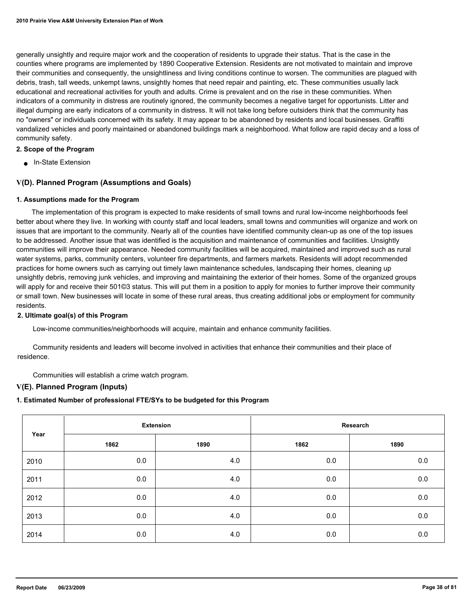generally unsightly and require major work and the cooperation of residents to upgrade their status. That is the case in the counties where programs are implemented by 1890 Cooperative Extension. Residents are not motivated to maintain and improve their communities and consequently, the unsightliness and living conditions continue to worsen. The communities are plagued with debris, trash, tall weeds, unkempt lawns, unsightly homes that need repair and painting, etc. These communities usually lack educational and recreational activities for youth and adults. Crime is prevalent and on the rise in these communities. When indicators of a community in distress are routinely ignored, the community becomes a negative target for opportunists. Litter and illegal dumping are early indicators of a community in distress. It will not take long before outsiders think that the community has no "owners" or individuals concerned with its safety. It may appear to be abandoned by residents and local businesses. Graffiti vandalized vehicles and poorly maintained or abandoned buildings mark a neighborhood. What follow are rapid decay and a loss of community safety.

#### **2. Scope of the Program**

■ In-State Extension

### **V(D). Planned Program (Assumptions and Goals)**

#### **1. Assumptions made for the Program**

 The implementation of this program is expected to make residents of small towns and rural low-income neighborhoods feel better about where they live. In working with county staff and local leaders, small towns and communities will organize and work on issues that are important to the community. Nearly all of the counties have identified community clean-up as one of the top issues to be addressed. Another issue that was identified is the acquisition and maintenance of communities and facilities. Unsightly communities will improve their appearance. Needed community facilities will be acquired, maintained and improved such as rural water systems, parks, community centers, volunteer fire departments, and farmers markets. Residents will adopt recommended practices for home owners such as carrying out timely lawn maintenance schedules, landscaping their homes, cleaning up unsightly debris, removing junk vehicles, and improving and maintaining the exterior of their homes. Some of the organized groups will apply for and receive their 501©3 status. This will put them in a position to apply for monies to further improve their community or small town. New businesses will locate in some of these rural areas, thus creating additional jobs or employment for community residents.

#### **2. Ultimate goal(s) of this Program**

Low-income communities/neighborhoods will acquire, maintain and enhance community facilities.

 Community residents and leaders will become involved in activities that enhance their communities and their place of residence.

Communities will establish a crime watch program.

## **V(E). Planned Program (Inputs)**

# **1. Estimated Number of professional FTE/SYs to be budgeted for this Program**

|      |      | <b>Extension</b> |      | Research |
|------|------|------------------|------|----------|
| Year | 1862 | 1890             | 1862 | 1890     |
| 2010 | 0.0  | 4.0              | 0.0  | 0.0      |
| 2011 | 0.0  | 4.0              | 0.0  | 0.0      |
| 2012 | 0.0  | 4.0              | 0.0  | 0.0      |
| 2013 | 0.0  | 4.0              | 0.0  | 0.0      |
| 2014 | 0.0  | 4.0              | 0.0  | 0.0      |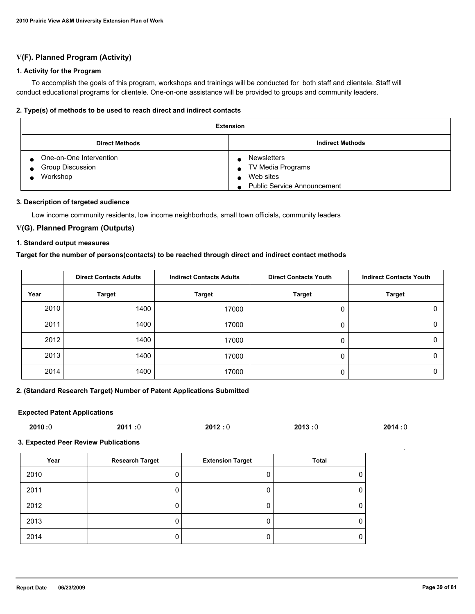# **V(F). Planned Program (Activity)**

#### **1. Activity for the Program**

 To accomplish the goals of this program, workshops and trainings will be conducted for both staff and clientele. Staff will conduct educational programs for clientele. One-on-one assistance will be provided to groups and community leaders.

#### **2. Type(s) of methods to be used to reach direct and indirect contacts**

| Extension                                                      |                                                                                            |  |
|----------------------------------------------------------------|--------------------------------------------------------------------------------------------|--|
| <b>Direct Methods</b>                                          | <b>Indirect Methods</b>                                                                    |  |
| One-on-One Intervention<br><b>Group Discussion</b><br>Workshop | <b>Newsletters</b><br>TV Media Programs<br>Web sites<br><b>Public Service Announcement</b> |  |

#### **3. Description of targeted audience**

Low income community residents, low income neighborhods, small town officials, community leaders

## **V(G). Planned Program (Outputs)**

### **1. Standard output measures**

### **Target for the number of persons(contacts) to be reached through direct and indirect contact methods**

|      | <b>Direct Contacts Adults</b> | <b>Indirect Contacts Adults</b> | <b>Direct Contacts Youth</b> | <b>Indirect Contacts Youth</b> |
|------|-------------------------------|---------------------------------|------------------------------|--------------------------------|
| Year | <b>Target</b>                 | <b>Target</b>                   | <b>Target</b>                | <b>Target</b>                  |
| 2010 | 1400                          | 17000                           |                              |                                |
| 2011 | 1400                          | 17000                           |                              |                                |
| 2012 | 1400                          | 17000                           |                              |                                |
| 2013 | 1400                          | 17000                           |                              |                                |
| 2014 | 1400                          | 17000                           |                              |                                |

#### **2. (Standard Research Target) Number of Patent Applications Submitted**

#### **Expected Patent Applications**

| 2010 :0 | 2011:0 | 2012:0 | 2013:0 | 2014:0 |
|---------|--------|--------|--------|--------|
|         |        |        |        |        |

#### **3. Expected Peer Review Publications**

| Year | <b>Research Target</b> | <b>Extension Target</b> | Total |
|------|------------------------|-------------------------|-------|
| 2010 | 0                      |                         | 0     |
| 2011 | 0                      |                         | 0     |
| 2012 | 0                      |                         | 0     |
| 2013 | 0                      |                         | 0     |
| 2014 | 0                      |                         | 0     |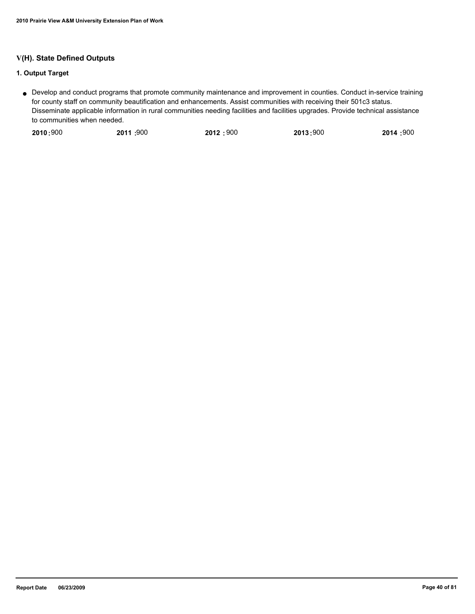# **V(H). State Defined Outputs**

# **1. Output Target**

Develop and conduct programs that promote community maintenance and improvement in counties. Conduct in-service training ● for county staff on community beautification and enhancements. Assist communities with receiving their 501c3 status. Disseminate applicable information in rural communities needing facilities and facilities upgrades. Provide technical assistance to communities when needed.

|  | 2010:900 | 2011 :900 | 2012:900 | 2013:900 | 2014 :900 |
|--|----------|-----------|----------|----------|-----------|
|--|----------|-----------|----------|----------|-----------|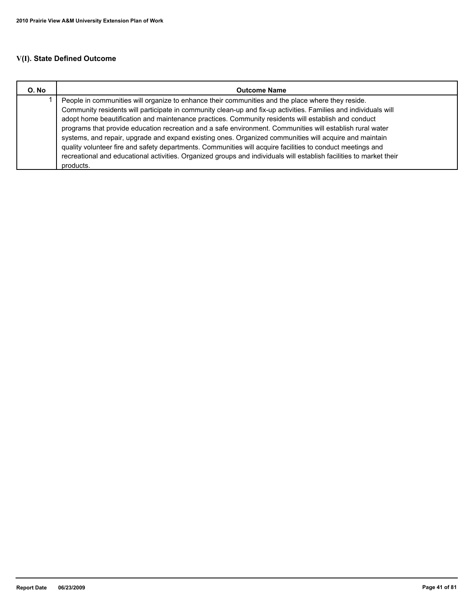# **V(I). State Defined Outcome**

| O. No | <b>Outcome Name</b>                                                                                                                                                                                                                                                                                                                                                                                                                                                                                                                                                                                                                                                                                                                                                                                  |  |
|-------|------------------------------------------------------------------------------------------------------------------------------------------------------------------------------------------------------------------------------------------------------------------------------------------------------------------------------------------------------------------------------------------------------------------------------------------------------------------------------------------------------------------------------------------------------------------------------------------------------------------------------------------------------------------------------------------------------------------------------------------------------------------------------------------------------|--|
|       | People in communities will organize to enhance their communities and the place where they reside.<br>Community residents will participate in community clean-up and fix-up activities. Families and individuals will<br>adopt home beautification and maintenance practices. Community residents will establish and conduct<br>programs that provide education recreation and a safe environment. Communities will establish rural water<br>systems, and repair, upgrade and expand existing ones. Organized communities will acquire and maintain<br>quality volunteer fire and safety departments. Communities will acquire facilities to conduct meetings and<br>recreational and educational activities. Organized groups and individuals will establish facilities to market their<br>products. |  |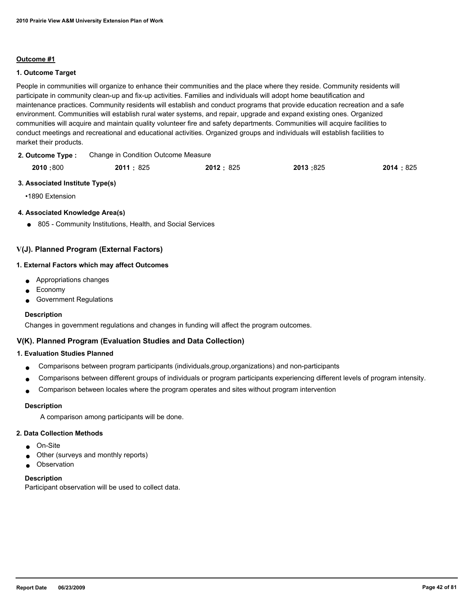#### **Outcome #1**

#### **1. Outcome Target**

People in communities will organize to enhance their communities and the place where they reside. Community residents will participate in community clean-up and fix-up activities. Families and individuals will adopt home beautification and maintenance practices. Community residents will establish and conduct programs that provide education recreation and a safe environment. Communities will establish rural water systems, and repair, upgrade and expand existing ones. Organized communities will acquire and maintain quality volunteer fire and safety departments. Communities will acquire facilities to conduct meetings and recreational and educational activities. Organized groups and individuals will establish facilities to market their products.

Change in Condition Outcome Measure **2. Outcome Type :**

| 2010:800 | 2011: 825 | 2012: 825 | 2013:825 | 2014:825 |
|----------|-----------|-----------|----------|----------|
|          | ____      |           |          |          |

#### **3. Associated Institute Type(s)**

•1890 Extension

### **4. Associated Knowledge Area(s)**

● 805 - Community Institutions, Health, and Social Services

# **V(J). Planned Program (External Factors)**

#### **1. External Factors which may affect Outcomes**

- Appropriations changes
- **Economy**
- **Government Regulations**

#### **Description**

Changes in government regulations and changes in funding will affect the program outcomes.

# **V(K). Planned Program (Evaluation Studies and Data Collection)**

### **1. Evaluation Studies Planned**

- Comparisons between program participants (individuals,group,organizations) and non-participants
- Comparisons between different groups of individuals or program participants experiencing different levels of program intensity.
- Comparison between locales where the program operates and sites without program intervention

#### **Description**

A comparison among participants will be done.

#### **2. Data Collection Methods**

- On-Site
- Other (surveys and monthly reports)
- Observation

#### **Description**

Participant observation will be used to collect data.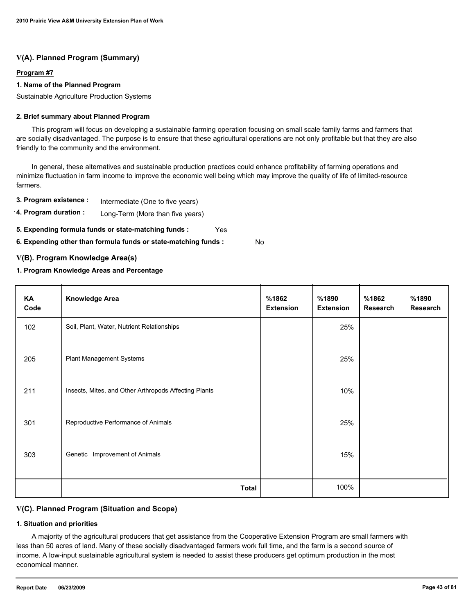# **Program #7**

### **1. Name of the Planned Program**

Sustainable Agriculture Production Systems

#### **2. Brief summary about Planned Program**

 This program will focus on developing a sustainable farming operation focusing on small scale family farms and farmers that are socially disadvantaged. The purpose is to ensure that these agricultural operations are not only profitable but that they are also friendly to the community and the environment.

 In general, these alternatives and sustainable production practices could enhance profitability of farming operations and minimize fluctuation in farm income to improve the economic well being which may improve the quality of life of limited-resource farmers.

**3. Program existence :** Intermediate (One to five years)

**4. Program duration :** Long-Term (More than five years)

**5. Expending formula funds or state-matching funds :** Yes

**6. Expending other than formula funds or state-matching funds :** No

### **V(B). Program Knowledge Area(s)**

#### **1. Program Knowledge Areas and Percentage**

| KA<br>Code | <b>Knowledge Area</b>                                 | %1862<br><b>Extension</b> | %1890<br><b>Extension</b> | %1862<br><b>Research</b> | %1890<br>Research |
|------------|-------------------------------------------------------|---------------------------|---------------------------|--------------------------|-------------------|
| 102        | Soil, Plant, Water, Nutrient Relationships            |                           | 25%                       |                          |                   |
| 205        | <b>Plant Management Systems</b>                       |                           | 25%                       |                          |                   |
| 211        | Insects, Mites, and Other Arthropods Affecting Plants |                           | 10%                       |                          |                   |
| 301        | Reproductive Performance of Animals                   |                           | 25%                       |                          |                   |
| 303        | Genetic Improvement of Animals                        |                           | 15%                       |                          |                   |
|            | <b>Total</b>                                          |                           | 100%                      |                          |                   |

# **V(C). Planned Program (Situation and Scope)**

#### **1. Situation and priorities**

 A majority of the agricultural producers that get assistance from the Cooperative Extension Program are small farmers with less than 50 acres of land. Many of these socially disadvantaged farmers work full time, and the farm is a second source of income. A low-input sustainable agricultural system is needed to assist these producers get optimum production in the most economical manner.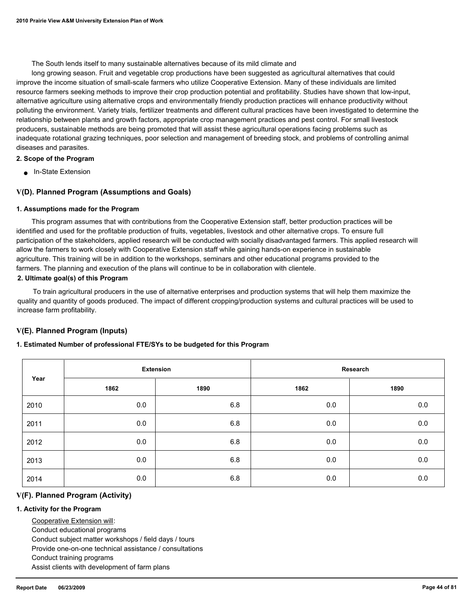The South lends itself to many sustainable alternatives because of its mild climate and

 long growing season. Fruit and vegetable crop productions have been suggested as agricultural alternatives that could improve the income situation of small-scale farmers who utilize Cooperative Extension. Many of these individuals are limited resource farmers seeking methods to improve their crop production potential and profitability. Studies have shown that low-input, alternative agriculture using alternative crops and environmentally friendly production practices will enhance productivity without polluting the environment. Variety trials, fertilizer treatments and different cultural practices have been investigated to determine the relationship between plants and growth factors, appropriate crop management practices and pest control. For small livestock producers, sustainable methods are being promoted that will assist these agricultural operations facing problems such as inadequate rotational grazing techniques, poor selection and management of breeding stock, and problems of controlling animal diseases and parasites.

#### **2. Scope of the Program**

■ In-State Extension

### **V(D). Planned Program (Assumptions and Goals)**

#### **1. Assumptions made for the Program**

 This program assumes that with contributions from the Cooperative Extension staff, better production practices will be identified and used for the profitable production of fruits, vegetables, livestock and other alternative crops. To ensure full participation of the stakeholders, applied research will be conducted with socially disadvantaged farmers. This applied research will allow the farmers to work closely with Cooperative Extension staff while gaining hands-on experience in sustainable agriculture. This training will be in addition to the workshops, seminars and other educational programs provided to the farmers. The planning and execution of the plans will continue to be in collaboration with clientele.

#### **2. Ultimate goal(s) of this Program**

 To train agricultural producers in the use of alternative enterprises and production systems that will help them maximize the quality and quantity of goods produced. The impact of different cropping/production systems and cultural practices will be used to increase farm profitability.

#### **V(E). Planned Program (Inputs)**

#### **1. Estimated Number of professional FTE/SYs to be budgeted for this Program**

|      |      | <b>Extension</b> |         | Research |
|------|------|------------------|---------|----------|
| Year | 1862 | 1890             | 1862    | 1890     |
| 2010 | 0.0  | 6.8              | 0.0     | 0.0      |
| 2011 | 0.0  | 6.8              | 0.0     | 0.0      |
| 2012 | 0.0  | 6.8              | 0.0     | $0.0\,$  |
| 2013 | 0.0  | 6.8              | $0.0\,$ | $0.0\,$  |
| 2014 | 0.0  | 6.8              | 0.0     | 0.0      |

#### **V(F). Planned Program (Activity)**

#### **1. Activity for the Program**

 Cooperative Extension will: Conduct educational programs Conduct subject matter workshops / field days / tours Provide one-on-one technical assistance / consultations Conduct training programs Assist clients with development of farm plans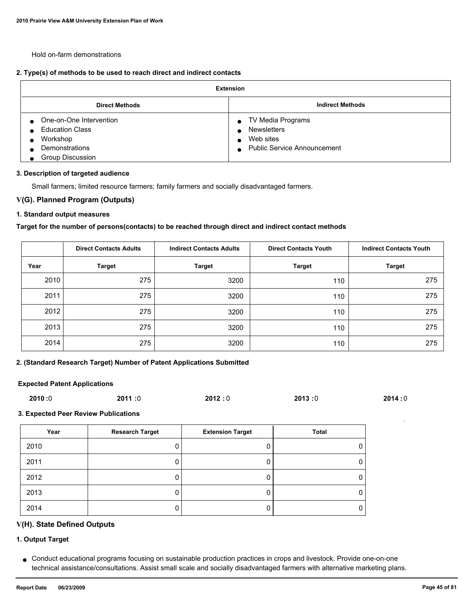Hold on-farm demonstrations

### **2. Type(s) of methods to be used to reach direct and indirect contacts**

| <b>Extension</b>                                                                                           |                                                                                                    |  |  |
|------------------------------------------------------------------------------------------------------------|----------------------------------------------------------------------------------------------------|--|--|
| <b>Direct Methods</b>                                                                                      | <b>Indirect Methods</b>                                                                            |  |  |
| One-on-One Intervention<br><b>Education Class</b><br>Workshop<br>Demonstrations<br><b>Group Discussion</b> | TV Media Programs<br>$\bullet$<br><b>Newsletters</b><br>Web sites<br>■ Public Service Announcement |  |  |

#### **3. Description of targeted audience**

Small farmers; limited resource farmers; family farmers and socially disadvantaged farmers.

#### **V(G). Planned Program (Outputs)**

#### **1. Standard output measures**

#### **Target for the number of persons(contacts) to be reached through direct and indirect contact methods**

|      | <b>Direct Contacts Adults</b> | <b>Indirect Contacts Adults</b> | <b>Direct Contacts Youth</b> | <b>Indirect Contacts Youth</b> |
|------|-------------------------------|---------------------------------|------------------------------|--------------------------------|
| Year | <b>Target</b>                 | <b>Target</b>                   | <b>Target</b>                | <b>Target</b>                  |
| 2010 | 275                           | 3200                            | 110                          | 275                            |
| 2011 | 275                           | 3200                            | 110                          | 275                            |
| 2012 | 275                           | 3200                            | 110                          | 275                            |
| 2013 | 275                           | 3200                            | 110                          | 275                            |
| 2014 | 275                           | 3200                            | 110                          | 275                            |

### **2. (Standard Research Target) Number of Patent Applications Submitted**

### **Expected Patent Applications**

| 2010:0 | 2011:0 | 2012:0 | 2013:0 | 2014:0 |
|--------|--------|--------|--------|--------|
|        |        |        |        |        |

### **3. Expected Peer Review Publications**

| Year | <b>Research Target</b> | <b>Extension Target</b> | <b>Total</b> |
|------|------------------------|-------------------------|--------------|
| 2010 |                        |                         |              |
| 2011 | u                      |                         | υ            |
| 2012 |                        |                         | O            |
| 2013 |                        |                         | O            |
| 2014 |                        |                         | υ            |

### **V(H). State Defined Outputs**

# **1. Output Target**

Conduct educational programs focusing on sustainable production practices in crops and livestock. Provide one-on-one ● technical assistance/consultations. Assist small scale and socially disadvantaged farmers with alternative marketing plans.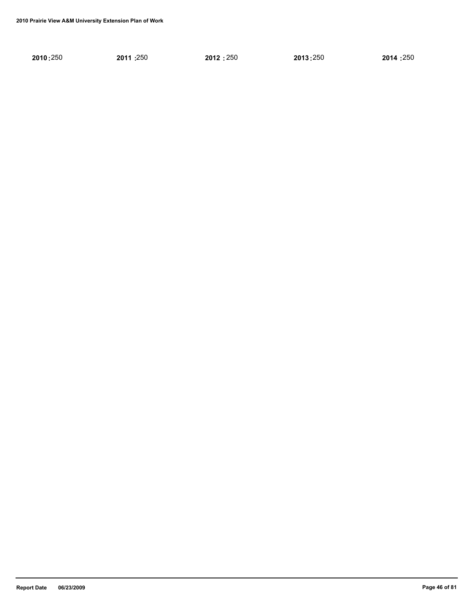| 2010:250 | 2011:250 | 2012:250 | 2013:250 | 2014:250 |
|----------|----------|----------|----------|----------|
|----------|----------|----------|----------|----------|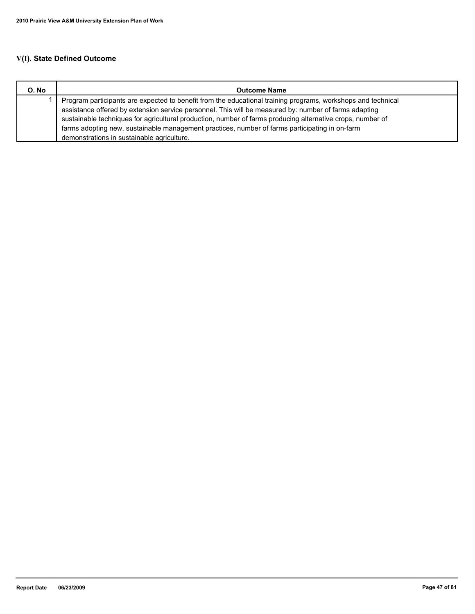# **V(I). State Defined Outcome**

| O. No | <b>Outcome Name</b>                                                                                          |
|-------|--------------------------------------------------------------------------------------------------------------|
|       | Program participants are expected to benefit from the educational training programs, workshops and technical |
|       | assistance offered by extension service personnel. This will be measured by: number of farms adapting        |
|       | sustainable techniques for agricultural production, number of farms producing alternative crops, number of   |
|       | farms adopting new, sustainable management practices, number of farms participating in on-farm               |
|       | demonstrations in sustainable agriculture.                                                                   |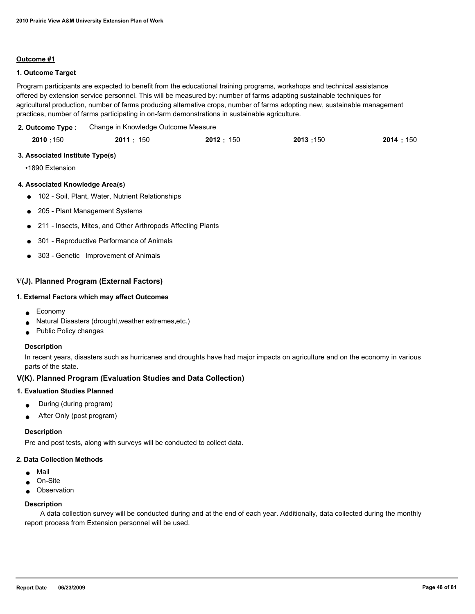#### **Outcome #1**

#### **1. Outcome Target**

Program participants are expected to benefit from the educational training programs, workshops and technical assistance offered by extension service personnel. This will be measured by: number of farms adapting sustainable techniques for agricultural production, number of farms producing alternative crops, number of farms adopting new, sustainable management practices, number of farms participating in on-farm demonstrations in sustainable agriculture.

Change in Knowledge Outcome Measure **2. Outcome Type :**

| 2010:150 | 2011 : 150 | 2012: 150 | 2013:150 | 2014 : 150 |
|----------|------------|-----------|----------|------------|
|          |            |           |          |            |

#### **3. Associated Institute Type(s)**

•1890 Extension

#### **4. Associated Knowledge Area(s)**

- 102 Soil, Plant, Water, Nutrient Relationships
- 205 Plant Management Systems
- 211 Insects, Mites, and Other Arthropods Affecting Plants
- 301 Reproductive Performance of Animals
- 303 Genetic Improvement of Animals

### **V(J). Planned Program (External Factors)**

#### **1. External Factors which may affect Outcomes**

- Economy
- Natural Disasters (drought, weather extremes, etc.)
- Public Policy changes

#### **Description**

In recent years, disasters such as hurricanes and droughts have had major impacts on agriculture and on the economy in various parts of the state.

#### **V(K). Planned Program (Evaluation Studies and Data Collection)**

#### **1. Evaluation Studies Planned**

- During (during program)
- After Only (post program)

#### **Description**

Pre and post tests, along with surveys will be conducted to collect data.

#### **2. Data Collection Methods**

- Mail
- On-Site
- Observation

#### **Description**

 A data collection survey will be conducted during and at the end of each year. Additionally, data collected during the monthly report process from Extension personnel will be used.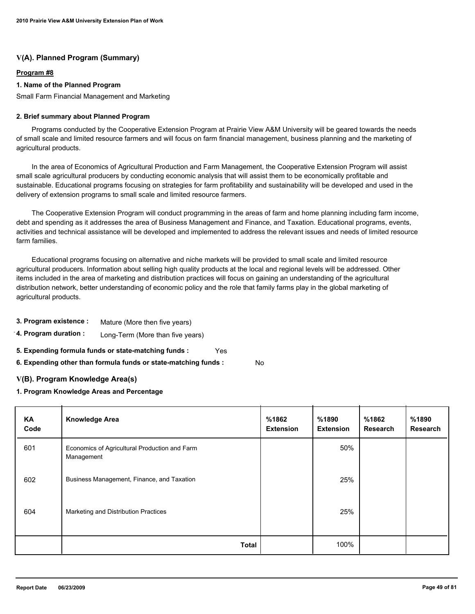# **Program #8**

### **1. Name of the Planned Program**

Small Farm Financial Management and Marketing

#### **2. Brief summary about Planned Program**

 Programs conducted by the Cooperative Extension Program at Prairie View A&M University will be geared towards the needs of small scale and limited resource farmers and will focus on farm financial management, business planning and the marketing of agricultural products.

 In the area of Economics of Agricultural Production and Farm Management, the Cooperative Extension Program will assist small scale agricultural producers by conducting economic analysis that will assist them to be economically profitable and sustainable. Educational programs focusing on strategies for farm profitability and sustainability will be developed and used in the delivery of extension programs to small scale and limited resource farmers.

 The Cooperative Extension Program will conduct programming in the areas of farm and home planning including farm income, debt and spending as it addresses the area of Business Management and Finance, and Taxation. Educational programs, events, activities and technical assistance will be developed and implemented to address the relevant issues and needs of limited resource farm families.

 Educational programs focusing on alternative and niche markets will be provided to small scale and limited resource agricultural producers. Information about selling high quality products at the local and regional levels will be addressed. Other items included in the area of marketing and distribution practices will focus on gaining an understanding of the agricultural distribution network, better understanding of economic policy and the role that family farms play in the global marketing of agricultural products.

- **3. Program existence :** Mature (More then five years)
- **4. Program duration :** Long-Term (More than five years)
- **5. Expending formula funds or state-matching funds :** Yes

**6. Expending other than formula funds or state-matching funds :** No

# **V(B). Program Knowledge Area(s)**

#### **1. Program Knowledge Areas and Percentage**

| <b>KA</b><br>Code | <b>Knowledge Area</b>                                       | %1862<br><b>Extension</b> | %1890<br><b>Extension</b> | %1862<br>Research | %1890<br><b>Research</b> |
|-------------------|-------------------------------------------------------------|---------------------------|---------------------------|-------------------|--------------------------|
| 601               | Economics of Agricultural Production and Farm<br>Management |                           | 50%                       |                   |                          |
| 602               | Business Management, Finance, and Taxation                  |                           | 25%                       |                   |                          |
| 604               | Marketing and Distribution Practices                        |                           | 25%                       |                   |                          |
|                   | Total                                                       |                           | 100%                      |                   |                          |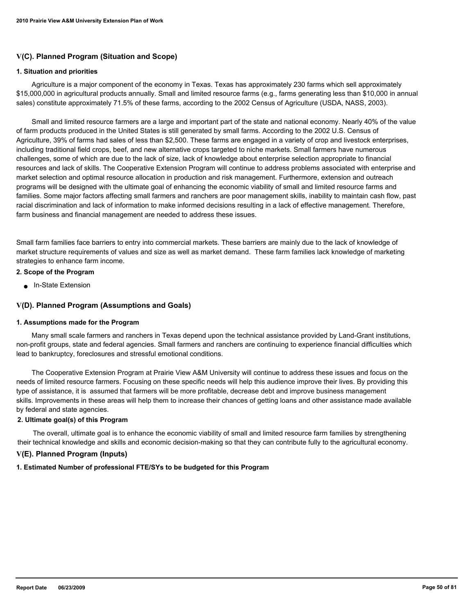# **V(C). Planned Program (Situation and Scope)**

#### **1. Situation and priorities**

 Agriculture is a major component of the economy in Texas. Texas has approximately 230 farms which sell approximately \$15,000,000 in agricultural products annually. Small and limited resource farms (e.g., farms generating less than \$10,000 in annual sales) constitute approximately 71.5% of these farms, according to the 2002 Census of Agriculture (USDA, NASS, 2003).

 Small and limited resource farmers are a large and important part of the state and national economy. Nearly 40% of the value of farm products produced in the United States is still generated by small farms. According to the 2002 U.S. Census of Agriculture, 39% of farms had sales of less than \$2,500. These farms are engaged in a variety of crop and livestock enterprises, including traditional field crops, beef, and new alternative crops targeted to niche markets. Small farmers have numerous challenges, some of which are due to the lack of size, lack of knowledge about enterprise selection appropriate to financial resources and lack of skills. The Cooperative Extension Program will continue to address problems associated with enterprise and market selection and optimal resource allocation in production and risk management. Furthermore, extension and outreach programs will be designed with the ultimate goal of enhancing the economic viability of small and limited resource farms and families. Some major factors affecting small farmers and ranchers are poor management skills, inability to maintain cash flow, past racial discrimination and lack of information to make informed decisions resulting in a lack of effective management. Therefore, farm business and financial management are needed to address these issues.

Small farm families face barriers to entry into commercial markets. These barriers are mainly due to the lack of knowledge of market structure requirements of values and size as well as market demand. These farm families lack knowledge of marketing strategies to enhance farm income.

#### **2. Scope of the Program**

● In-State Extension

#### **V(D). Planned Program (Assumptions and Goals)**

#### **1. Assumptions made for the Program**

 Many small scale farmers and ranchers in Texas depend upon the technical assistance provided by Land-Grant institutions, non-profit groups, state and federal agencies. Small farmers and ranchers are continuing to experience financial difficulties which lead to bankruptcy, foreclosures and stressful emotional conditions.

 The Cooperative Extension Program at Prairie View A&M University will continue to address these issues and focus on the needs of limited resource farmers. Focusing on these specific needs will help this audience improve their lives. By providing this type of assistance, it is assumed that farmers will be more profitable, decrease debt and improve business management skills. Improvements in these areas will help them to increase their chances of getting loans and other assistance made available by federal and state agencies.

#### **2. Ultimate goal(s) of this Program**

 The overall, ultimate goal is to enhance the economic viability of small and limited resource farm families by strengthening their technical knowledge and skills and economic decision-making so that they can contribute fully to the agricultural economy.

# **V(E). Planned Program (Inputs)**

#### **1. Estimated Number of professional FTE/SYs to be budgeted for this Program**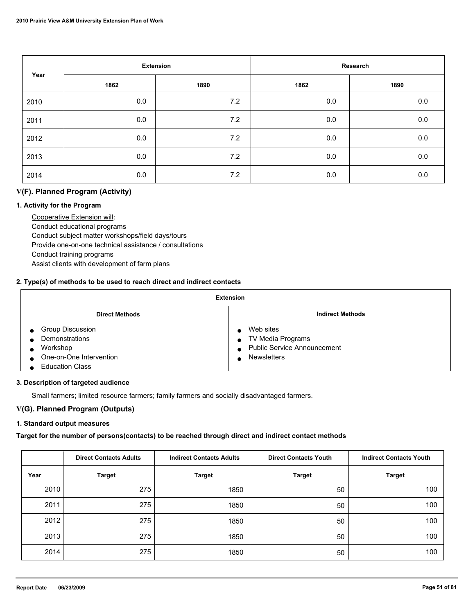| Year |      | <b>Extension</b> |      | Research |
|------|------|------------------|------|----------|
|      | 1862 | 1890             | 1862 | 1890     |
| 2010 | 0.0  | 7.2              | 0.0  | 0.0      |
| 2011 | 0.0  | 7.2              | 0.0  | $0.0\,$  |
| 2012 | 0.0  | 7.2              | 0.0  | 0.0      |
| 2013 | 0.0  | 7.2              | 0.0  | 0.0      |
| 2014 | 0.0  | 7.2              | 0.0  | 0.0      |

# **V(F). Planned Program (Activity)**

#### **1. Activity for the Program**

 Cooperative Extension will: Conduct educational programs Conduct subject matter workshops/field days/tours Provide one-on-one technical assistance / consultations Conduct training programs Assist clients with development of farm plans

### **2. Type(s) of methods to be used to reach direct and indirect contacts**

| <b>Extension</b>                                                                                           |                                                                                                           |  |  |  |
|------------------------------------------------------------------------------------------------------------|-----------------------------------------------------------------------------------------------------------|--|--|--|
| <b>Direct Methods</b>                                                                                      | <b>Indirect Methods</b>                                                                                   |  |  |  |
| <b>Group Discussion</b><br>Demonstrations<br>Workshop<br>One-on-One Intervention<br><b>Education Class</b> | Web sites<br>• TV Media Programs<br><b>Public Service Announcement</b><br>$\bullet$<br><b>Newsletters</b> |  |  |  |

#### **3. Description of targeted audience**

Small farmers; limited resource farmers; family farmers and socially disadvantaged farmers.

# **V(G). Planned Program (Outputs)**

# **1. Standard output measures**

# **Target for the number of persons(contacts) to be reached through direct and indirect contact methods**

|      | <b>Direct Contacts Adults</b> | <b>Indirect Contacts Adults</b> | <b>Direct Contacts Youth</b> | <b>Indirect Contacts Youth</b> |
|------|-------------------------------|---------------------------------|------------------------------|--------------------------------|
| Year | <b>Target</b>                 | <b>Target</b>                   | <b>Target</b>                | <b>Target</b>                  |
| 2010 | 275                           | 1850                            | 50                           | 100                            |
| 2011 | 275                           | 1850                            | 50                           | 100                            |
| 2012 | 275                           | 1850                            | 50                           | 100                            |
| 2013 | 275                           | 1850                            | 50                           | 100                            |
| 2014 | 275                           | 1850                            | 50                           | 100                            |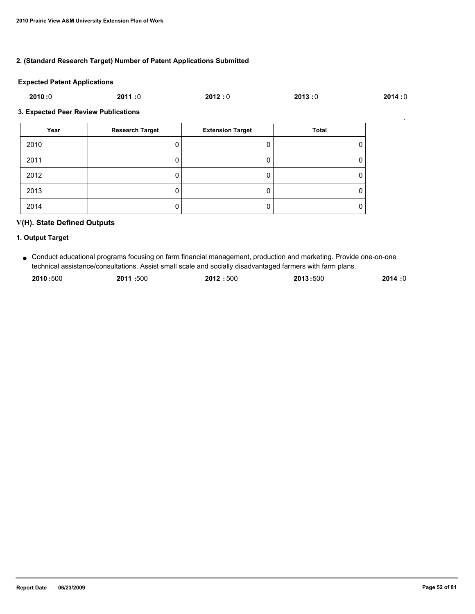#### **2. (Standard Research Target) Number of Patent Applications Submitted**

#### **Expected Patent Applications**

| 2010:0 | 2011:0 | 2012:0 | 2013:0 | 2014:0 |
|--------|--------|--------|--------|--------|
|        |        |        |        |        |

#### **3. Expected Peer Review Publications**

| Year | <b>Research Target</b> | <b>Extension Target</b> | Total |
|------|------------------------|-------------------------|-------|
| 2010 |                        |                         | 0     |
| 2011 |                        |                         | 0     |
| 2012 |                        |                         | 0     |
| 2013 |                        |                         | 0     |
| 2014 |                        |                         | 0     |

# **V(H). State Defined Outputs**

# **1. Output Target**

Conduct educational programs focusing on farm financial management, production and marketing. Provide one-on-one ● technical assistance/consultations. Assist small scale and socially disadvantaged farmers with farm plans.

| 2010:500 | 2011:500 | 2012:500 | 2013:500 | 2014:0 |
|----------|----------|----------|----------|--------|
|          |          |          |          |        |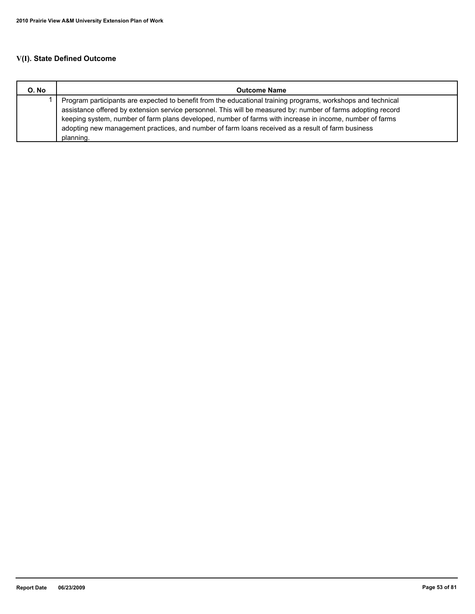# **V(I). State Defined Outcome**

| O. No | <b>Outcome Name</b>                                                                                                                                                                                                                                                                                                                                                                                                                                        |
|-------|------------------------------------------------------------------------------------------------------------------------------------------------------------------------------------------------------------------------------------------------------------------------------------------------------------------------------------------------------------------------------------------------------------------------------------------------------------|
|       | Program participants are expected to benefit from the educational training programs, workshops and technical<br>assistance offered by extension service personnel. This will be measured by: number of farms adopting record<br>keeping system, number of farm plans developed, number of farms with increase in income, number of farms<br>adopting new management practices, and number of farm loans received as a result of farm business<br>planning. |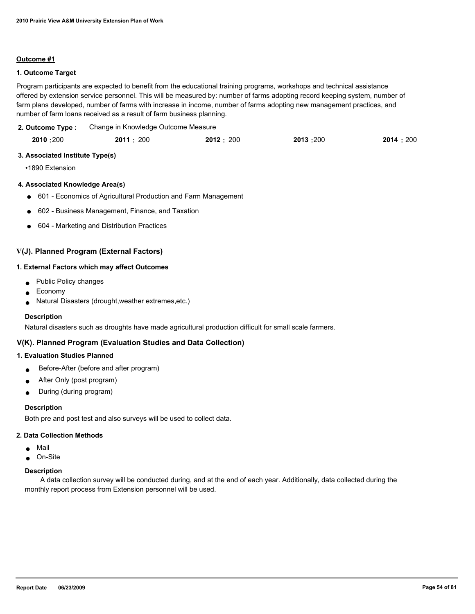#### **Outcome #1**

#### **1. Outcome Target**

Program participants are expected to benefit from the educational training programs, workshops and technical assistance offered by extension service personnel. This will be measured by: number of farms adopting record keeping system, number of farm plans developed, number of farms with increase in income, number of farms adopting new management practices, and number of farm loans received as a result of farm business planning.

Change in Knowledge Outcome Measure **2. Outcome Type :**

| 2010:200 | 2011 : 200 | 2012:200 | 2013:200 | 2014 : 200 |
|----------|------------|----------|----------|------------|
|          |            |          |          |            |

#### **3. Associated Institute Type(s)**

•1890 Extension

#### **4. Associated Knowledge Area(s)**

- 601 Economics of Agricultural Production and Farm Management
- 602 Business Management, Finance, and Taxation
- 604 Marketing and Distribution Practices

### **V(J). Planned Program (External Factors)**

#### **1. External Factors which may affect Outcomes**

- Public Policy changes
- **Economy**
- Natural Disasters (drought, weather extremes, etc.)

#### **Description**

Natural disasters such as droughts have made agricultural production difficult for small scale farmers.

### **V(K). Planned Program (Evaluation Studies and Data Collection)**

#### **1. Evaluation Studies Planned**

- Before-After (before and after program)
- After Only (post program)
- During (during program)

#### **Description**

Both pre and post test and also surveys will be used to collect data.

#### **2. Data Collection Methods**

- Mail
- On-Site

#### **Description**

 A data collection survey will be conducted during, and at the end of each year. Additionally, data collected during the monthly report process from Extension personnel will be used.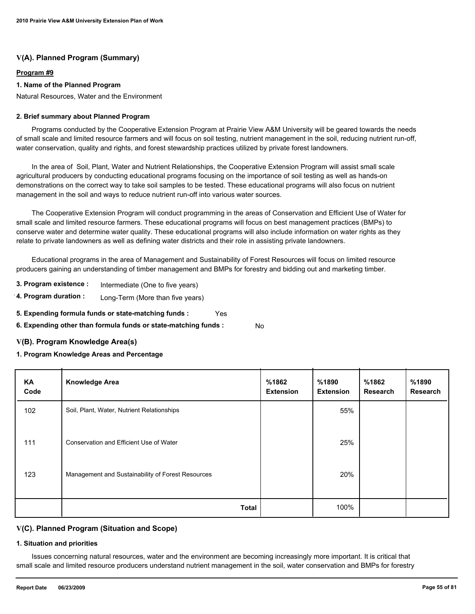#### **Program #9**

### **1. Name of the Planned Program**

Natural Resources, Water and the Environment

#### **2. Brief summary about Planned Program**

 Programs conducted by the Cooperative Extension Program at Prairie View A&M University will be geared towards the needs of small scale and limited resource farmers and will focus on soil testing, nutrient management in the soil, reducing nutrient run-off, water conservation, quality and rights, and forest stewardship practices utilized by private forest landowners.

 In the area of Soil, Plant, Water and Nutrient Relationships, the Cooperative Extension Program will assist small scale agricultural producers by conducting educational programs focusing on the importance of soil testing as well as hands-on demonstrations on the correct way to take soil samples to be tested. These educational programs will also focus on nutrient management in the soil and ways to reduce nutrient run-off into various water sources.

 The Cooperative Extension Program will conduct programming in the areas of Conservation and Efficient Use of Water for small scale and limited resource farmers. These educational programs will focus on best management practices (BMPs) to conserve water and determine water quality. These educational programs will also include information on water rights as they relate to private landowners as well as defining water districts and their role in assisting private landowners.

 Educational programs in the area of Management and Sustainability of Forest Resources will focus on limited resource producers gaining an understanding of timber management and BMPs for forestry and bidding out and marketing timber.

- **3. Program existence :** Intermediate (One to five years)
- **4. Program duration :** Long-Term (More than five years)
- **5. Expending formula funds or state-matching funds :** Yes
- **6. Expending other than formula funds or state-matching funds :** No

# **V(B). Program Knowledge Area(s)**

# **1. Program Knowledge Areas and Percentage**

| KA<br>Code | <b>Knowledge Area</b>                             | %1862<br><b>Extension</b> | %1890<br><b>Extension</b> | %1862<br><b>Research</b> | %1890<br><b>Research</b> |
|------------|---------------------------------------------------|---------------------------|---------------------------|--------------------------|--------------------------|
| 102        | Soil, Plant, Water, Nutrient Relationships        |                           | 55%                       |                          |                          |
| 111        | Conservation and Efficient Use of Water           |                           | 25%                       |                          |                          |
| 123        | Management and Sustainability of Forest Resources |                           | 20%                       |                          |                          |
|            | <b>Total</b>                                      |                           | 100%                      |                          |                          |

# **V(C). Planned Program (Situation and Scope)**

#### **1. Situation and priorities**

 Issues concerning natural resources, water and the environment are becoming increasingly more important. It is critical that small scale and limited resource producers understand nutrient management in the soil, water conservation and BMPs for forestry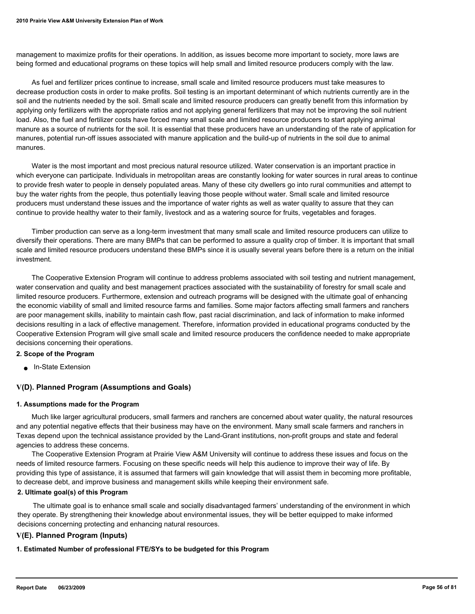management to maximize profits for their operations. In addition, as issues become more important to society, more laws are being formed and educational programs on these topics will help small and limited resource producers comply with the law.

 As fuel and fertilizer prices continue to increase, small scale and limited resource producers must take measures to decrease production costs in order to make profits. Soil testing is an important determinant of which nutrients currently are in the soil and the nutrients needed by the soil. Small scale and limited resource producers can greatly benefit from this information by applying only fertilizers with the appropriate ratios and not applying general fertilizers that may not be improving the soil nutrient load. Also, the fuel and fertilizer costs have forced many small scale and limited resource producers to start applying animal manure as a source of nutrients for the soil. It is essential that these producers have an understanding of the rate of application for manures, potential run-off issues associated with manure application and the build-up of nutrients in the soil due to animal manures.

 Water is the most important and most precious natural resource utilized. Water conservation is an important practice in which everyone can participate. Individuals in metropolitan areas are constantly looking for water sources in rural areas to continue to provide fresh water to people in densely populated areas. Many of these city dwellers go into rural communities and attempt to buy the water rights from the people, thus potentially leaving those people without water. Small scale and limited resource producers must understand these issues and the importance of water rights as well as water quality to assure that they can continue to provide healthy water to their family, livestock and as a watering source for fruits, vegetables and forages.

 Timber production can serve as a long-term investment that many small scale and limited resource producers can utilize to diversify their operations. There are many BMPs that can be performed to assure a quality crop of timber. It is important that small scale and limited resource producers understand these BMPs since it is usually several years before there is a return on the initial investment.

 The Cooperative Extension Program will continue to address problems associated with soil testing and nutrient management, water conservation and quality and best management practices associated with the sustainability of forestry for small scale and limited resource producers. Furthermore, extension and outreach programs will be designed with the ultimate goal of enhancing the economic viability of small and limited resource farms and families. Some major factors affecting small farmers and ranchers are poor management skills, inability to maintain cash flow, past racial discrimination, and lack of information to make informed decisions resulting in a lack of effective management. Therefore, information provided in educational programs conducted by the Cooperative Extension Program will give small scale and limited resource producers the confidence needed to make appropriate decisions concerning their operations.

#### **2. Scope of the Program**

■ In-State Extension

#### **V(D). Planned Program (Assumptions and Goals)**

#### **1. Assumptions made for the Program**

 Much like larger agricultural producers, small farmers and ranchers are concerned about water quality, the natural resources and any potential negative effects that their business may have on the environment. Many small scale farmers and ranchers in Texas depend upon the technical assistance provided by the Land-Grant institutions, non-profit groups and state and federal agencies to address these concerns.

 The Cooperative Extension Program at Prairie View A&M University will continue to address these issues and focus on the needs of limited resource farmers. Focusing on these specific needs will help this audience to improve their way of life. By providing this type of assistance, it is assumed that farmers will gain knowledge that will assist them in becoming more profitable, to decrease debt, and improve business and management skills while keeping their environment safe.

#### **2. Ultimate goal(s) of this Program**

 The ultimate goal is to enhance small scale and socially disadvantaged farmers' understanding of the environment in which they operate. By strengthening their knowledge about environmental issues, they will be better equipped to make informed decisions concerning protecting and enhancing natural resources.

#### **V(E). Planned Program (Inputs)**

**1. Estimated Number of professional FTE/SYs to be budgeted for this Program**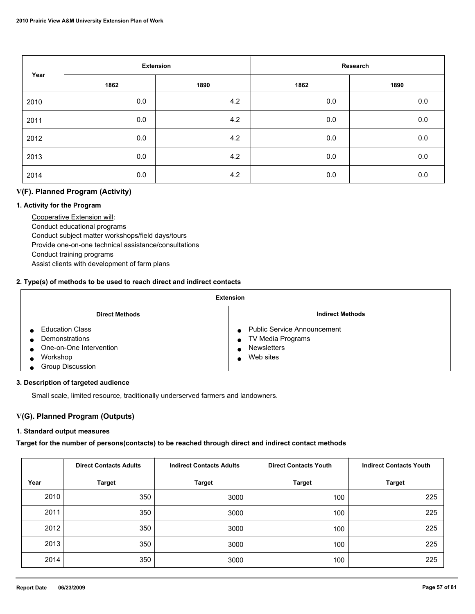| Year |      | <b>Extension</b> |      | Research |
|------|------|------------------|------|----------|
|      | 1862 | 1890             | 1862 | 1890     |
| 2010 | 0.0  | 4.2              | 0.0  | 0.0      |
| 2011 | 0.0  | 4.2              | 0.0  | $0.0\,$  |
| 2012 | 0.0  | 4.2              | 0.0  | 0.0      |
| 2013 | 0.0  | 4.2              | 0.0  | 0.0      |
| 2014 | 0.0  | 4.2              | 0.0  | 0.0      |

# **V(F). Planned Program (Activity)**

### **1. Activity for the Program**

 Cooperative Extension will: Conduct educational programs Conduct subject matter workshops/field days/tours Provide one-on-one technical assistance/consultations Conduct training programs Assist clients with development of farm plans

### **2. Type(s) of methods to be used to reach direct and indirect contacts**

| <b>Extension</b>                                                                                                  |                                                                                            |  |  |
|-------------------------------------------------------------------------------------------------------------------|--------------------------------------------------------------------------------------------|--|--|
| <b>Direct Methods</b>                                                                                             | <b>Indirect Methods</b>                                                                    |  |  |
| <b>Education Class</b><br><b>Demonstrations</b><br>One-on-One Intervention<br>Workshop<br><b>Group Discussion</b> | <b>Public Service Announcement</b><br>TV Media Programs<br><b>Newsletters</b><br>Web sites |  |  |

#### **3. Description of targeted audience**

Small scale, limited resource, traditionally underserved farmers and landowners.

# **V(G). Planned Program (Outputs)**

# **1. Standard output measures**

**Target for the number of persons(contacts) to be reached through direct and indirect contact methods**

|      | <b>Direct Contacts Adults</b> | <b>Indirect Contacts Adults</b> | <b>Direct Contacts Youth</b> | <b>Indirect Contacts Youth</b> |
|------|-------------------------------|---------------------------------|------------------------------|--------------------------------|
| Year | <b>Target</b>                 | <b>Target</b>                   | <b>Target</b>                | <b>Target</b>                  |
| 2010 | 350                           | 3000                            | 100                          | 225                            |
| 2011 | 350                           | 3000                            | 100                          | 225                            |
| 2012 | 350                           | 3000                            | 100                          | 225                            |
| 2013 | 350                           | 3000                            | 100                          | 225                            |
| 2014 | 350                           | 3000                            | 100                          | 225                            |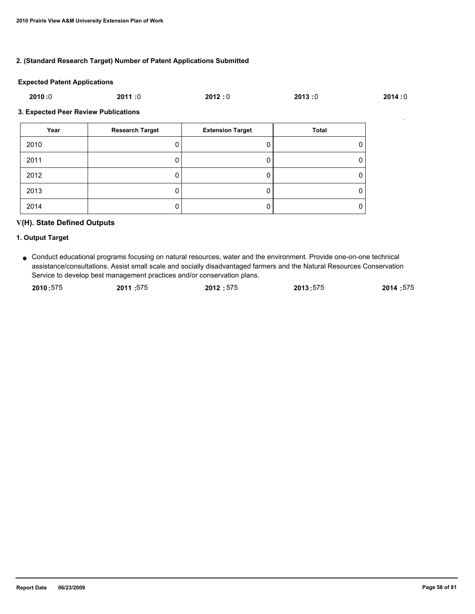### **2. (Standard Research Target) Number of Patent Applications Submitted**

#### **Expected Patent Applications**

| 2010:0 | 2011 :0 | 2012:0 | 2013:0 | 2014:0 |
|--------|---------|--------|--------|--------|
|        |         |        |        |        |

#### **3. Expected Peer Review Publications**

| Year | <b>Research Target</b> | <b>Extension Target</b> | Total |
|------|------------------------|-------------------------|-------|
| 2010 |                        |                         | O     |
| 2011 | υ                      |                         | 0     |
| 2012 |                        |                         | 0     |
| 2013 | υ                      |                         | 0     |
| 2014 | υ                      |                         | 0     |

# **V(H). State Defined Outputs**

#### **1. Output Target**

Conduct educational programs focusing on natural resources, water and the environment. Provide one-on-one technical ● assistance/consultations. Assist small scale and socially disadvantaged farmers and the Natural Resources Conservation Service to develop best management practices and/or conservation plans.

| 2010:575 | 2011:575 | 2012:575 | 2013:575 | 2014:575 |
|----------|----------|----------|----------|----------|
|          |          |          |          |          |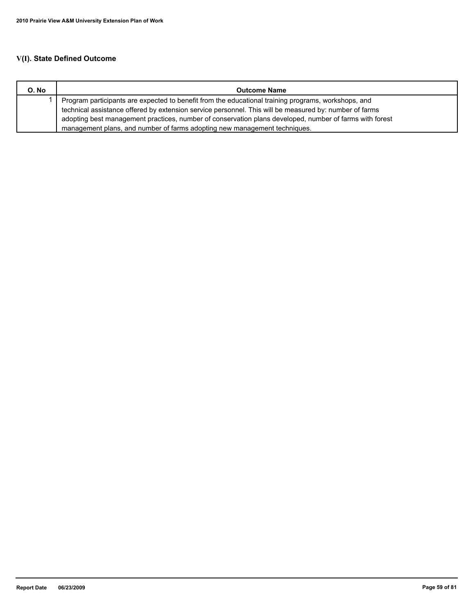# **V(I). State Defined Outcome**

| O. No | <b>Outcome Name</b>                                                                                     |
|-------|---------------------------------------------------------------------------------------------------------|
|       | Program participants are expected to benefit from the educational training programs, workshops, and     |
|       | technical assistance offered by extension service personnel. This will be measured by: number of farms  |
|       | adopting best management practices, number of conservation plans developed, number of farms with forest |
|       | management plans, and number of farms adopting new management techniques.                               |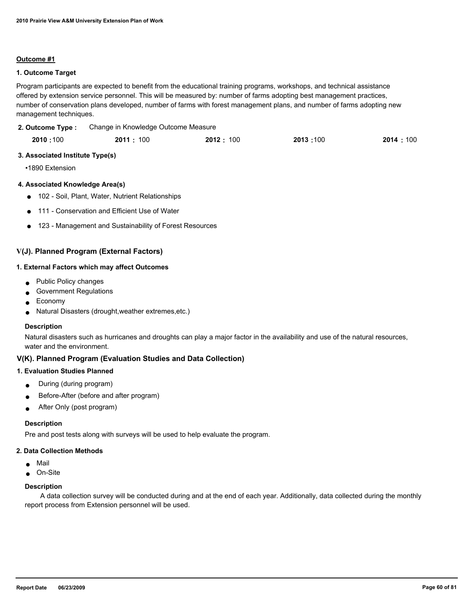#### **Outcome #1**

### **1. Outcome Target**

Program participants are expected to benefit from the educational training programs, workshops, and technical assistance offered by extension service personnel. This will be measured by: number of farms adopting best management practices, number of conservation plans developed, number of farms with forest management plans, and number of farms adopting new management techniques.

Change in Knowledge Outcome Measure **2. Outcome Type :**

|  | 2010:100 | 2011:100 | 2012: 100 | 2013:100 | 2014:100 |
|--|----------|----------|-----------|----------|----------|
|--|----------|----------|-----------|----------|----------|

### **3. Associated Institute Type(s)**

•1890 Extension

# **4. Associated Knowledge Area(s)**

- 102 Soil, Plant, Water, Nutrient Relationships
- 111 Conservation and Efficient Use of Water
- 123 Management and Sustainability of Forest Resources

# **V(J). Planned Program (External Factors)**

#### **1. External Factors which may affect Outcomes**

- Public Policy changes
- **Government Regulations**
- **Economy**
- Natural Disasters (drought, weather extremes, etc.)

#### **Description**

Natural disasters such as hurricanes and droughts can play a major factor in the availability and use of the natural resources, water and the environment.

# **V(K). Planned Program (Evaluation Studies and Data Collection)**

#### **1. Evaluation Studies Planned**

- During (during program)
- Before-After (before and after program)
- After Only (post program)

#### **Description**

Pre and post tests along with surveys will be used to help evaluate the program.

#### **2. Data Collection Methods**

- Mail
- On-Site

#### **Description**

 A data collection survey will be conducted during and at the end of each year. Additionally, data collected during the monthly report process from Extension personnel will be used.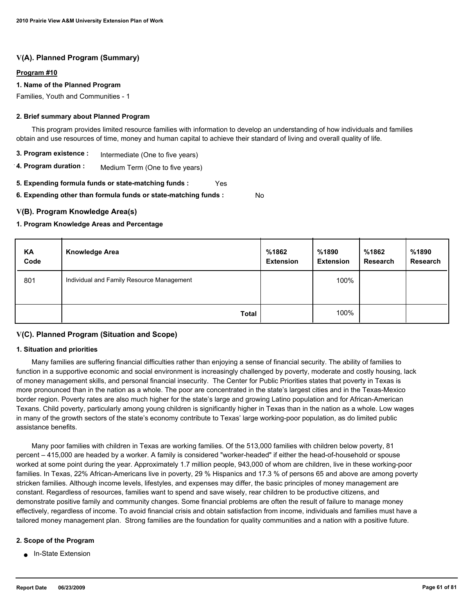#### **Program #10**

### **1. Name of the Planned Program**

Families, Youth and Communities - 1

#### **2. Brief summary about Planned Program**

 This program provides limited resource families with information to develop an understanding of how individuals and families obtain and use resources of time, money and human capital to achieve their standard of living and overall quality of life.

- **3. Program existence :** Intermediate (One to five years)
- **4. Program duration :** Medium Term (One to five years)

**5. Expending formula funds or state-matching funds :** Yes

**6. Expending other than formula funds or state-matching funds :** No

# **V(B). Program Knowledge Area(s)**

### **1. Program Knowledge Areas and Percentage**

| KA<br>Code | <b>Knowledge Area</b>                     | %1862<br><b>Extension</b> | %1890<br><b>Extension</b> | %1862<br>Research | %1890<br><b>Research</b> |
|------------|-------------------------------------------|---------------------------|---------------------------|-------------------|--------------------------|
| 801        | Individual and Family Resource Management |                           | 100%                      |                   |                          |
|            | <b>Total</b>                              |                           | 100%                      |                   |                          |

# **V(C). Planned Program (Situation and Scope)**

### **1. Situation and priorities**

 Many families are suffering financial difficulties rather than enjoying a sense of financial security. The ability of families to function in a supportive economic and social environment is increasingly challenged by poverty, moderate and costly housing, lack of money management skills, and personal financial insecurity. The Center for Public Priorities states that poverty in Texas is more pronounced than in the nation as a whole. The poor are concentrated in the state's largest cities and in the Texas-Mexico border region. Poverty rates are also much higher for the state's large and growing Latino population and for African-American Texans. Child poverty, particularly among young children is significantly higher in Texas than in the nation as a whole. Low wages in many of the growth sectors of the state's economy contribute to Texas' large working-poor population, as do limited public assistance benefits.

 Many poor families with children in Texas are working families. Of the 513,000 families with children below poverty, 81 percent – 415,000 are headed by a worker. A family is considered "worker-headed" if either the head-of-household or spouse worked at some point during the year. Approximately 1.7 million people, 943,000 of whom are children, live in these working-poor families. In Texas, 22% African-Americans live in poverty, 29 % Hispanics and 17.3 % of persons 65 and above are among poverty stricken families. Although income levels, lifestyles, and expenses may differ, the basic principles of money management are constant. Regardless of resources, families want to spend and save wisely, rear children to be productive citizens, and demonstrate positive family and community changes. Some financial problems are often the result of failure to manage money effectively, regardless of income. To avoid financial crisis and obtain satisfaction from income, individuals and families must have a tailored money management plan. Strong families are the foundation for quality communities and a nation with a positive future.

#### **2. Scope of the Program**

● In-State Extension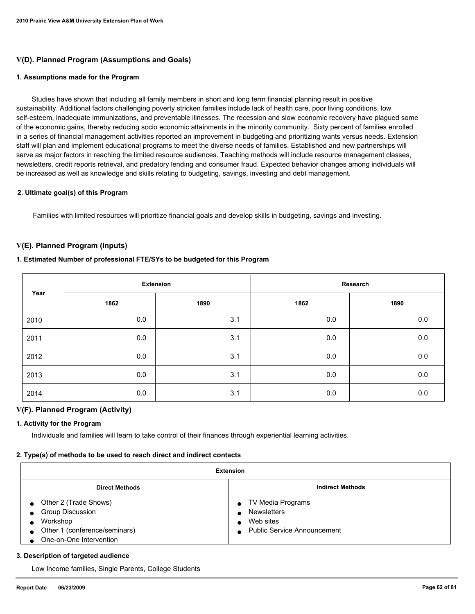# **V(D). Planned Program (Assumptions and Goals)**

#### **1. Assumptions made for the Program**

 Studies have shown that including all family members in short and long term financial planning result in positive sustainability. Additional factors challenging poverty stricken families include lack of health care, poor living conditions, low self-esteem, inadequate immunizations, and preventable illnesses. The recession and slow economic recovery have plagued some of the economic gains, thereby reducing socio economic attainments in the minority community. Sixty percent of families enrolled in a series of financial management activities reported an improvement in budgeting and prioritizing wants versus needs. Extension staff will plan and implement educational programs to meet the diverse needs of families. Established and new partnerships will serve as major factors in reaching the limited resource audiences. Teaching methods will include resource management classes, newsletters, credit reports retrieval, and predatory lending and consumer fraud. Expected behavior changes among individuals will be increased as well as knowledge and skills relating to budgeting, savings, investing and debt management.

#### **2. Ultimate goal(s) of this Program**

Families with limited resources will prioritize financial goals and develop skills in budgeting, savings and investing.

### **V(E). Planned Program (Inputs)**

#### **1. Estimated Number of professional FTE/SYs to be budgeted for this Program**

| Year | <b>Extension</b> |      | Research |         |
|------|------------------|------|----------|---------|
|      | 1862             | 1890 | 1862     | 1890    |
| 2010 | 0.0              | 3.1  | 0.0      | 0.0     |
| 2011 | 0.0              | 3.1  | 0.0      | 0.0     |
| 2012 | 0.0              | 3.1  | 0.0      | 0.0     |
| 2013 | 0.0              | 3.1  | 0.0      | 0.0     |
| 2014 | 0.0              | 3.1  | 0.0      | $0.0\,$ |

# **V(F). Planned Program (Activity)**

#### **1. Activity for the Program**

Individuals and families will learn to take control of their finances through experiential learning activities.

#### **2. Type(s) of methods to be used to reach direct and indirect contacts**

| <b>Extension</b>                                                                                                         |                                                                                                    |  |  |  |
|--------------------------------------------------------------------------------------------------------------------------|----------------------------------------------------------------------------------------------------|--|--|--|
| <b>Indirect Methods</b><br><b>Direct Methods</b>                                                                         |                                                                                                    |  |  |  |
| Other 2 (Trade Shows)<br><b>Group Discussion</b><br>Workshop<br>Other 1 (conference/seminars)<br>One-on-One Intervention | TV Media Programs<br>$\bullet$<br><b>Newsletters</b><br>Web sites<br>■ Public Service Announcement |  |  |  |

#### **3. Description of targeted audience**

Low Income families, Single Parents, College Students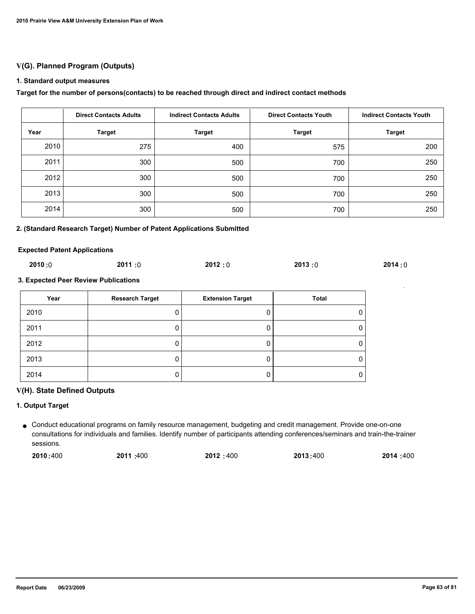# **V(G). Planned Program (Outputs)**

### **1. Standard output measures**

### **Target for the number of persons(contacts) to be reached through direct and indirect contact methods**

|      | <b>Direct Contacts Adults</b> | <b>Indirect Contacts Adults</b> | <b>Direct Contacts Youth</b> | <b>Indirect Contacts Youth</b> |
|------|-------------------------------|---------------------------------|------------------------------|--------------------------------|
| Year | <b>Target</b>                 | <b>Target</b>                   | <b>Target</b>                | <b>Target</b>                  |
| 2010 | 275                           | 400                             | 575                          | 200                            |
| 2011 | 300                           | 500                             | 700                          | 250                            |
| 2012 | 300                           | 500                             | 700                          | 250                            |
| 2013 | 300                           | 500                             | 700                          | 250                            |
| 2014 | 300                           | 500                             | 700                          | 250                            |

#### **2. (Standard Research Target) Number of Patent Applications Submitted**

#### **Expected Patent Applications**

| 2010:0 | 2011:0 | 2012:0 | 2013:0 | 2014:0 |
|--------|--------|--------|--------|--------|
|--------|--------|--------|--------|--------|

#### **3. Expected Peer Review Publications**

| Year | <b>Research Target</b> | <b>Extension Target</b> | Total |
|------|------------------------|-------------------------|-------|
| 2010 |                        |                         |       |
| 2011 |                        |                         |       |
| 2012 |                        |                         |       |
| 2013 |                        |                         |       |
| 2014 |                        |                         |       |

#### **V(H). State Defined Outputs**

### **1. Output Target**

Conduct educational programs on family resource management, budgeting and credit management. Provide one-on-one ● consultations for individuals and families. Identify number of participants attending conferences/seminars and train-the-trainer sessions.

| 2014:400<br>2010:400<br>2011:400<br>2012:400<br>2013:400 |
|----------------------------------------------------------|
|----------------------------------------------------------|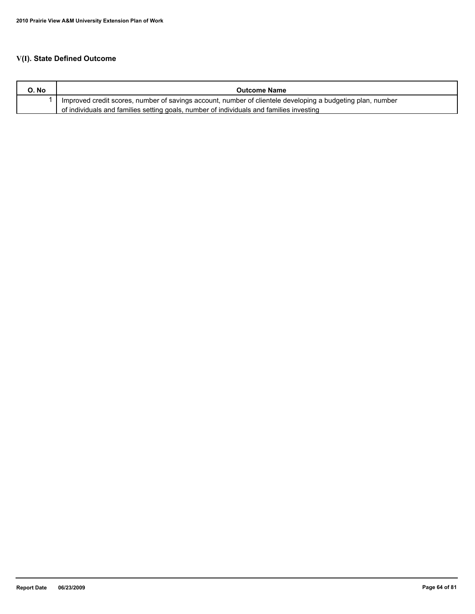# **V(I). State Defined Outcome**

| O. No | <b>Outcome Name</b>                                                                                        |
|-------|------------------------------------------------------------------------------------------------------------|
|       | Improved credit scores, number of savings account, number of clientele developing a budgeting plan, number |
|       | of individuals and families setting goals, number of individuals and families investing                    |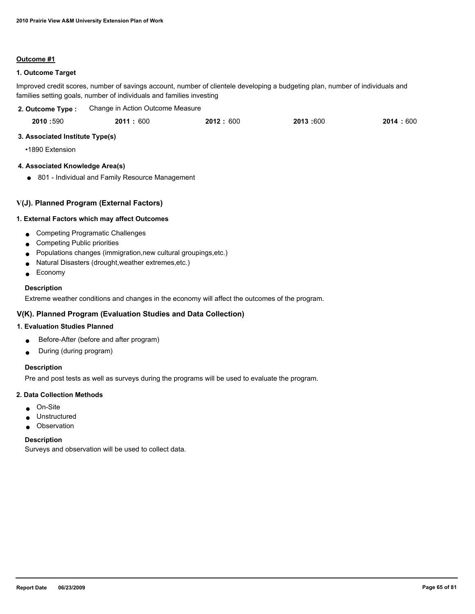#### **Outcome #1**

### **1. Outcome Target**

Improved credit scores, number of savings account, number of clientele developing a budgeting plan, number of individuals and families setting goals, number of individuals and families investing

| 2. Outcome Type : | Change in Action Outcome Measure |          |          |          |
|-------------------|----------------------------------|----------|----------|----------|
| 2010:590          | 2011:600                         | 2012:600 | 2013:600 | 2014:600 |

### **3. Associated Institute Type(s)**

•1890 Extension

## **4. Associated Knowledge Area(s)**

● 801 - Individual and Family Resource Management

### **V(J). Planned Program (External Factors)**

#### **1. External Factors which may affect Outcomes**

- Competing Programatic Challenges
- Competing Public priorities
- Populations changes (immigration,new cultural groupings,etc.)
- Natural Disasters (drought,weather extremes,etc.)
- Economy

#### **Description**

Extreme weather conditions and changes in the economy will affect the outcomes of the program.

# **V(K). Planned Program (Evaluation Studies and Data Collection)**

### **1. Evaluation Studies Planned**

- Before-After (before and after program)
- During (during program)

## **Description**

Pre and post tests as well as surveys during the programs will be used to evaluate the program.

#### **2. Data Collection Methods**

- On-Site
- Unstructured
- Observation

#### **Description**

Surveys and observation will be used to collect data.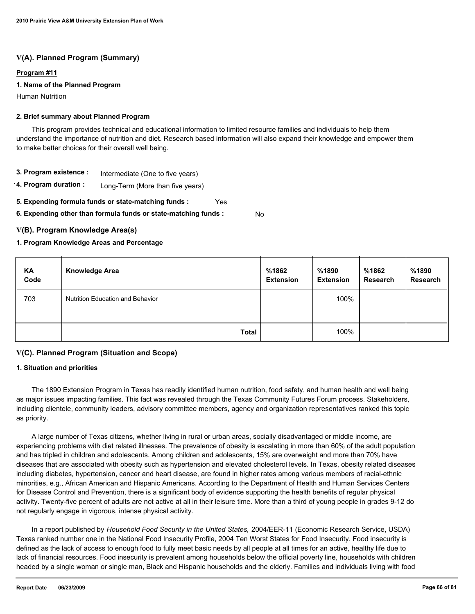### **Program #11**

### **1. Name of the Planned Program**

Human Nutrition

#### **2. Brief summary about Planned Program**

 This program provides technical and educational information to limited resource families and individuals to help them understand the importance of nutrition and diet. Research based information will also expand their knowledge and empower them to make better choices for their overall well being.

- **3. Program existence :** Intermediate (One to five years)
- **4. Program duration :** Long-Term (More than five years)
- **5. Expending formula funds or state-matching funds :** Yes

**6. Expending other than formula funds or state-matching funds :** No

### **V(B). Program Knowledge Area(s)**

#### **1. Program Knowledge Areas and Percentage**

| KA<br>Code | <b>Knowledge Area</b>                   | %1862<br><b>Extension</b> | %1890<br><b>Extension</b> | %1862<br>Research | %1890<br><b>Research</b> |
|------------|-----------------------------------------|---------------------------|---------------------------|-------------------|--------------------------|
| 703        | <b>Nutrition Education and Behavior</b> |                           | 100%                      |                   |                          |
|            | <b>Total</b>                            |                           | 100%                      |                   |                          |

# **V(C). Planned Program (Situation and Scope)**

#### **1. Situation and priorities**

 The 1890 Extension Program in Texas has readily identified human nutrition, food safety, and human health and well being as major issues impacting families. This fact was revealed through the Texas Community Futures Forum process. Stakeholders, including clientele, community leaders, advisory committee members, agency and organization representatives ranked this topic as priority.

 A large number of Texas citizens, whether living in rural or urban areas, socially disadvantaged or middle income, are experiencing problems with diet related illnesses. The prevalence of obesity is escalating in more than 60% of the adult population and has tripled in children and adolescents. Among children and adolescents, 15% are overweight and more than 70% have diseases that are associated with obesity such as hypertension and elevated cholesterol levels. In Texas, obesity related diseases including diabetes, hypertension, cancer and heart disease, are found in higher rates among various members of racial-ethnic minorities, e.g., African American and Hispanic Americans. According to the Department of Health and Human Services Centers for Disease Control and Prevention, there is a significant body of evidence supporting the health benefits of regular physical activity. Twenty-five percent of adults are not active at all in their leisure time. More than a third of young people in grades 9-12 do not regularly engage in vigorous, intense physical activity.

 In a report published by *Household Food Security in the United States,* 2004/EER-11 (Economic Research Service, USDA) Texas ranked number one in the National Food Insecurity Profile, 2004 Ten Worst States for Food Insecurity. Food insecurity is defined as the lack of access to enough food to fully meet basic needs by all people at all times for an active, healthy life due to lack of financial resources. Food insecurity is prevalent among households below the official poverty line, households with children headed by a single woman or single man, Black and Hispanic households and the elderly. Families and individuals living with food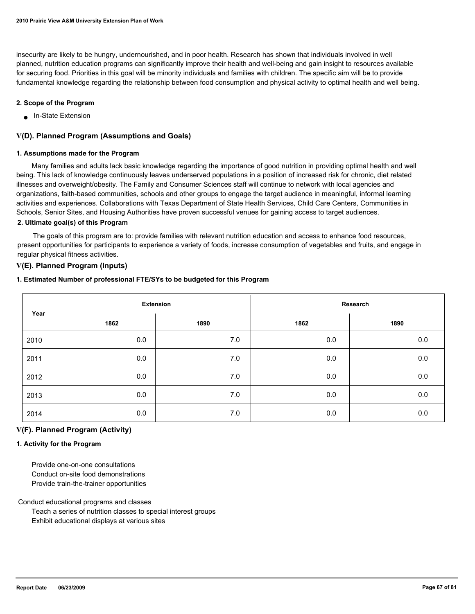insecurity are likely to be hungry, undernourished, and in poor health. Research has shown that individuals involved in well planned, nutrition education programs can significantly improve their health and well-being and gain insight to resources available for securing food. Priorities in this goal will be minority individuals and families with children. The specific aim will be to provide fundamental knowledge regarding the relationship between food consumption and physical activity to optimal health and well being.

#### **2. Scope of the Program**

■ In-State Extension

# **V(D). Planned Program (Assumptions and Goals)**

#### **1. Assumptions made for the Program**

 Many families and adults lack basic knowledge regarding the importance of good nutrition in providing optimal health and well being. This lack of knowledge continuously leaves underserved populations in a position of increased risk for chronic, diet related illnesses and overweight/obesity. The Family and Consumer Sciences staff will continue to network with local agencies and organizations, faith-based communities, schools and other groups to engage the target audience in meaningful, informal learning activities and experiences. Collaborations with Texas Department of State Health Services, Child Care Centers, Communities in Schools, Senior Sites, and Housing Authorities have proven successful venues for gaining access to target audiences.

### **2. Ultimate goal(s) of this Program**

 The goals of this program are to: provide families with relevant nutrition education and access to enhance food resources, present opportunities for participants to experience a variety of foods, increase consumption of vegetables and fruits, and engage in regular physical fitness activities.

### **V(E). Planned Program (Inputs)**

#### **1. Estimated Number of professional FTE/SYs to be budgeted for this Program**

| Year | <b>Extension</b> |       | Research |      |  |
|------|------------------|-------|----------|------|--|
|      | 1862             | 1890  | 1862     | 1890 |  |
| 2010 | 0.0              | $7.0$ | 0.0      | 0.0  |  |
| 2011 | 0.0              | 7.0   | 0.0      | 0.0  |  |
| 2012 | 0.0              | $7.0$ | 0.0      | 0.0  |  |
| 2013 | 0.0              | 7.0   | 0.0      | 0.0  |  |
| 2014 | 0.0              | 7.0   | 0.0      | 0.0  |  |

# **V(F). Planned Program (Activity)**

#### **1. Activity for the Program**

 Provide one-on-one consultations Conduct on-site food demonstrations Provide train-the-trainer opportunities

Conduct educational programs and classes

 Teach a series of nutrition classes to special interest groups Exhibit educational displays at various sites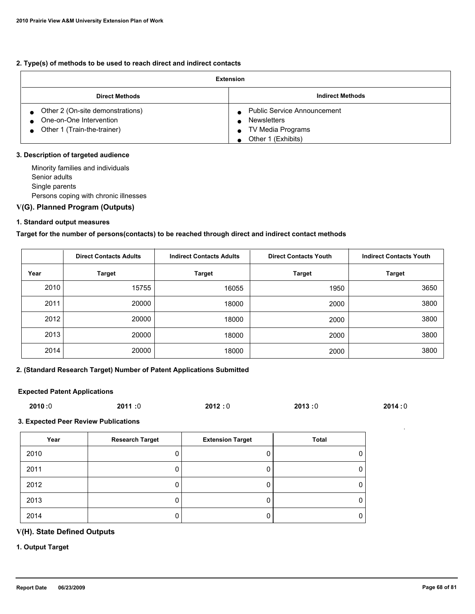### **2. Type(s) of methods to be used to reach direct and indirect contacts**

| <b>Extension</b>                                                                           |                                                                                                     |  |  |
|--------------------------------------------------------------------------------------------|-----------------------------------------------------------------------------------------------------|--|--|
| <b>Direct Methods</b>                                                                      | <b>Indirect Methods</b>                                                                             |  |  |
| Other 2 (On-site demonstrations)<br>One-on-One Intervention<br>Other 1 (Train-the-trainer) | <b>Public Service Announcement</b><br><b>Newsletters</b><br>TV Media Programs<br>Other 1 (Exhibits) |  |  |

### **3. Description of targeted audience**

 Minority families and individuals Senior adults Single parents Persons coping with chronic illnesses

# **V(G). Planned Program (Outputs)**

### **1. Standard output measures**

### **Target for the number of persons(contacts) to be reached through direct and indirect contact methods**

|      | <b>Direct Contacts Adults</b> | <b>Indirect Contacts Adults</b> | <b>Direct Contacts Youth</b> | <b>Indirect Contacts Youth</b> |  |
|------|-------------------------------|---------------------------------|------------------------------|--------------------------------|--|
| Year | <b>Target</b>                 | <b>Target</b>                   | <b>Target</b>                | <b>Target</b>                  |  |
| 2010 | 15755                         | 16055                           | 1950                         | 3650                           |  |
| 2011 | 20000                         | 18000                           | 2000                         | 3800                           |  |
| 2012 | 20000                         | 18000                           | 2000                         | 3800                           |  |
| 2013 | 20000                         | 18000                           | 2000                         | 3800                           |  |
| 2014 | 20000                         | 18000                           | 2000                         | 3800                           |  |

### **2. (Standard Research Target) Number of Patent Applications Submitted**

### **Expected Patent Applications**

| 2010:0 | 2011:0 | 2012:0 | 2013:0 | 2014:0 |
|--------|--------|--------|--------|--------|
|        |        |        |        |        |

#### **3. Expected Peer Review Publications**

| Year | <b>Research Target</b> | <b>Extension Target</b> | Total |
|------|------------------------|-------------------------|-------|
| 2010 |                        |                         |       |
| 2011 |                        |                         |       |
| 2012 |                        |                         | 0     |
| 2013 |                        |                         |       |
| 2014 |                        |                         |       |

# **V(H). State Defined Outputs**

### **1. Output Target**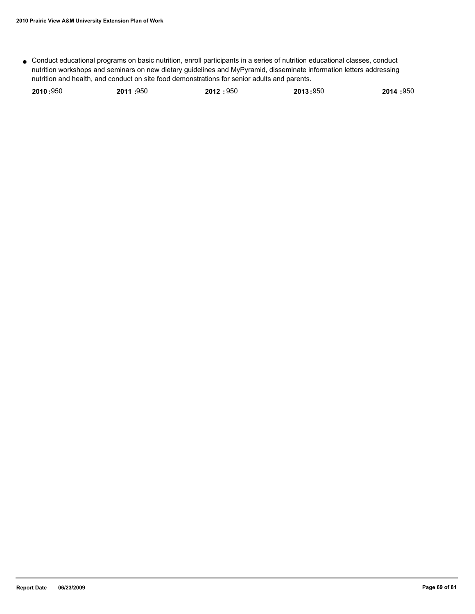Conduct educational programs on basic nutrition, enroll participants in a series of nutrition educational classes, conduct ● nutrition workshops and seminars on new dietary guidelines and MyPyramid, disseminate information letters addressing nutrition and health, and conduct on site food demonstrations for senior adults and parents.

| 2010:950 | 2011 :950 | 2012:950 | 2013:950 | 2014:950 |
|----------|-----------|----------|----------|----------|
|          |           |          |          |          |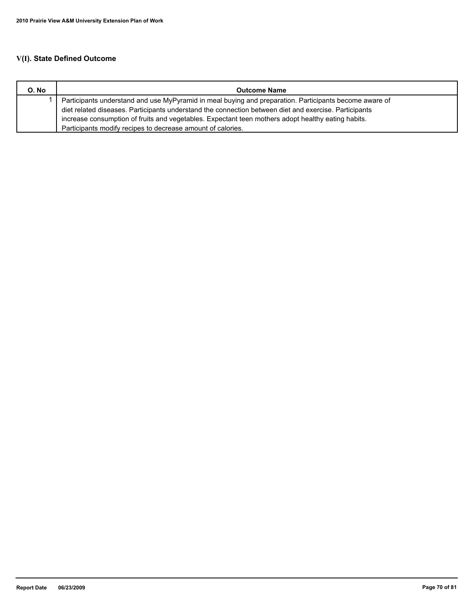# **V(I). State Defined Outcome**

| O. No | <b>Outcome Name</b>                                                                                    |  |  |
|-------|--------------------------------------------------------------------------------------------------------|--|--|
|       | Participants understand and use MyPyramid in meal buying and preparation. Participants become aware of |  |  |
|       | diet related diseases. Participants understand the connection between diet and exercise. Participants  |  |  |
|       | increase consumption of fruits and vegetables. Expectant teen mothers adopt healthy eating habits.     |  |  |
|       | Participants modify recipes to decrease amount of calories.                                            |  |  |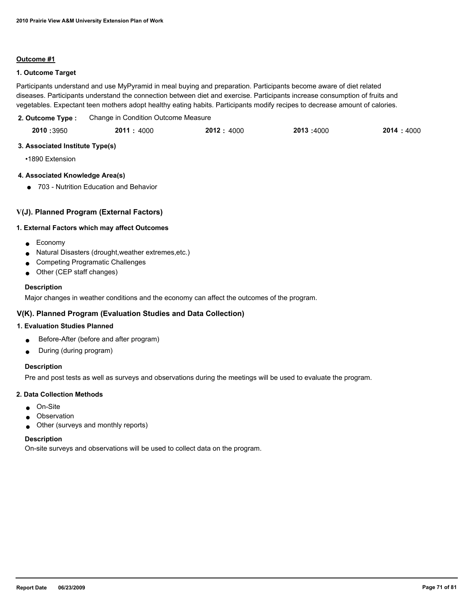#### **Outcome #1**

## **1. Outcome Target**

Participants understand and use MyPyramid in meal buying and preparation. Participants become aware of diet related diseases. Participants understand the connection between diet and exercise. Participants increase consumption of fruits and vegetables. Expectant teen mothers adopt healthy eating habits. Participants modify recipes to decrease amount of calories.

| 2. Outcome Type: | Change in Condition Outcome Measure |  |
|------------------|-------------------------------------|--|
|------------------|-------------------------------------|--|

| 2010 :3950 | 2011 : 4000 | 2012: 4000 | 2013 :4000 | 2014 : 4000 |
|------------|-------------|------------|------------|-------------|
|            |             |            |            |             |

## **3. Associated Institute Type(s)**

•1890 Extension

# **4. Associated Knowledge Area(s)**

● 703 - Nutrition Education and Behavior

# **V(J). Planned Program (External Factors)**

### **1. External Factors which may affect Outcomes**

- Economy
- Natural Disasters (drought,weather extremes,etc.)
- **Competing Programatic Challenges**
- Other (CEP staff changes)

### **Description**

Major changes in weather conditions and the economy can affect the outcomes of the program.

# **V(K). Planned Program (Evaluation Studies and Data Collection)**

# **1. Evaluation Studies Planned**

- Before-After (before and after program)
- During (during program)

# **Description**

Pre and post tests as well as surveys and observations during the meetings will be used to evaluate the program.

#### **2. Data Collection Methods**

- On-Site
- Observation
- Other (surveys and monthly reports)

#### **Description**

On-site surveys and observations will be used to collect data on the program.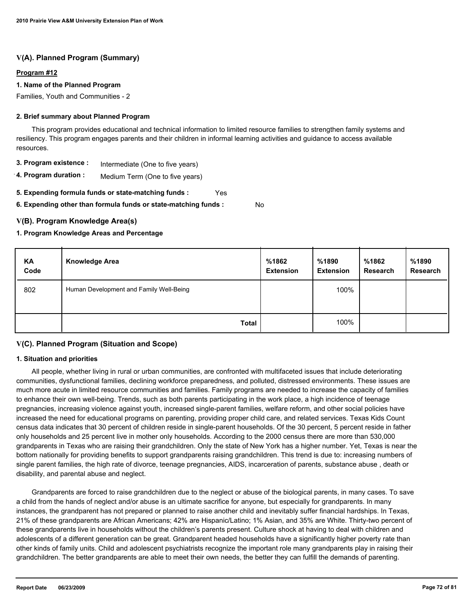#### **Program #12**

### **1. Name of the Planned Program**

Families, Youth and Communities - 2

#### **2. Brief summary about Planned Program**

 This program provides educational and technical information to limited resource families to strengthen family systems and resiliency. This program engages parents and their children in informal learning activities and guidance to access available resources.

- **3. Program existence :** Intermediate (One to five years)
- **4. Program duration :** Medium Term (One to five years)
- **5. Expending formula funds or state-matching funds :** Yes

**6. Expending other than formula funds or state-matching funds :**

# **V(B). Program Knowledge Area(s)**

### **1. Program Knowledge Areas and Percentage**

| KA<br>Code | <b>Knowledge Area</b>                   | %1862<br><b>Extension</b> | %1890<br><b>Extension</b> | %1862<br><b>Research</b> | %1890<br><b>Research</b> |
|------------|-----------------------------------------|---------------------------|---------------------------|--------------------------|--------------------------|
| 802        | Human Development and Family Well-Being |                           | 100%                      |                          |                          |
|            | <b>Total</b>                            |                           | 100%                      |                          |                          |

No

# **V(C). Planned Program (Situation and Scope)**

#### **1. Situation and priorities**

 All people, whether living in rural or urban communities, are confronted with multifaceted issues that include deteriorating communities, dysfunctional families, declining workforce preparedness, and polluted, distressed environments. These issues are much more acute in limited resource communities and families. Family programs are needed to increase the capacity of families to enhance their own well-being. Trends, such as both parents participating in the work place, a high incidence of teenage pregnancies, increasing violence against youth, increased single-parent families, welfare reform, and other social policies have increased the need for educational programs on parenting, providing proper child care, and related services. Texas Kids Count census data indicates that 30 percent of children reside in single-parent households. Of the 30 percent, 5 percent reside in father only households and 25 percent live in mother only households. According to the 2000 census there are more than 530,000 grandparents in Texas who are raising their grandchildren. Only the state of New York has a higher number. Yet, Texas is near the bottom nationally for providing benefits to support grandparents raising grandchildren. This trend is due to: increasing numbers of single parent families, the high rate of divorce, teenage pregnancies, AIDS, incarceration of parents, substance abuse , death or disability, and parental abuse and neglect.

 Grandparents are forced to raise grandchildren due to the neglect or abuse of the biological parents, in many cases. To save a child from the hands of neglect and/or abuse is an ultimate sacrifice for anyone, but especially for grandparents. In many instances, the grandparent has not prepared or planned to raise another child and inevitably suffer financial hardships. In Texas, 21% of these grandparents are African Americans; 42% are Hispanic/Latino; 1% Asian, and 35% are White. Thirty-two percent of these grandparents live in households without the children's parents present. Culture shock at having to deal with children and adolescents of a different generation can be great. Grandparent headed households have a significantly higher poverty rate than other kinds of family units. Child and adolescent psychiatrists recognize the important role many grandparents play in raising their grandchildren. The better grandparents are able to meet their own needs, the better they can fulfill the demands of parenting.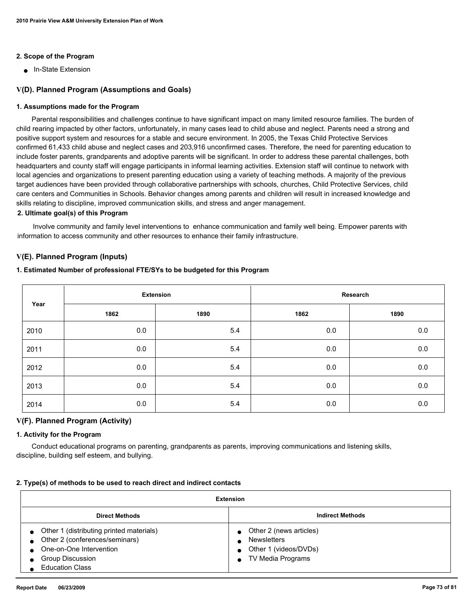# **2. Scope of the Program**

■ In-State Extension

# **V(D). Planned Program (Assumptions and Goals)**

#### **1. Assumptions made for the Program**

 Parental responsibilities and challenges continue to have significant impact on many limited resource families. The burden of child rearing impacted by other factors, unfortunately, in many cases lead to child abuse and neglect. Parents need a strong and positive support system and resources for a stable and secure environment. In 2005, the Texas Child Protective Services confirmed 61,433 child abuse and neglect cases and 203,916 unconfirmed cases. Therefore, the need for parenting education to include foster parents, grandparents and adoptive parents will be significant. In order to address these parental challenges, both headquarters and county staff will engage participants in informal learning activities. Extension staff will continue to network with local agencies and organizations to present parenting education using a variety of teaching methods. A majority of the previous target audiences have been provided through collaborative partnerships with schools, churches, Child Protective Services, child care centers and Communities in Schools. Behavior changes among parents and children will result in increased knowledge and skills relating to discipline, improved communication skills, and stress and anger management.

## **2. Ultimate goal(s) of this Program**

 Involve community and family level interventions to enhance communication and family well being. Empower parents with information to access community and other resources to enhance their family infrastructure.

## **V(E). Planned Program (Inputs)**

#### **1. Estimated Number of professional FTE/SYs to be budgeted for this Program**

|      | <b>Extension</b> |      | Research |         |
|------|------------------|------|----------|---------|
| Year | 1862             | 1890 | 1862     | 1890    |
| 2010 | 0.0              | 5.4  | 0.0      | $0.0\,$ |
| 2011 | 0.0              | 5.4  | 0.0      | 0.0     |
| 2012 | 0.0              | 5.4  | 0.0      | 0.0     |
| 2013 | 0.0              | 5.4  | 0.0      | 0.0     |
| 2014 | 0.0              | 5.4  | 0.0      | 0.0     |

# **V(F). Planned Program (Activity)**

#### **1. Activity for the Program**

 Conduct educational programs on parenting, grandparents as parents, improving communications and listening skills, discipline, building self esteem, and bullying.

#### **2. Type(s) of methods to be used to reach direct and indirect contacts**

| Extension                                                                                                                                                  |                                                                                             |  |  |  |  |
|------------------------------------------------------------------------------------------------------------------------------------------------------------|---------------------------------------------------------------------------------------------|--|--|--|--|
| <b>Indirect Methods</b><br><b>Direct Methods</b>                                                                                                           |                                                                                             |  |  |  |  |
| Other 1 (distributing printed materials)<br>Other 2 (conferences/seminars)<br>One-on-One Intervention<br><b>Group Discussion</b><br><b>Education Class</b> | Other 2 (news articles)<br><b>Newsletters</b><br>Other 1 (videos/DVDs)<br>TV Media Programs |  |  |  |  |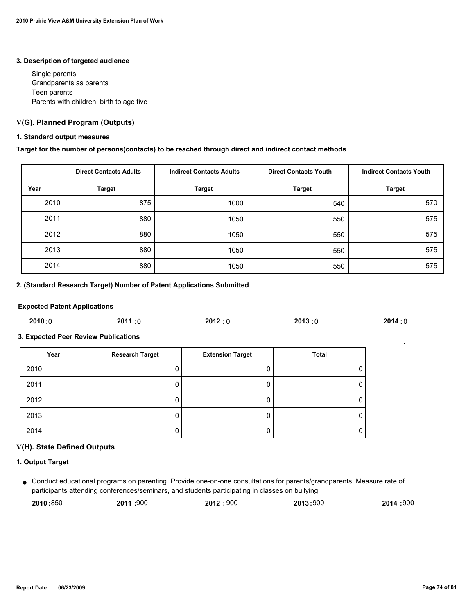#### **3. Description of targeted audience**

 Single parents Grandparents as parents Teen parents Parents with children, birth to age five

# **V(G). Planned Program (Outputs)**

### **1. Standard output measures**

### **Target for the number of persons(contacts) to be reached through direct and indirect contact methods**

|      | <b>Direct Contacts Adults</b> | <b>Indirect Contacts Adults</b><br><b>Direct Contacts Youth</b> |               | <b>Indirect Contacts Youth</b> |
|------|-------------------------------|-----------------------------------------------------------------|---------------|--------------------------------|
| Year | <b>Target</b>                 | <b>Target</b>                                                   | <b>Target</b> | <b>Target</b>                  |
| 2010 | 875                           | 1000                                                            | 540           | 570                            |
| 2011 | 880                           | 1050                                                            | 550           | 575                            |
| 2012 | 880                           | 1050                                                            | 550           | 575                            |
| 2013 | 880                           | 1050                                                            | 550           | 575                            |
| 2014 | 880                           | 1050                                                            | 550           | 575                            |

# **2. (Standard Research Target) Number of Patent Applications Submitted**

#### **Expected Patent Applications**

| 2010:0 | 2011:0 | 2012:0 | 2013:0 | 2014:0 |
|--------|--------|--------|--------|--------|
|        |        |        |        |        |

# **3. Expected Peer Review Publications**

| Year | <b>Research Target</b> | <b>Extension Target</b> | Total |
|------|------------------------|-------------------------|-------|
| 2010 |                        |                         | 0     |
| 2011 | υ                      |                         | 0     |
| 2012 |                        |                         | 0     |
| 2013 | υ                      |                         | 0     |
| 2014 | υ                      |                         | 0     |

# **V(H). State Defined Outputs**

### **1. Output Target**

Conduct educational programs on parenting. Provide one-on-one consultations for parents/grandparents. Measure rate of ● participants attending conferences/seminars, and students participating in classes on bullying.

| 2010:850 | 2011 :900 | 2012:900 | 2013:900 | 2014:900 |
|----------|-----------|----------|----------|----------|
|          |           |          |          |          |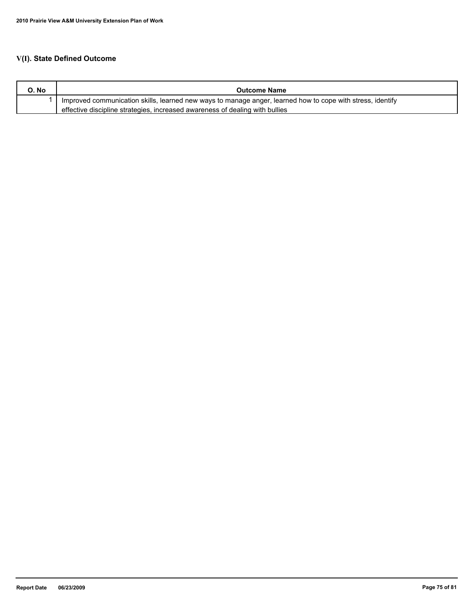# **V(I). State Defined Outcome**

| O. No | <b>Outcome Name</b>                                                                                        |
|-------|------------------------------------------------------------------------------------------------------------|
|       | Improved communication skills, learned new ways to manage anger, learned how to cope with stress, identify |
|       | effective discipline strategies, increased awareness of dealing with bullies                               |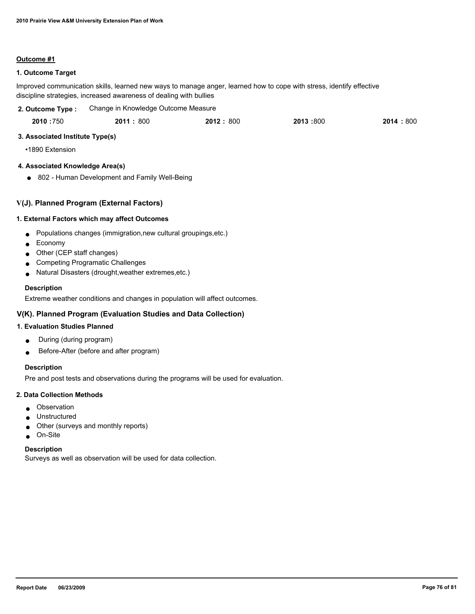#### **Outcome #1**

# **1. Outcome Target**

Improved communication skills, learned new ways to manage anger, learned how to cope with stress, identify effective discipline strategies, increased awareness of dealing with bullies

| 2. Outcome Type: | Change in Knowledge Outcome Measure |          |          |            |  |
|------------------|-------------------------------------|----------|----------|------------|--|
| 2010:750         | 2011:800                            | 2012:800 | 2013:800 | 2014 : 800 |  |

# **3. Associated Institute Type(s)**

•1890 Extension

# **4. Associated Knowledge Area(s)**

● 802 - Human Development and Family Well-Being

# **V(J). Planned Program (External Factors)**

## **1. External Factors which may affect Outcomes**

- Populations changes (immigration,new cultural groupings,etc.)
- Economy
- Other (CEP staff changes)
- Competing Programatic Challenges
- Natural Disasters (drought,weather extremes,etc.)

## **Description**

Extreme weather conditions and changes in population will affect outcomes.

# **V(K). Planned Program (Evaluation Studies and Data Collection)**

#### **1. Evaluation Studies Planned**

- During (during program)
- Before-After (before and after program)

# **Description**

Pre and post tests and observations during the programs will be used for evaluation.

#### **2. Data Collection Methods**

- Observation
- Unstructured
- Other (surveys and monthly reports)
- On-Site

#### **Description**

Surveys as well as observation will be used for data collection.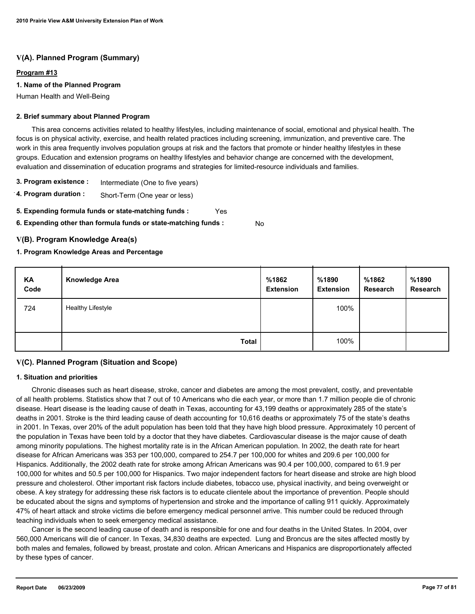# **V(A). Planned Program (Summary)**

#### **Program #13**

### **1. Name of the Planned Program**

Human Health and Well-Being

#### **2. Brief summary about Planned Program**

 This area concerns activities related to healthy lifestyles, including maintenance of social, emotional and physical health. The focus is on physical activity, exercise, and health related practices including screening, immunization, and preventive care. The work in this area frequently involves population groups at risk and the factors that promote or hinder healthy lifestyles in these groups. Education and extension programs on healthy lifestyles and behavior change are concerned with the development, evaluation and dissemination of education programs and strategies for limited-resource individuals and families.

- **3. Program existence :** Intermediate (One to five years)
- **4. Program duration :** Short-Term (One year or less)
- **5. Expending formula funds or state-matching funds :** Yes
- **6. Expending other than formula funds or state-matching funds :** No

## **V(B). Program Knowledge Area(s)**

## **1. Program Knowledge Areas and Percentage**

| KA<br>Code | <b>Knowledge Area</b>    | %1862<br><b>Extension</b> | %1890<br><b>Extension</b> | %1862<br>Research | %1890<br>Research |
|------------|--------------------------|---------------------------|---------------------------|-------------------|-------------------|
| 724        | <b>Healthy Lifestyle</b> |                           | 100%                      |                   |                   |
|            | <b>Total</b>             |                           | 100%                      |                   |                   |

# **V(C). Planned Program (Situation and Scope)**

#### **1. Situation and priorities**

 Chronic diseases such as heart disease, stroke, cancer and diabetes are among the most prevalent, costly, and preventable of all health problems. Statistics show that 7 out of 10 Americans who die each year, or more than 1.7 million people die of chronic disease. Heart disease is the leading cause of death in Texas, accounting for 43,199 deaths or approximately 285 of the state's deaths in 2001. Stroke is the third leading cause of death accounting for 10,616 deaths or approximately 75 of the state's deaths in 2001. In Texas, over 20% of the adult population has been told that they have high blood pressure. Approximately 10 percent of the population in Texas have been told by a doctor that they have diabetes. Cardiovascular disease is the major cause of death among minority populations. The highest mortality rate is in the African American population. In 2002, the death rate for heart disease for African Americans was 353 per 100,000, compared to 254.7 per 100,000 for whites and 209.6 per 100,000 for Hispanics. Additionally, the 2002 death rate for stroke among African Americans was 90.4 per 100,000, compared to 61.9 per 100,000 for whites and 50.5 per 100,000 for Hispanics. Two major independent factors for heart disease and stroke are high blood pressure and cholesterol. Other important risk factors include diabetes, tobacco use, physical inactivity, and being overweight or obese. A key strategy for addressing these risk factors is to educate clientele about the importance of prevention. People should be educated about the signs and symptoms of hypertension and stroke and the importance of calling 911 quickly. Approximately 47% of heart attack and stroke victims die before emergency medical personnel arrive. This number could be reduced through teaching individuals when to seek emergency medical assistance.

 Cancer is the second leading cause of death and is responsible for one and four deaths in the United States. In 2004, over 560,000 Americans will die of cancer. In Texas, 34,830 deaths are expected. Lung and Broncus are the sites affected mostly by both males and females, followed by breast, prostate and colon. African Americans and Hispanics are disproportionately affected by these types of cancer.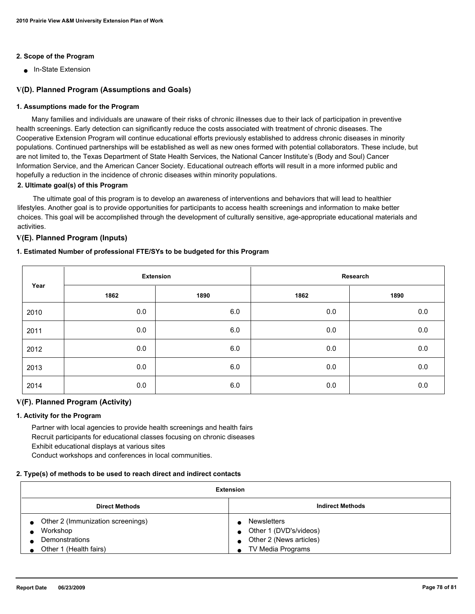# **2. Scope of the Program**

■ In-State Extension

# **V(D). Planned Program (Assumptions and Goals)**

#### **1. Assumptions made for the Program**

 Many families and individuals are unaware of their risks of chronic illnesses due to their lack of participation in preventive health screenings. Early detection can significantly reduce the costs associated with treatment of chronic diseases. The Cooperative Extension Program will continue educational efforts previously established to address chronic diseases in minority populations. Continued partnerships will be established as well as new ones formed with potential collaborators. These include, but are not limited to, the Texas Department of State Health Services, the National Cancer Institute's (Body and Soul) Cancer Information Service, and the American Cancer Society. Educational outreach efforts will result in a more informed public and hopefully a reduction in the incidence of chronic diseases within minority populations.

#### **2. Ultimate goal(s) of this Program**

 The ultimate goal of this program is to develop an awareness of interventions and behaviors that will lead to healthier lifestyles. Another goal is to provide opportunities for participants to access health screenings and information to make better choices. This goal will be accomplished through the development of culturally sensitive, age-appropriate educational materials and activities.

# **V(E). Planned Program (Inputs)**

## **1. Estimated Number of professional FTE/SYs to be budgeted for this Program**

| Year | <b>Extension</b> |      | Research |      |  |
|------|------------------|------|----------|------|--|
|      | 1862             | 1890 | 1862     | 1890 |  |
| 2010 | 0.0              | 6.0  | 0.0      | 0.0  |  |
| 2011 | 0.0              | 6.0  | 0.0      | 0.0  |  |
| 2012 | 0.0              | 6.0  | 0.0      | 0.0  |  |
| 2013 | 0.0              | 6.0  | 0.0      | 0.0  |  |
| 2014 | 0.0              | 6.0  | 0.0      | 0.0  |  |

### **V(F). Planned Program (Activity)**

#### **1. Activity for the Program**

 Partner with local agencies to provide health screenings and health fairs Recruit participants for educational classes focusing on chronic diseases Exhibit educational displays at various sites

Conduct workshops and conferences in local communities.

#### **2. Type(s) of methods to be used to reach direct and indirect contacts**

| <b>Extension</b>                                 |                         |  |  |  |  |
|--------------------------------------------------|-------------------------|--|--|--|--|
| <b>Indirect Methods</b><br><b>Direct Methods</b> |                         |  |  |  |  |
| Other 2 (Immunization screenings)                | <b>Newsletters</b>      |  |  |  |  |
| Workshop                                         | Other 1 (DVD's/videos)  |  |  |  |  |
| Demonstrations                                   | Other 2 (News articles) |  |  |  |  |
| Other 1 (Health fairs)                           | TV Media Programs       |  |  |  |  |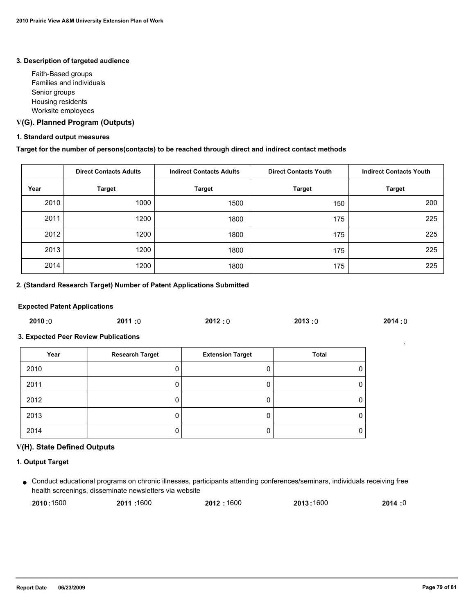#### **3. Description of targeted audience**

 Faith-Based groups Families and individuals Senior groups Housing residents Worksite employees

# **V(G). Planned Program (Outputs)**

#### **1. Standard output measures**

# **Target for the number of persons(contacts) to be reached through direct and indirect contact methods**

|      | <b>Direct Contacts Adults</b> | <b>Indirect Contacts Adults</b><br><b>Direct Contacts Youth</b> |               | <b>Indirect Contacts Youth</b> |
|------|-------------------------------|-----------------------------------------------------------------|---------------|--------------------------------|
| Year | <b>Target</b>                 | <b>Target</b>                                                   | <b>Target</b> | <b>Target</b>                  |
| 2010 | 1000                          | 1500                                                            | 150           | 200                            |
| 2011 | 1200                          | 1800                                                            | 175           | 225                            |
| 2012 | 1200                          | 1800                                                            | 175           | 225                            |
| 2013 | 1200                          | 1800                                                            | 175           | 225                            |
| 2014 | 1200                          | 1800                                                            | 175           | 225                            |

# **2. (Standard Research Target) Number of Patent Applications Submitted**

#### **Expected Patent Applications**

| 2010 :0 | 2011:0 | 2012:0 | 2013:0 | 2014:0 |
|---------|--------|--------|--------|--------|
|         |        |        |        |        |

# **3. Expected Peer Review Publications**

| Year | <b>Research Target</b> | <b>Extension Target</b> | Total |
|------|------------------------|-------------------------|-------|
| 2010 | υ                      |                         | 0     |
| 2011 | υ                      |                         | 0     |
| 2012 |                        |                         | 0     |
| 2013 | υ                      |                         | 0     |
| 2014 | υ                      |                         | 0     |

# **V(H). State Defined Outputs**

#### **1. Output Target**

Conduct educational programs on chronic illnesses, participants attending conferences/seminars, individuals receiving free ● health screenings, disseminate newsletters via website

| 2010:1500 | 2011: 1600 | 2012:1600 | 2013:1600 | 2014:0 |
|-----------|------------|-----------|-----------|--------|
|-----------|------------|-----------|-----------|--------|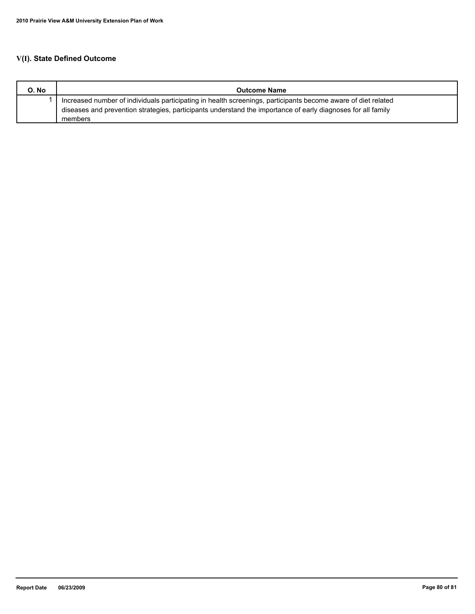# **V(I). State Defined Outcome**

| O. No | <b>Outcome Name</b>                                                                                           |
|-------|---------------------------------------------------------------------------------------------------------------|
|       | Increased number of individuals participating in health screenings, participants become aware of diet related |
|       | diseases and prevention strategies, participants understand the importance of early diagnoses for all family  |
|       | members                                                                                                       |